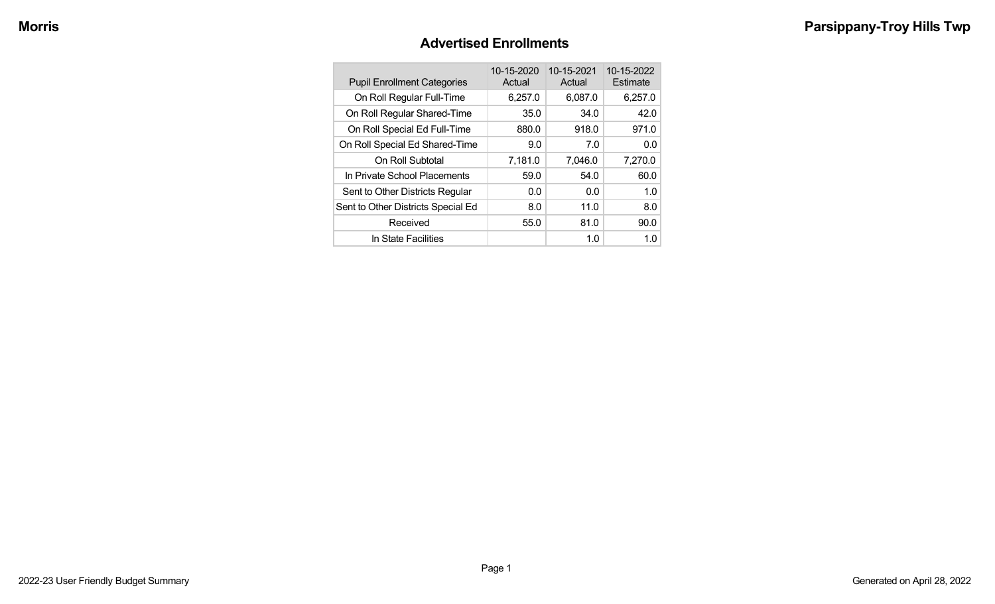#### **Advertised Enrollments**

| <b>Pupil Enrollment Categories</b> | 10-15-2020<br>Actual | 10-15-2021<br>Actual | 10-15-2022<br>Estimate |
|------------------------------------|----------------------|----------------------|------------------------|
| On Roll Regular Full-Time          | 6,257.0              | 6,087.0              | 6,257.0                |
| On Roll Regular Shared-Time        | 35.0                 | 34.0                 | 42.0                   |
| On Roll Special Ed Full-Time       | 880.0                | 918.0                | 971.0                  |
| On Roll Special Ed Shared-Time     | 9.0                  | 7.0                  | 0.0                    |
| On Roll Subtotal                   | 7,181.0              | 7,046.0              | 7,270.0                |
| In Private School Placements       | 59.0                 | 54.0                 | 60.0                   |
| Sent to Other Districts Regular    | 0.0                  | 0.0                  | 1.0                    |
| Sent to Other Districts Special Ed | 8.0                  | 11.0                 | 8.0                    |
| Received                           | 55.0                 | 81.0                 | 90.0                   |
| In State Facilities                |                      | 1.0                  | 1.0                    |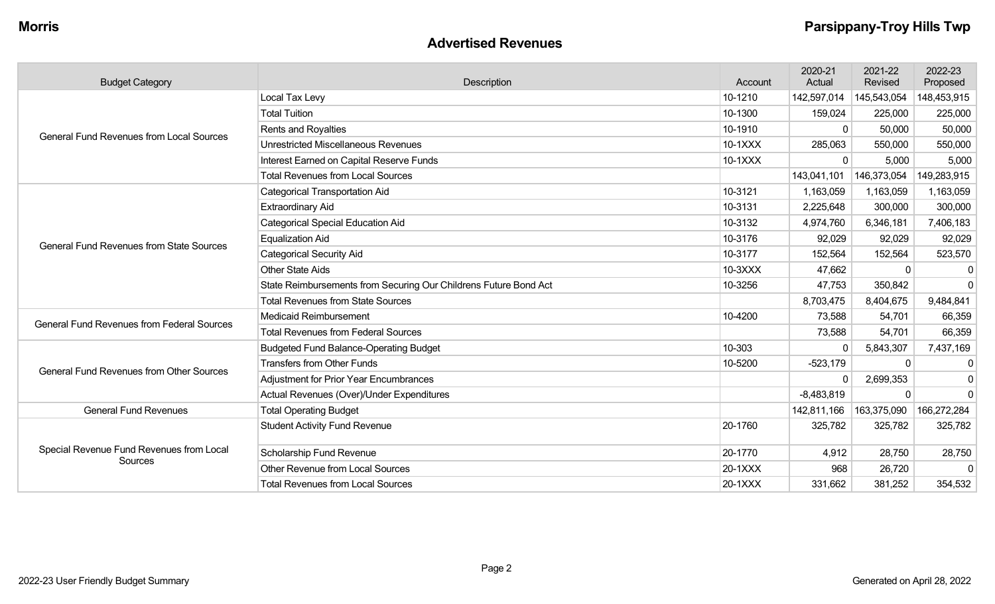#### **Advertised Revenues**

| <b>Budget Category</b>                                                                                                                                                                                                                     | Description                                                      | Account | 2020-21<br>Actual | 2021-22<br>Revised | 2022-23<br>Proposed |
|--------------------------------------------------------------------------------------------------------------------------------------------------------------------------------------------------------------------------------------------|------------------------------------------------------------------|---------|-------------------|--------------------|---------------------|
|                                                                                                                                                                                                                                            | Local Tax Levy                                                   | 10-1210 | 142,597,014       | 145,543,054        | 148,453,915         |
|                                                                                                                                                                                                                                            | <b>Total Tuition</b>                                             | 10-1300 | 159,024           | 225,000            | 225,000             |
|                                                                                                                                                                                                                                            | <b>Rents and Royalties</b>                                       | 10-1910 | $\Omega$          | 50,000             | 50,000              |
|                                                                                                                                                                                                                                            | <b>Unrestricted Miscellaneous Revenues</b>                       | 10-1XXX | 285,063           | 550,000            | 550,000             |
| <b>General Fund Revenues from Local Sources</b><br><b>General Fund Revenues from State Sources</b><br><b>General Fund Revenues from Federal Sources</b><br><b>General Fund Revenues from Other Sources</b><br><b>General Fund Revenues</b> | Interest Earned on Capital Reserve Funds                         | 10-1XXX | $\Omega$          | 5,000              | 5,000               |
|                                                                                                                                                                                                                                            | <b>Total Revenues from Local Sources</b>                         |         | 143,041,101       | 146,373,054        | 149,283,915         |
|                                                                                                                                                                                                                                            | <b>Categorical Transportation Aid</b>                            | 10-3121 | 1,163,059         | 1,163,059          | 1,163,059           |
|                                                                                                                                                                                                                                            | <b>Extraordinary Aid</b>                                         | 10-3131 | 2,225,648         | 300,000            | 300,000             |
|                                                                                                                                                                                                                                            | <b>Categorical Special Education Aid</b>                         | 10-3132 | 4,974,760         | 6,346,181          | 7,406,183           |
|                                                                                                                                                                                                                                            | <b>Equalization Aid</b>                                          | 10-3176 | 92,029            | 92,029             | 92,029              |
|                                                                                                                                                                                                                                            | <b>Categorical Security Aid</b>                                  | 10-3177 | 152,564           | 152,564            | 523,570             |
|                                                                                                                                                                                                                                            | <b>Other State Aids</b>                                          | 10-3XXX | 47,662            | 0                  | $\mathbf{0}$        |
|                                                                                                                                                                                                                                            | State Reimbursements from Securing Our Childrens Future Bond Act | 10-3256 | 47,753            | 350,842            | $\Omega$            |
|                                                                                                                                                                                                                                            | <b>Total Revenues from State Sources</b>                         |         | 8,703,475         | 8,404,675          | 9,484,841           |
|                                                                                                                                                                                                                                            | <b>Medicaid Reimbursement</b>                                    | 10-4200 | 73,588            | 54,701             | 66,359              |
|                                                                                                                                                                                                                                            | <b>Total Revenues from Federal Sources</b>                       |         | 73,588            | 54,701             | 66,359              |
|                                                                                                                                                                                                                                            | <b>Budgeted Fund Balance-Operating Budget</b>                    | 10-303  | $\Omega$          | 5,843,307          | 7,437,169           |
|                                                                                                                                                                                                                                            | <b>Transfers from Other Funds</b>                                | 10-5200 | $-523,179$        | $\mathbf{0}$       | 0                   |
|                                                                                                                                                                                                                                            | <b>Adjustment for Prior Year Encumbrances</b>                    |         |                   | 2,699,353          | $\mathbf 0$         |
|                                                                                                                                                                                                                                            | Actual Revenues (Over)/Under Expenditures                        |         | $-8,483,819$      | 0                  | $\mathbf 0$         |
|                                                                                                                                                                                                                                            | <b>Total Operating Budget</b>                                    |         | 142,811,166       | 163,375,090        | 166,272,284         |
|                                                                                                                                                                                                                                            | <b>Student Activity Fund Revenue</b>                             | 20-1760 | 325,782           | 325,782            | 325,782             |
| Special Revenue Fund Revenues from Local                                                                                                                                                                                                   | Scholarship Fund Revenue                                         | 20-1770 | 4,912             | 28,750             | 28,750              |
| Sources                                                                                                                                                                                                                                    | <b>Other Revenue from Local Sources</b>                          | 20-1XXX | 968               | 26,720             |                     |
|                                                                                                                                                                                                                                            | <b>Total Revenues from Local Sources</b>                         | 20-1XXX | 331,662           | 381,252            | 354,532             |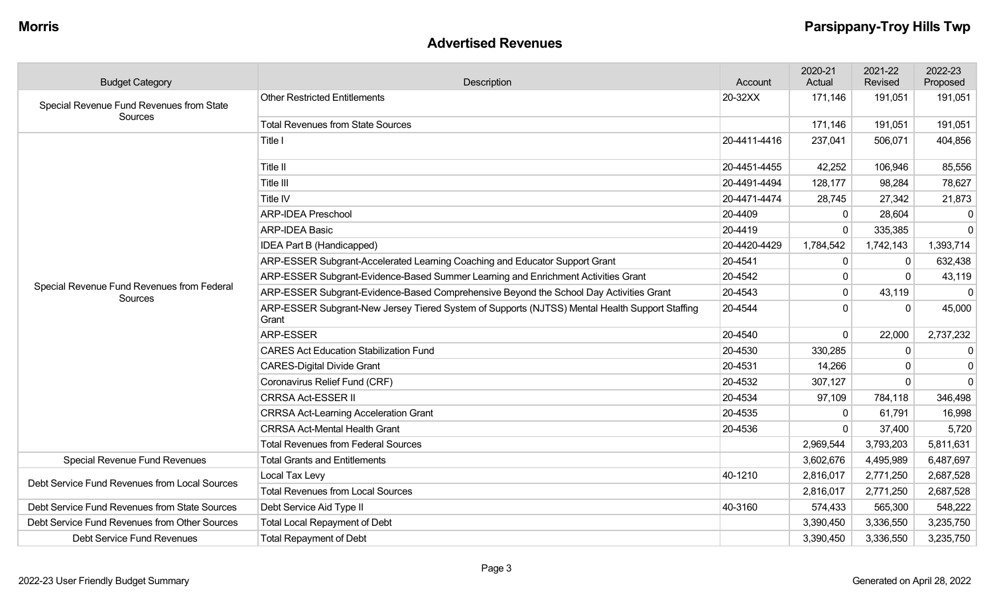#### **Advertised Revenues**

| <b>Budget Category</b>                                                                                                                                                                                                                                                                                                                                                                                                                                                                                                                                                                                                                                                                                                                                                                                                                                                                                                              | Description                                                                                                                                                                                                                                                                                                                                                                                                                                                                                                                       | Account | 2020-21<br>Actual | 2021-22<br>Revised     | 2022-23<br>Proposed |
|-------------------------------------------------------------------------------------------------------------------------------------------------------------------------------------------------------------------------------------------------------------------------------------------------------------------------------------------------------------------------------------------------------------------------------------------------------------------------------------------------------------------------------------------------------------------------------------------------------------------------------------------------------------------------------------------------------------------------------------------------------------------------------------------------------------------------------------------------------------------------------------------------------------------------------------|-----------------------------------------------------------------------------------------------------------------------------------------------------------------------------------------------------------------------------------------------------------------------------------------------------------------------------------------------------------------------------------------------------------------------------------------------------------------------------------------------------------------------------------|---------|-------------------|------------------------|---------------------|
| Special Revenue Fund Revenues from State                                                                                                                                                                                                                                                                                                                                                                                                                                                                                                                                                                                                                                                                                                                                                                                                                                                                                            | <b>Other Restricted Entitlements</b>                                                                                                                                                                                                                                                                                                                                                                                                                                                                                              | 20-32XX | 171,146           | 191,051                | 191,051             |
| Sources<br><b>Total Revenues from State Sources</b><br>Title I<br>Title II<br>Title III<br>Title IV<br><b>ARP-IDEA Preschool</b><br><b>ARP-IDEA Basic</b><br>IDEA Part B (Handicapped)<br>ARP-ESSER Subgrant-Accelerated Learning Coaching and Educator Support Grant<br>Sources<br>Grant<br>ARP-ESSER<br><b>CARES Act Education Stabilization Fund</b><br><b>CARES-Digital Divide Grant</b><br>Coronavirus Relief Fund (CRF)<br><b>CRRSA Act-ESSER II</b><br><b>CRRSA Act-Learning Acceleration Grant</b><br><b>CRRSA Act-Mental Health Grant</b><br><b>Total Revenues from Federal Sources</b><br><b>Special Revenue Fund Revenues</b><br><b>Total Grants and Entitlements</b><br>Local Tax Levy<br>Debt Service Fund Revenues from Local Sources<br><b>Total Revenues from Local Sources</b><br>Debt Service Aid Type II<br><b>Total Local Repayment of Debt</b><br><b>Total Repayment of Debt</b><br>Debt Service Fund Revenues |                                                                                                                                                                                                                                                                                                                                                                                                                                                                                                                                   |         | 171,146           | 191,051                | 191,051             |
|                                                                                                                                                                                                                                                                                                                                                                                                                                                                                                                                                                                                                                                                                                                                                                                                                                                                                                                                     | 20-4411-4416<br>237,041<br>20-4451-4455<br>42,252<br>20-4491-4494<br>128,177<br>20-4471-4474<br>28,745<br>20-4409<br>$\mathbf{0}$<br>20-4419<br>0<br>20-4420-4429<br>1,784,542<br>20-4541<br>0<br>20-4542<br>0<br>20-4543<br>$\mathbf 0$<br>$\overline{0}$<br>20-4544<br>20-4540<br>0<br>20-4530<br>330,285<br>20-4531<br>14,266<br>20-4532<br>307,127<br>20-4534<br>97,109<br>20-4535<br>0<br>20-4536<br>$\Omega$<br>2,969,544<br>3,602,676<br>40-1210<br>2,816,017<br>2,816,017<br>40-3160<br>574,433<br>3,390,450<br>3,390,450 | 506,071 | 404,856           |                        |                     |
|                                                                                                                                                                                                                                                                                                                                                                                                                                                                                                                                                                                                                                                                                                                                                                                                                                                                                                                                     |                                                                                                                                                                                                                                                                                                                                                                                                                                                                                                                                   |         |                   | 106,946                | 85,556              |
|                                                                                                                                                                                                                                                                                                                                                                                                                                                                                                                                                                                                                                                                                                                                                                                                                                                                                                                                     |                                                                                                                                                                                                                                                                                                                                                                                                                                                                                                                                   |         |                   | 98,284                 | 78,627              |
|                                                                                                                                                                                                                                                                                                                                                                                                                                                                                                                                                                                                                                                                                                                                                                                                                                                                                                                                     |                                                                                                                                                                                                                                                                                                                                                                                                                                                                                                                                   |         |                   | 27,342                 | 21,873              |
|                                                                                                                                                                                                                                                                                                                                                                                                                                                                                                                                                                                                                                                                                                                                                                                                                                                                                                                                     |                                                                                                                                                                                                                                                                                                                                                                                                                                                                                                                                   |         |                   | 28,604                 | $\mathbf{0}$        |
|                                                                                                                                                                                                                                                                                                                                                                                                                                                                                                                                                                                                                                                                                                                                                                                                                                                                                                                                     |                                                                                                                                                                                                                                                                                                                                                                                                                                                                                                                                   |         |                   | 335,385                | $\mathbf 0$         |
|                                                                                                                                                                                                                                                                                                                                                                                                                                                                                                                                                                                                                                                                                                                                                                                                                                                                                                                                     |                                                                                                                                                                                                                                                                                                                                                                                                                                                                                                                                   |         |                   | 1,742,143              | 1,393,714           |
|                                                                                                                                                                                                                                                                                                                                                                                                                                                                                                                                                                                                                                                                                                                                                                                                                                                                                                                                     |                                                                                                                                                                                                                                                                                                                                                                                                                                                                                                                                   |         |                   | $\mathbf{0}$           | 632,438             |
| Special Revenue Fund Revenues from Federal                                                                                                                                                                                                                                                                                                                                                                                                                                                                                                                                                                                                                                                                                                                                                                                                                                                                                          | ARP-ESSER Subgrant-Evidence-Based Summer Learning and Enrichment Activities Grant                                                                                                                                                                                                                                                                                                                                                                                                                                                 |         |                   | $\Omega$               | 43,119              |
|                                                                                                                                                                                                                                                                                                                                                                                                                                                                                                                                                                                                                                                                                                                                                                                                                                                                                                                                     | ARP-ESSER Subgrant-Evidence-Based Comprehensive Beyond the School Day Activities Grant                                                                                                                                                                                                                                                                                                                                                                                                                                            |         |                   | 43,119                 | $\mathbf 0$         |
|                                                                                                                                                                                                                                                                                                                                                                                                                                                                                                                                                                                                                                                                                                                                                                                                                                                                                                                                     | ARP-ESSER Subgrant-New Jersey Tiered System of Supports (NJTSS) Mental Health Support Staffing                                                                                                                                                                                                                                                                                                                                                                                                                                    |         |                   | $\Omega$               | 45,000              |
|                                                                                                                                                                                                                                                                                                                                                                                                                                                                                                                                                                                                                                                                                                                                                                                                                                                                                                                                     |                                                                                                                                                                                                                                                                                                                                                                                                                                                                                                                                   |         |                   | 22,000                 | 2,737,232           |
|                                                                                                                                                                                                                                                                                                                                                                                                                                                                                                                                                                                                                                                                                                                                                                                                                                                                                                                                     |                                                                                                                                                                                                                                                                                                                                                                                                                                                                                                                                   |         |                   | $\mathbf 0$            | $\mathbf 0$         |
|                                                                                                                                                                                                                                                                                                                                                                                                                                                                                                                                                                                                                                                                                                                                                                                                                                                                                                                                     |                                                                                                                                                                                                                                                                                                                                                                                                                                                                                                                                   |         |                   | $\Omega$               | $\mathbf{0}$        |
|                                                                                                                                                                                                                                                                                                                                                                                                                                                                                                                                                                                                                                                                                                                                                                                                                                                                                                                                     |                                                                                                                                                                                                                                                                                                                                                                                                                                                                                                                                   |         |                   | $\mathbf 0$            | $\mathbf 0$         |
|                                                                                                                                                                                                                                                                                                                                                                                                                                                                                                                                                                                                                                                                                                                                                                                                                                                                                                                                     |                                                                                                                                                                                                                                                                                                                                                                                                                                                                                                                                   |         |                   | 784,118                | 346,498             |
|                                                                                                                                                                                                                                                                                                                                                                                                                                                                                                                                                                                                                                                                                                                                                                                                                                                                                                                                     |                                                                                                                                                                                                                                                                                                                                                                                                                                                                                                                                   |         |                   | 61,791                 | 16,998              |
|                                                                                                                                                                                                                                                                                                                                                                                                                                                                                                                                                                                                                                                                                                                                                                                                                                                                                                                                     |                                                                                                                                                                                                                                                                                                                                                                                                                                                                                                                                   |         |                   | 37,400                 | 5,720               |
|                                                                                                                                                                                                                                                                                                                                                                                                                                                                                                                                                                                                                                                                                                                                                                                                                                                                                                                                     |                                                                                                                                                                                                                                                                                                                                                                                                                                                                                                                                   |         |                   | 3,793,203              | 5,811,631           |
|                                                                                                                                                                                                                                                                                                                                                                                                                                                                                                                                                                                                                                                                                                                                                                                                                                                                                                                                     |                                                                                                                                                                                                                                                                                                                                                                                                                                                                                                                                   |         |                   | 4,495,989              | 6,487,697           |
|                                                                                                                                                                                                                                                                                                                                                                                                                                                                                                                                                                                                                                                                                                                                                                                                                                                                                                                                     |                                                                                                                                                                                                                                                                                                                                                                                                                                                                                                                                   |         |                   | 2,771,250<br>2,771,250 | 2,687,528           |
|                                                                                                                                                                                                                                                                                                                                                                                                                                                                                                                                                                                                                                                                                                                                                                                                                                                                                                                                     |                                                                                                                                                                                                                                                                                                                                                                                                                                                                                                                                   |         |                   |                        | 2,687,528           |
| Debt Service Fund Revenues from State Sources                                                                                                                                                                                                                                                                                                                                                                                                                                                                                                                                                                                                                                                                                                                                                                                                                                                                                       |                                                                                                                                                                                                                                                                                                                                                                                                                                                                                                                                   |         |                   | 565,300                | 548,222             |
| Debt Service Fund Revenues from Other Sources                                                                                                                                                                                                                                                                                                                                                                                                                                                                                                                                                                                                                                                                                                                                                                                                                                                                                       |                                                                                                                                                                                                                                                                                                                                                                                                                                                                                                                                   |         |                   | 3,336,550              | 3,235,750           |
|                                                                                                                                                                                                                                                                                                                                                                                                                                                                                                                                                                                                                                                                                                                                                                                                                                                                                                                                     |                                                                                                                                                                                                                                                                                                                                                                                                                                                                                                                                   |         |                   | 3,336,550              | 3,235,750           |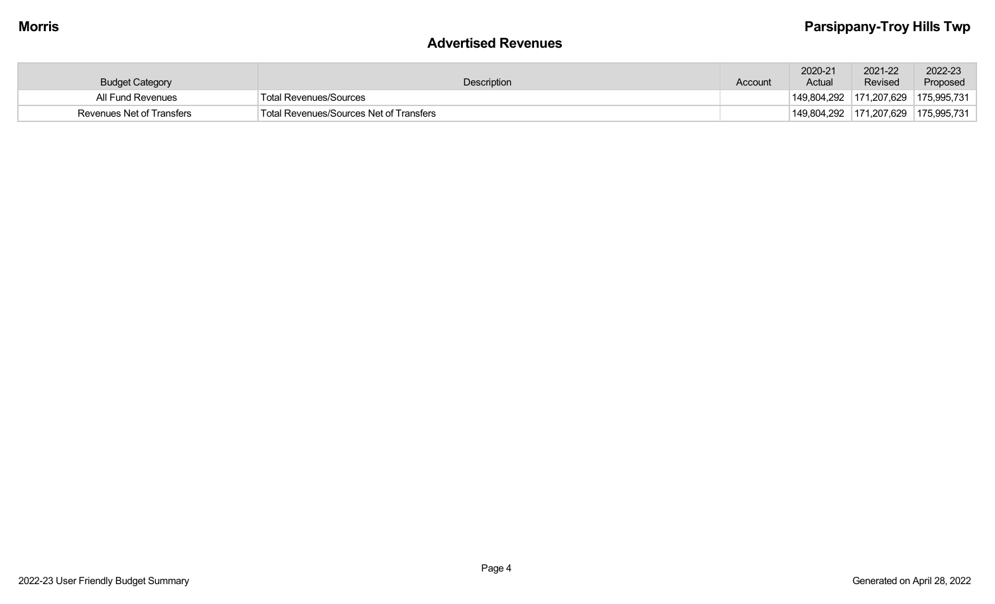#### **Advertised Revenues**

| <b>Budget Category</b>    | <b>Description</b>                      | Account | 2020-21<br>Actual                         | 2021-22<br>Revised | 2022-23<br>Proposed |
|---------------------------|-----------------------------------------|---------|-------------------------------------------|--------------------|---------------------|
| All Fund Revenues         | <b>Total Revenues/Sources</b>           |         | $149,804,292$ $171,207,629$ $175,995,731$ |                    |                     |
| Revenues Net of Transfers | Total Revenues/Sources Net of Transfers |         | $149,804,292$ 171,207,629 175,995,731     |                    |                     |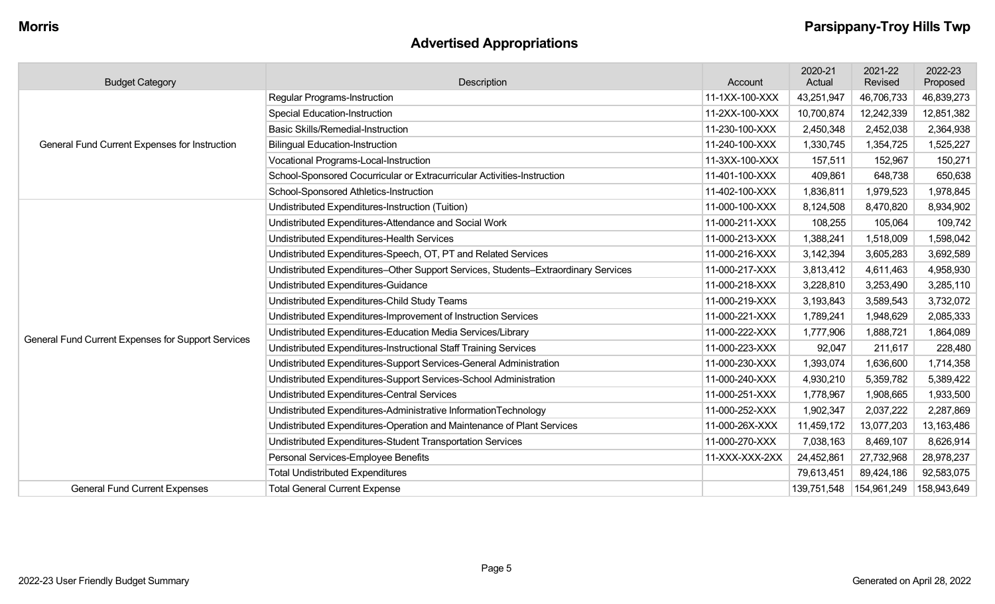# **Advertised Appropriations**

| <b>Budget Category</b>                             | Description                                                                        | Account        | 2020-21<br>Actual | 2021-22<br>Revised | 2022-23<br>Proposed |
|----------------------------------------------------|------------------------------------------------------------------------------------|----------------|-------------------|--------------------|---------------------|
| General Fund Current Expenses for Instruction      | Regular Programs-Instruction                                                       | 11-1XX-100-XXX | 43,251,947        | 46,706,733         | 46,839,273          |
|                                                    | <b>Special Education-Instruction</b>                                               | 11-2XX-100-XXX | 10,700,874        | 12,242,339         | 12,851,382          |
|                                                    | <b>Basic Skills/Remedial-Instruction</b>                                           | 11-230-100-XXX | 2,450,348         | 2,452,038          | 2,364,938           |
|                                                    | <b>Bilingual Education-Instruction</b>                                             | 11-240-100-XXX | 1,330,745         | 1,354,725          | 1,525,227           |
|                                                    | Vocational Programs-Local-Instruction                                              | 11-3XX-100-XXX | 157,511           | 152,967            | 150,271             |
|                                                    | School-Sponsored Cocurricular or Extracurricular Activities-Instruction            | 11-401-100-XXX | 409,861           | 648,738            | 650,638             |
|                                                    | School-Sponsored Athletics-Instruction                                             | 11-402-100-XXX | 1,836,811         | 1,979,523          | 1,978,845           |
|                                                    | Undistributed Expenditures-Instruction (Tuition)                                   | 11-000-100-XXX | 8,124,508         | 8,470,820          | 8,934,902           |
|                                                    | Undistributed Expenditures-Attendance and Social Work                              | 11-000-211-XXX | 108,255           | 105,064            | 109,742             |
|                                                    | Undistributed Expenditures-Health Services                                         | 11-000-213-XXX | 1,388,241         | 1,518,009          | 1,598,042           |
|                                                    | Undistributed Expenditures-Speech, OT, PT and Related Services                     | 11-000-216-XXX | 3,142,394         | 3,605,283          | 3,692,589           |
|                                                    | Undistributed Expenditures-Other Support Services, Students-Extraordinary Services | 11-000-217-XXX | 3,813,412         | 4,611,463          | 4,958,930           |
|                                                    | Undistributed Expenditures-Guidance                                                | 11-000-218-XXX | 3,228,810         | 3,253,490          | 3,285,110           |
|                                                    | Undistributed Expenditures-Child Study Teams                                       | 11-000-219-XXX | 3,193,843         | 3,589,543          | 3,732,072           |
|                                                    | Undistributed Expenditures-Improvement of Instruction Services                     | 11-000-221-XXX | 1,789,241         | 1,948,629          | 2,085,333           |
| General Fund Current Expenses for Support Services | Undistributed Expenditures-Education Media Services/Library                        | 11-000-222-XXX | 1,777,906         | 1,888,721          | 1,864,089           |
|                                                    | Undistributed Expenditures-Instructional Staff Training Services                   | 11-000-223-XXX | 92,047            | 211,617            | 228,480             |
|                                                    | Undistributed Expenditures-Support Services-General Administration                 | 11-000-230-XXX | 1,393,074         | 1,636,600          | 1,714,358           |
|                                                    | Undistributed Expenditures-Support Services-School Administration                  | 11-000-240-XXX | 4,930,210         | 5,359,782          | 5,389,422           |
|                                                    | Undistributed Expenditures-Central Services                                        | 11-000-251-XXX | 1,778,967         | 1,908,665          | 1,933,500           |
|                                                    | Undistributed Expenditures-Administrative InformationTechnology                    | 11-000-252-XXX | 1,902,347         | 2,037,222          | 2,287,869           |
|                                                    | Undistributed Expenditures-Operation and Maintenance of Plant Services             | 11-000-26X-XXX | 11,459,172        | 13,077,203         | 13,163,486          |
|                                                    | Undistributed Expenditures-Student Transportation Services                         | 11-000-270-XXX | 7,038,163         | 8,469,107          | 8,626,914           |
|                                                    | Personal Services-Employee Benefits                                                | 11-XXX-XXX-2XX | 24,452,861        | 27,732,968         | 28,978,237          |
|                                                    | <b>Total Undistributed Expenditures</b>                                            |                | 79,613,451        | 89,424,186         | 92,583,075          |
| <b>General Fund Current Expenses</b>               | <b>Total General Current Expense</b>                                               |                | 139,751,548       | 154,961,249        | 158,943,649         |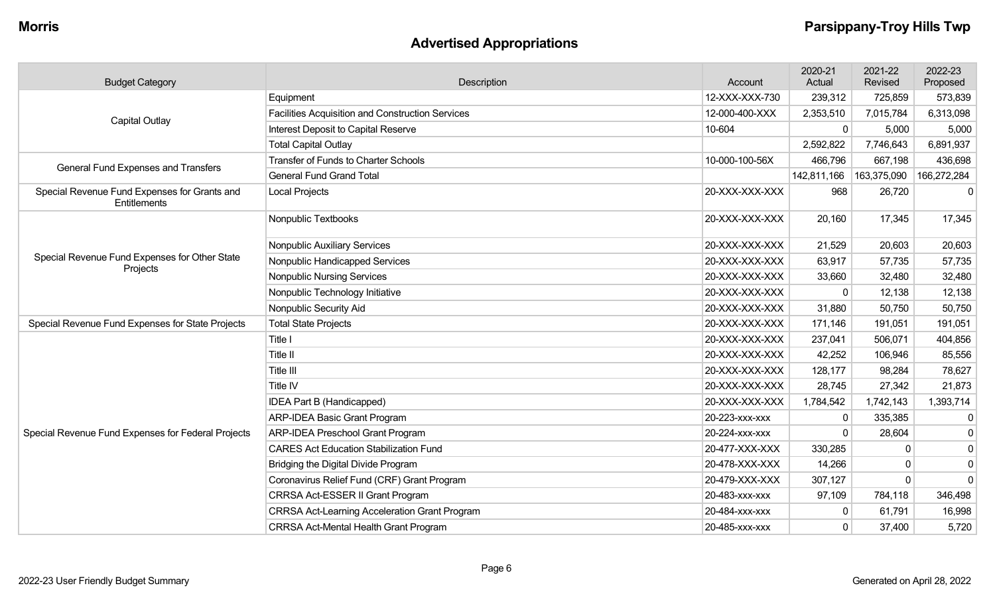# **Advertised Appropriations**

| <b>Budget Category</b>                                       | Description                                             | Account        | 2020-21<br>Actual | 2021-22<br>Revised | 2022-23<br>Proposed |
|--------------------------------------------------------------|---------------------------------------------------------|----------------|-------------------|--------------------|---------------------|
|                                                              | Equipment                                               | 12-XXX-XXX-730 | 239,312           | 725,859            | 573,839             |
| <b>Capital Outlay</b>                                        | <b>Facilities Acquisition and Construction Services</b> | 12-000-400-XXX | 2,353,510         | 7,015,784          | 6,313,098           |
|                                                              | Interest Deposit to Capital Reserve                     | 10-604         | 0                 | 5,000              | 5,000               |
|                                                              | <b>Total Capital Outlay</b>                             |                | 2,592,822         | 7,746,643          | 6,891,937           |
| General Fund Expenses and Transfers                          | <b>Transfer of Funds to Charter Schools</b>             | 10-000-100-56X | 466,796           | 667,198            | 436,698             |
|                                                              | <b>General Fund Grand Total</b>                         |                | 142,811,166       | 163,375,090        | 166,272,284         |
| Special Revenue Fund Expenses for Grants and<br>Entitlements | <b>Local Projects</b>                                   | 20-XXX-XXX-XXX | 968               | 26,720             | $\mathbf 0$         |
|                                                              | Nonpublic Textbooks                                     | 20-XXX-XXX-XXX | 20,160            | 17,345             | 17,345              |
| Special Revenue Fund Expenses for Other State<br>Projects    | <b>Nonpublic Auxiliary Services</b>                     | 20-XXX-XXX-XXX | 21,529            | 20,603             | 20,603              |
|                                                              | Nonpublic Handicapped Services                          | 20-XXX-XXX-XXX | 63,917            | 57,735             | 57,735              |
|                                                              | <b>Nonpublic Nursing Services</b>                       | 20-XXX-XXX-XXX | 33,660            | 32,480             | 32,480              |
|                                                              | Nonpublic Technology Initiative                         | 20-XXX-XXX-XXX | 0                 | 12,138             | 12,138              |
|                                                              | Nonpublic Security Aid                                  | 20-XXX-XXX-XXX | 31,880            | 50,750             | 50,750              |
| Special Revenue Fund Expenses for State Projects             | <b>Total State Projects</b>                             | 20-XXX-XXX-XXX | 171,146           | 191,051            | 191,051             |
|                                                              | Title I                                                 | 20-XXX-XXX-XXX | 237,041           | 506,071            | 404,856             |
|                                                              | Title II                                                | 20-XXX-XXX-XXX | 42,252            | 106,946            | 85,556              |
|                                                              | Title III                                               | 20-XXX-XXX-XXX | 128,177           | 98,284             | 78,627              |
|                                                              | Title IV                                                | 20-XXX-XXX-XXX | 28,745            | 27,342             | 21,873              |
|                                                              | IDEA Part B (Handicapped)                               | 20-XXX-XXX-XXX | 1,784,542         | 1,742,143          | 1,393,714           |
|                                                              | <b>ARP-IDEA Basic Grant Program</b>                     | 20-223-xxx-xxx | 0                 | 335,385            | $\mathbf 0$         |
| Special Revenue Fund Expenses for Federal Projects           | <b>ARP-IDEA Preschool Grant Program</b>                 | 20-224-xxx-xxx | $\mathbf 0$       | 28,604             | $\mathbf 0$         |
|                                                              | <b>CARES Act Education Stabilization Fund</b>           | 20-477-XXX-XXX | 330,285           | $\mathbf 0$        | $\mathbf 0$         |
|                                                              | Bridging the Digital Divide Program                     | 20-478-XXX-XXX | 14,266            | $\mathbf 0$        | $\mathbf 0$         |
|                                                              | Coronavirus Relief Fund (CRF) Grant Program             | 20-479-XXX-XXX | 307,127           | $\mathbf{0}$       | $\mathbf 0$         |
|                                                              | CRRSA Act-ESSER II Grant Program                        | 20-483-xxx-xxx | 97,109            | 784,118            | 346,498             |
|                                                              | <b>CRRSA Act-Learning Acceleration Grant Program</b>    | 20-484-xxx-xxx | 0                 | 61,791             | 16,998              |
|                                                              | <b>CRRSA Act-Mental Health Grant Program</b>            | 20-485-xxx-xxx | $\mathbf 0$       | 37,400             | 5,720               |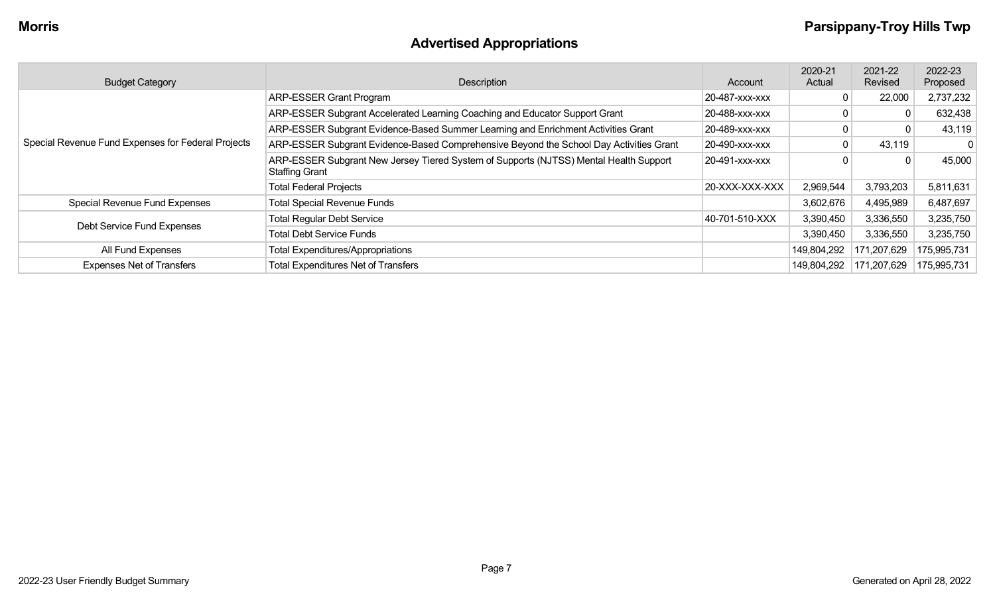# **Advertised Appropriations**

| <b>Budget Category</b>                             | Description                                                                                             | Account        | 2020-21<br>Actual | 2021-22<br>Revised | 2022-23<br>Proposed |
|----------------------------------------------------|---------------------------------------------------------------------------------------------------------|----------------|-------------------|--------------------|---------------------|
|                                                    | <b>ARP-ESSER Grant Program</b>                                                                          | 20-487-XXX-XXX | 0                 | 22,000             | 2,737,232           |
|                                                    | ARP-ESSER Subgrant Accelerated Learning Coaching and Educator Support Grant                             | 20-488-xxx-xxx |                   |                    | 632,438             |
|                                                    | ARP-ESSER Subgrant Evidence-Based Summer Learning and Enrichment Activities Grant                       | 20-489-XXX-XXX |                   |                    | 43,119              |
| Special Revenue Fund Expenses for Federal Projects | ARP-ESSER Subgrant Evidence-Based Comprehensive Beyond the School Day Activities Grant                  | 20-490-XXX-XXX | 0                 | 43,119             | 0                   |
|                                                    | ARP-ESSER Subgrant New Jersey Tiered System of Supports (NJTSS) Mental Health Support<br>Staffing Grant | 20-491-XXX-XXX |                   |                    | 45,000              |
|                                                    | <b>Total Federal Projects</b>                                                                           | 20-XXX-XXX-XXX | 2,969,544         | 3,793,203          | 5,811,631           |
| Special Revenue Fund Expenses                      | <b>Total Special Revenue Funds</b>                                                                      |                | 3,602,676         | 4,495,989          | 6,487,697           |
| Debt Service Fund Expenses                         | <b>Total Regular Debt Service</b>                                                                       | 40-701-510-XXX | 3,390,450         | 3,336,550          | 3,235,750           |
|                                                    | <b>Total Debt Service Funds</b>                                                                         |                | 3,390,450         | 3,336,550          | 3,235,750           |
| All Fund Expenses                                  | <b>Total Expenditures/Appropriations</b>                                                                |                | 149,804,292       | 171,207,629        | 175,995,731         |
| <b>Expenses Net of Transfers</b>                   | <b>Total Expenditures Net of Transfers</b>                                                              |                | 149,804,292       | 171,207,629        | 175,995,731         |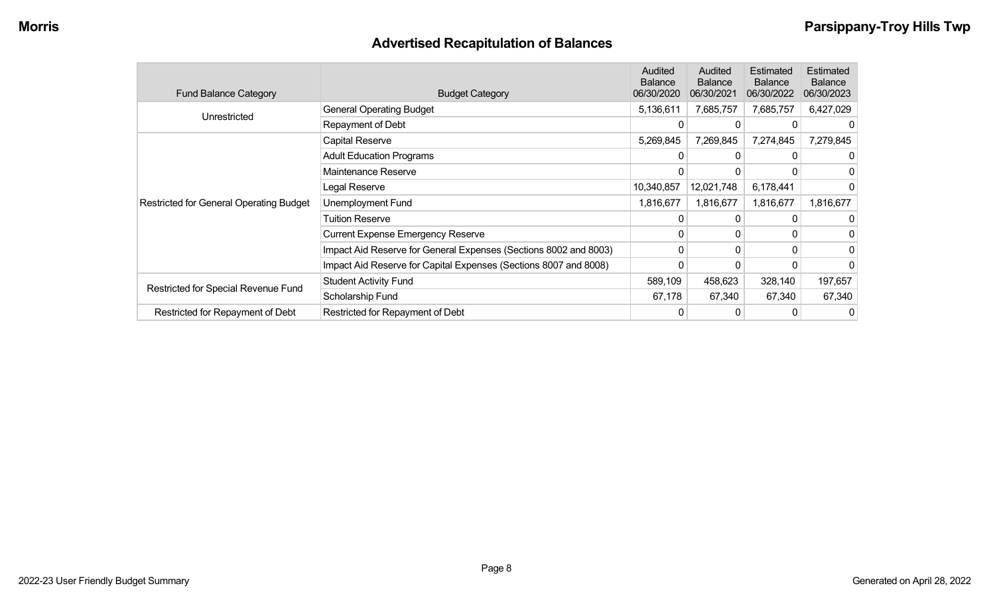# **Advertised Recapitulation of Balances**

| <b>Fund Balance Category</b>                   | <b>Budget Category</b>                                           | Audited<br><b>Balance</b><br>06/30/2020 | Audited<br><b>Balance</b><br>06/30/2021 | Estimated<br><b>Balance</b><br>06/30/2022 | Estimated<br><b>Balance</b><br>06/30/2023 |
|------------------------------------------------|------------------------------------------------------------------|-----------------------------------------|-----------------------------------------|-------------------------------------------|-------------------------------------------|
| Unrestricted                                   | <b>General Operating Budget</b>                                  | 5,136,611                               | 7,685,757                               | 7,685,757                                 | 6,427,029                                 |
|                                                | Repayment of Debt                                                |                                         |                                         |                                           |                                           |
|                                                | Capital Reserve                                                  | 5,269,845                               | 7,269,845                               | 7,274,845                                 | 7,279,845                                 |
|                                                | <b>Adult Education Programs</b>                                  |                                         |                                         |                                           | 0                                         |
|                                                | Maintenance Reserve                                              |                                         |                                         |                                           | 0                                         |
|                                                | Legal Reserve                                                    | 10,340,857                              | 12,021,748                              | 6,178,441                                 | 0                                         |
| <b>Restricted for General Operating Budget</b> | Unemployment Fund                                                | 1,816,677                               | 1,816,677                               | 1,816,677                                 | 1,816,677                                 |
|                                                | <b>Tuition Reserve</b>                                           |                                         |                                         |                                           |                                           |
|                                                | <b>Current Expense Emergency Reserve</b>                         | $\Omega$                                | 0                                       |                                           | 0                                         |
|                                                | Impact Aid Reserve for General Expenses (Sections 8002 and 8003) | $\Omega$                                | 0                                       |                                           | 0                                         |
|                                                | Impact Aid Reserve for Capital Expenses (Sections 8007 and 8008) | 0                                       | 0                                       |                                           | 0                                         |
|                                                | <b>Student Activity Fund</b>                                     | 589,109                                 | 458,623                                 | 328,140                                   | 197,657                                   |
| Restricted for Special Revenue Fund            | Scholarship Fund                                                 | 67,178                                  | 67,340                                  | 67,340                                    | 67,340                                    |
| Restricted for Repayment of Debt               | Restricted for Repayment of Debt                                 |                                         |                                         |                                           | 0                                         |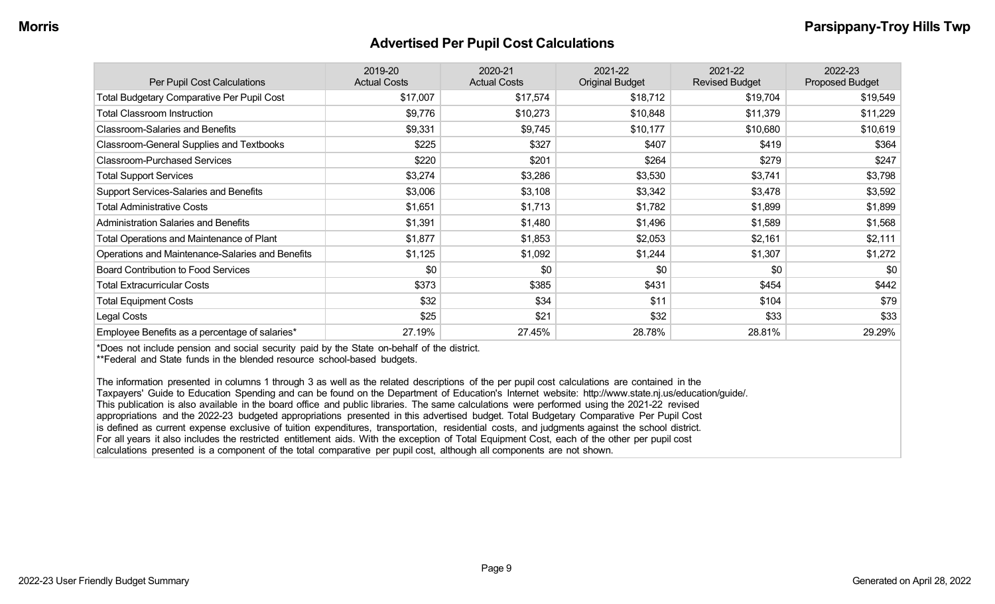#### **Advertised Per Pupil Cost Calculations**

| Per Pupil Cost Calculations                       | 2019-20<br><b>Actual Costs</b> | 2020-21<br><b>Actual Costs</b> | 2021-22<br><b>Original Budget</b> | 2021-22<br><b>Revised Budget</b> | 2022-23<br><b>Proposed Budget</b> |
|---------------------------------------------------|--------------------------------|--------------------------------|-----------------------------------|----------------------------------|-----------------------------------|
| <b>Total Budgetary Comparative Per Pupil Cost</b> | \$17,007                       | \$17,574                       | \$18,712                          | \$19,704                         | \$19,549                          |
| <b>Total Classroom Instruction</b>                | \$9,776                        | \$10,273                       | \$10,848                          | \$11,379                         | \$11,229                          |
| <b>Classroom-Salaries and Benefits</b>            | \$9,331                        | \$9,745                        | \$10,177                          | \$10,680                         | \$10,619                          |
| Classroom-General Supplies and Textbooks          | \$225                          | \$327                          | \$407                             | \$419                            | \$364                             |
| <b>Classroom-Purchased Services</b>               | \$220                          | \$201                          | \$264                             | \$279                            | \$247                             |
| <b>Total Support Services</b>                     | \$3,274                        | \$3,286                        | \$3,530                           | \$3,741                          | \$3,798                           |
| <b>Support Services-Salaries and Benefits</b>     | \$3,006                        | \$3,108                        | \$3,342                           | \$3,478                          | \$3,592                           |
| <b>Total Administrative Costs</b>                 | \$1,651                        | \$1,713                        | \$1,782                           | \$1,899                          | \$1,899                           |
| <b>Administration Salaries and Benefits</b>       | \$1,391                        | \$1,480                        | \$1,496                           | \$1,589                          | \$1,568                           |
| Total Operations and Maintenance of Plant         | \$1,877                        | \$1,853                        | \$2,053                           | \$2,161                          | \$2,111                           |
| Operations and Maintenance-Salaries and Benefits  | \$1,125                        | \$1,092                        | \$1,244                           | \$1,307                          | \$1,272                           |
| <b>Board Contribution to Food Services</b>        | \$0                            | \$0                            | \$0                               | \$0                              | \$0                               |
| <b>Total Extracurricular Costs</b>                | \$373                          | \$385                          | \$431                             | \$454                            | \$442                             |
| <b>Total Equipment Costs</b>                      | \$32                           | \$34                           | \$11                              | \$104                            | \$79                              |
| Legal Costs                                       | \$25                           | \$21                           | \$32                              | \$33                             | \$33                              |
| Employee Benefits as a percentage of salaries*    | 27.19%                         | 27.45%                         | 28.78%                            | 28.81%                           | 29.29%                            |

\*Does not include pension and social security paid by the State on-behalf of the district.

\*\*Federal and State funds in the blended resource school-based budgets.

The information presented in columns 1 through 3 as well as the related descriptions of the per pupil cost calculations are contained in the Taxpayers' Guide to Education Spending and can be found on the Department of Education's Internet website: http://www.state.nj.us/education/guide/. This publication is also available in the board office and public libraries. The same calculations were performed using the 2021-22 revised appropriations and the 2022-23 budgeted appropriations presented in this advertised budget. Total Budgetary Comparative Per Pupil Cost is defined as current expense exclusive of tuition expenditures, transportation, residential costs, and judgments against the school district. For all years it also includes the restricted entitlement aids. With the exception of Total Equipment Cost, each of the other per pupil cost calculations presented is a component of the total comparative per pupil cost, although all components are not shown.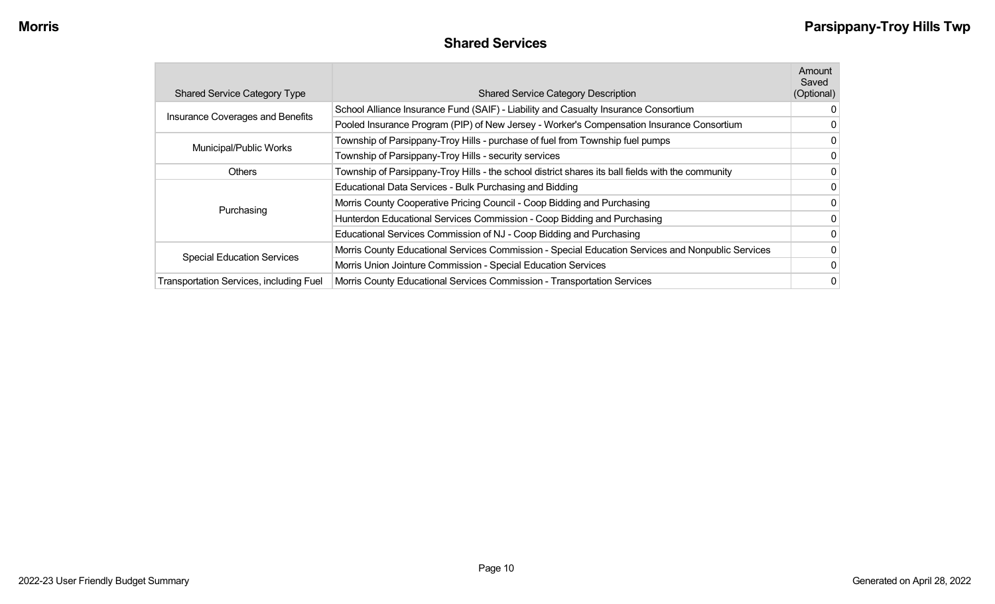#### **Shared Services**

| <b>Shared Service Category Type</b>            | <b>Shared Service Category Description</b>                                                        | Amount<br>Saved<br>(Optional) |
|------------------------------------------------|---------------------------------------------------------------------------------------------------|-------------------------------|
|                                                | School Alliance Insurance Fund (SAIF) - Liability and Casualty Insurance Consortium               | 0                             |
| Insurance Coverages and Benefits               | Pooled Insurance Program (PIP) of New Jersey - Worker's Compensation Insurance Consortium         | 0                             |
|                                                | Township of Parsippany-Troy Hills - purchase of fuel from Township fuel pumps                     | 0                             |
| Municipal/Public Works                         | Township of Parsippany-Troy Hills - security services                                             | 0                             |
| <b>Others</b>                                  | Township of Parsippany-Troy Hills - the school district shares its ball fields with the community | $\mathbf{0}$                  |
|                                                | Educational Data Services - Bulk Purchasing and Bidding                                           | $\mathbf{0}$                  |
|                                                | Morris County Cooperative Pricing Council - Coop Bidding and Purchasing                           | $\mathbf{0}$                  |
| Purchasing                                     | Hunterdon Educational Services Commission - Coop Bidding and Purchasing                           | $\Omega$                      |
|                                                | Educational Services Commission of NJ - Coop Bidding and Purchasing                               | 0                             |
|                                                | Morris County Educational Services Commission - Special Education Services and Nonpublic Services | 0                             |
| <b>Special Education Services</b>              | Morris Union Jointure Commission - Special Education Services                                     | 0                             |
| <b>Transportation Services, including Fuel</b> | Morris County Educational Services Commission - Transportation Services                           | 0                             |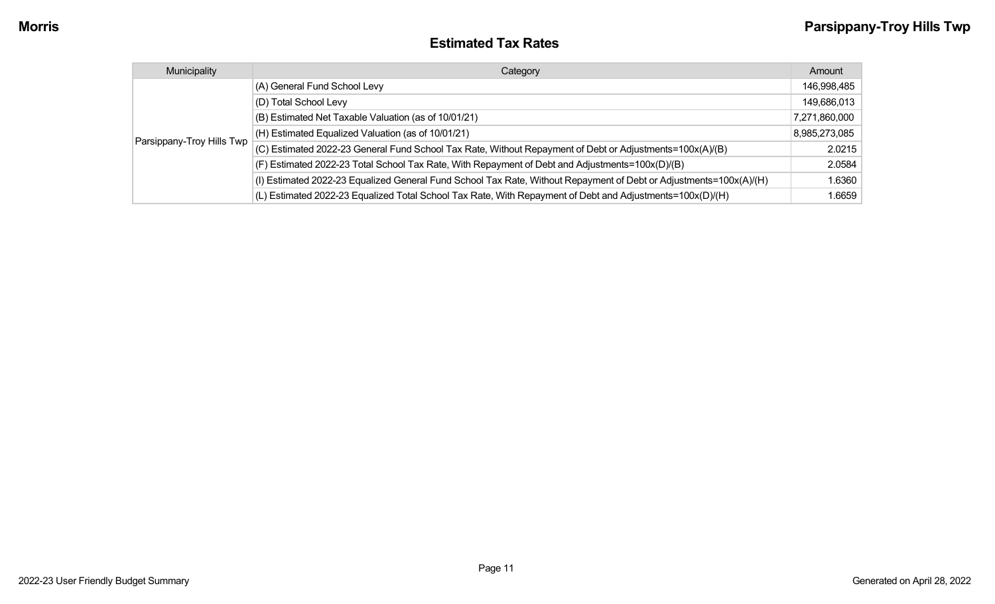| Municipality              | Category                                                                                                           | Amount        |
|---------------------------|--------------------------------------------------------------------------------------------------------------------|---------------|
| Parsippany-Troy Hills Twp | (A) General Fund School Levy                                                                                       | 146,998,485   |
|                           | (D) Total School Levy                                                                                              | 149,686,013   |
|                           | (B) Estimated Net Taxable Valuation (as of 10/01/21)                                                               | 7,271,860,000 |
|                           | $(H)$ Estimated Equalized Valuation (as of 10/01/21)                                                               | 8,985,273,085 |
|                           | (C) Estimated 2022-23 General Fund School Tax Rate, Without Repayment of Debt or Adjustments=100x(A)/(B)           | 2.0215        |
|                           | (F) Estimated 2022-23 Total School Tax Rate, With Repayment of Debt and Adjustments=100x(D)/(B)                    | 2.0584        |
|                           | (I) Estimated 2022-23 Equalized General Fund School Tax Rate, Without Repayment of Debt or Adjustments=100x(A)/(H) | 1.6360        |
|                           | (L) Estimated 2022-23 Equalized Total School Tax Rate, With Repayment of Debt and Adjustments=100x(D)/(H)          | 1.6659        |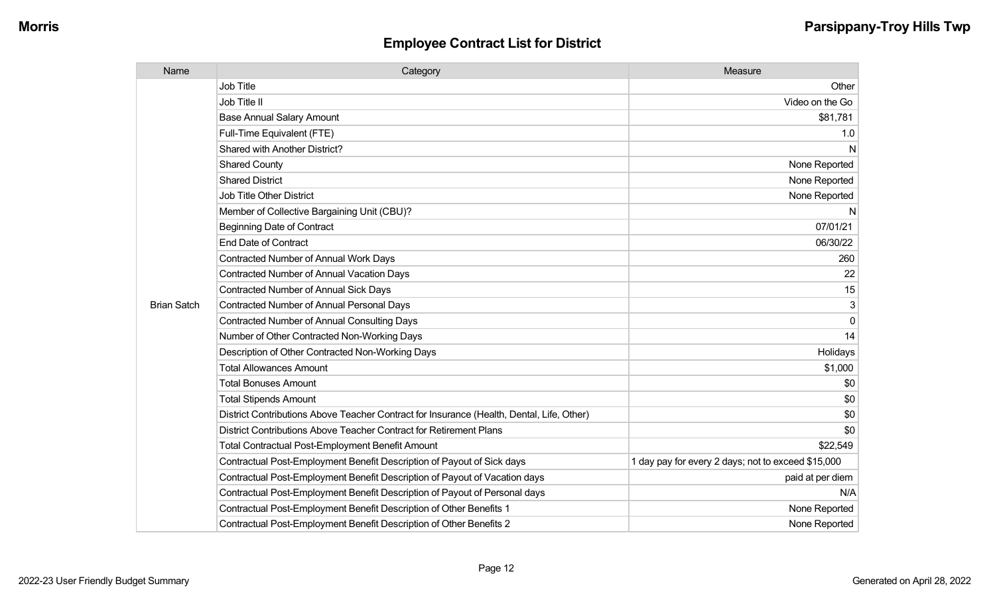| Name               | Category                                                                                  | Measure                                            |
|--------------------|-------------------------------------------------------------------------------------------|----------------------------------------------------|
|                    | <b>Job Title</b>                                                                          | Other                                              |
|                    | Job Title II                                                                              | Video on the Go                                    |
|                    | <b>Base Annual Salary Amount</b>                                                          | \$81,781                                           |
|                    | Full-Time Equivalent (FTE)                                                                | 1.0                                                |
|                    | <b>Shared with Another District?</b>                                                      | N                                                  |
|                    | <b>Shared County</b>                                                                      | None Reported                                      |
|                    | <b>Shared District</b>                                                                    | None Reported                                      |
|                    | <b>Job Title Other District</b>                                                           | None Reported                                      |
|                    | Member of Collective Bargaining Unit (CBU)?                                               | N                                                  |
|                    | <b>Beginning Date of Contract</b>                                                         | 07/01/21                                           |
|                    | <b>End Date of Contract</b>                                                               | 06/30/22                                           |
|                    | <b>Contracted Number of Annual Work Days</b>                                              | 260                                                |
|                    | <b>Contracted Number of Annual Vacation Days</b>                                          | 22                                                 |
|                    | Contracted Number of Annual Sick Days                                                     | 15                                                 |
| <b>Brian Satch</b> | <b>Contracted Number of Annual Personal Days</b>                                          | 3                                                  |
|                    | <b>Contracted Number of Annual Consulting Days</b>                                        | $\Omega$                                           |
|                    | Number of Other Contracted Non-Working Days                                               | 14                                                 |
|                    | Description of Other Contracted Non-Working Days                                          | Holidays                                           |
|                    | <b>Total Allowances Amount</b>                                                            | \$1,000                                            |
|                    | <b>Total Bonuses Amount</b>                                                               | \$0                                                |
|                    | <b>Total Stipends Amount</b>                                                              | \$0                                                |
|                    | District Contributions Above Teacher Contract for Insurance (Health, Dental, Life, Other) | \$0                                                |
|                    | District Contributions Above Teacher Contract for Retirement Plans                        | \$0                                                |
|                    | <b>Total Contractual Post-Employment Benefit Amount</b>                                   | \$22,549                                           |
|                    | Contractual Post-Employment Benefit Description of Payout of Sick days                    | 1 day pay for every 2 days; not to exceed \$15,000 |
|                    | Contractual Post-Employment Benefit Description of Payout of Vacation days                | paid at per diem                                   |
|                    | Contractual Post-Employment Benefit Description of Payout of Personal days                | N/A                                                |
|                    | Contractual Post-Employment Benefit Description of Other Benefits 1                       | None Reported                                      |
|                    | Contractual Post-Employment Benefit Description of Other Benefits 2                       | None Reported                                      |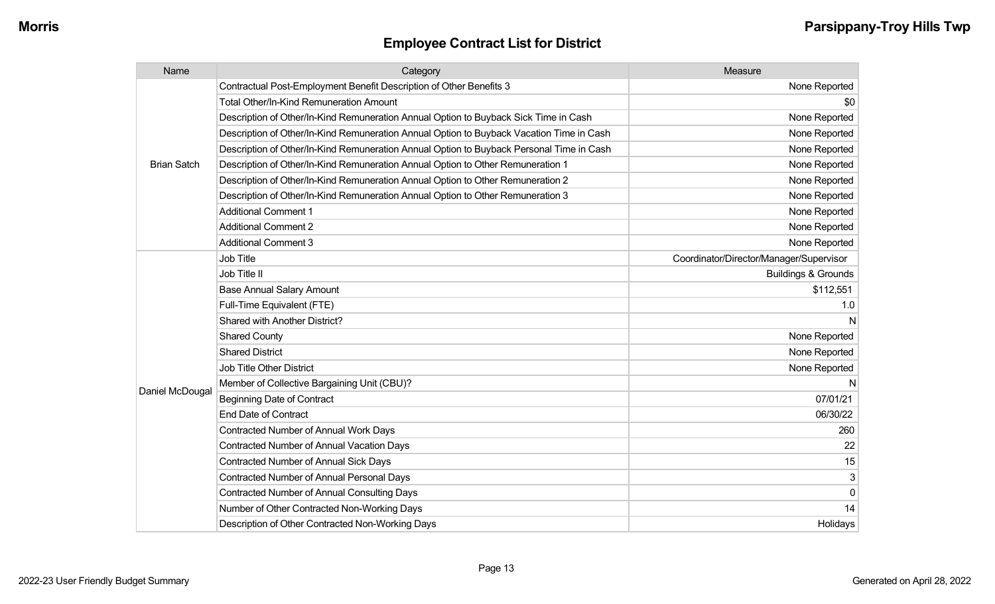| Name               | Category                                                                                 | Measure                                 |
|--------------------|------------------------------------------------------------------------------------------|-----------------------------------------|
|                    | Contractual Post-Employment Benefit Description of Other Benefits 3                      | None Reported                           |
|                    | <b>Total Other/In-Kind Remuneration Amount</b>                                           | \$0                                     |
|                    | Description of Other/In-Kind Remuneration Annual Option to Buyback Sick Time in Cash     | None Reported                           |
|                    | Description of Other/In-Kind Remuneration Annual Option to Buyback Vacation Time in Cash | None Reported                           |
|                    | Description of Other/In-Kind Remuneration Annual Option to Buyback Personal Time in Cash | None Reported                           |
| <b>Brian Satch</b> | Description of Other/In-Kind Remuneration Annual Option to Other Remuneration 1          | None Reported                           |
|                    | Description of Other/In-Kind Remuneration Annual Option to Other Remuneration 2          | None Reported                           |
|                    | Description of Other/In-Kind Remuneration Annual Option to Other Remuneration 3          | None Reported                           |
|                    | <b>Additional Comment 1</b>                                                              | None Reported                           |
|                    | <b>Additional Comment 2</b>                                                              | None Reported                           |
|                    | <b>Additional Comment 3</b>                                                              | None Reported                           |
|                    | Job Title                                                                                | Coordinator/Director/Manager/Supervisor |
|                    | Job Title II                                                                             | <b>Buildings &amp; Grounds</b>          |
|                    | <b>Base Annual Salary Amount</b>                                                         | \$112,551                               |
|                    | Full-Time Equivalent (FTE)                                                               | 1.0                                     |
|                    | Shared with Another District?                                                            | N                                       |
|                    | <b>Shared County</b>                                                                     | None Reported                           |
|                    | <b>Shared District</b>                                                                   | None Reported                           |
|                    | <b>Job Title Other District</b>                                                          | None Reported                           |
|                    | Member of Collective Bargaining Unit (CBU)?                                              | N                                       |
| Daniel McDougal    | <b>Beginning Date of Contract</b>                                                        | 07/01/21                                |
|                    | <b>End Date of Contract</b>                                                              | 06/30/22                                |
|                    | <b>Contracted Number of Annual Work Days</b>                                             | 260                                     |
|                    | <b>Contracted Number of Annual Vacation Days</b>                                         | 22                                      |
|                    | <b>Contracted Number of Annual Sick Days</b>                                             | 15                                      |
|                    | <b>Contracted Number of Annual Personal Days</b>                                         | 3                                       |
|                    | <b>Contracted Number of Annual Consulting Days</b>                                       | 0                                       |
|                    | Number of Other Contracted Non-Working Days                                              | 14                                      |
|                    | Description of Other Contracted Non-Working Days                                         | Holidays                                |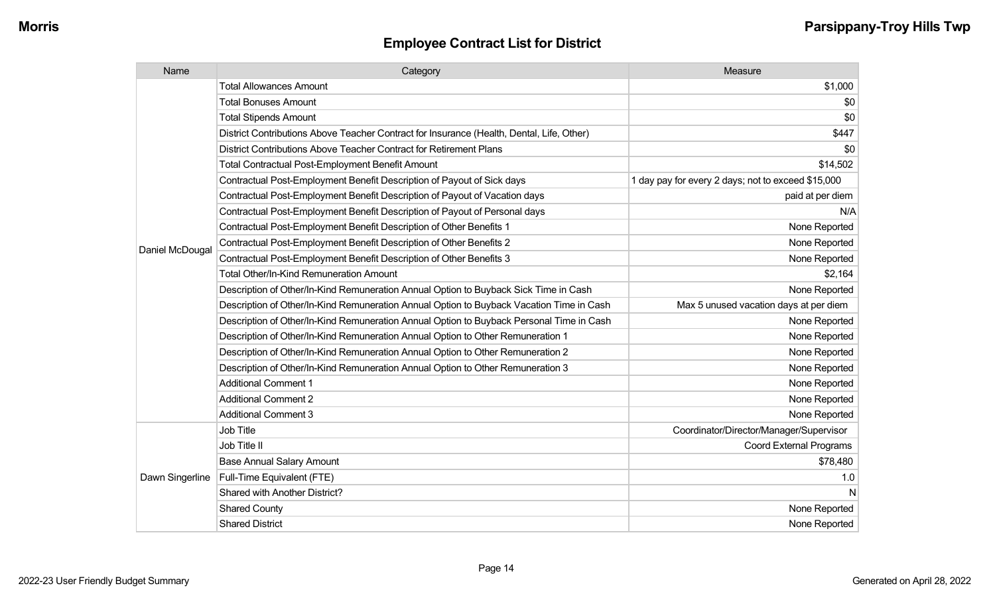| Name            | Category                                                                                  | Measure                                            |
|-----------------|-------------------------------------------------------------------------------------------|----------------------------------------------------|
|                 | <b>Total Allowances Amount</b>                                                            | \$1,000                                            |
|                 | <b>Total Bonuses Amount</b>                                                               | \$0                                                |
|                 | <b>Total Stipends Amount</b>                                                              | \$0                                                |
|                 | District Contributions Above Teacher Contract for Insurance (Health, Dental, Life, Other) | \$447                                              |
|                 | District Contributions Above Teacher Contract for Retirement Plans                        | \$0                                                |
|                 | <b>Total Contractual Post-Employment Benefit Amount</b>                                   | \$14,502                                           |
|                 | Contractual Post-Employment Benefit Description of Payout of Sick days                    | 1 day pay for every 2 days; not to exceed \$15,000 |
|                 | Contractual Post-Employment Benefit Description of Payout of Vacation days                | paid at per diem                                   |
|                 | Contractual Post-Employment Benefit Description of Payout of Personal days                | N/A                                                |
|                 | Contractual Post-Employment Benefit Description of Other Benefits 1                       | None Reported                                      |
| Daniel McDougal | Contractual Post-Employment Benefit Description of Other Benefits 2                       | None Reported                                      |
|                 | Contractual Post-Employment Benefit Description of Other Benefits 3                       | None Reported                                      |
|                 | <b>Total Other/In-Kind Remuneration Amount</b>                                            | \$2,164                                            |
|                 | Description of Other/In-Kind Remuneration Annual Option to Buyback Sick Time in Cash      | None Reported                                      |
|                 | Description of Other/In-Kind Remuneration Annual Option to Buyback Vacation Time in Cash  | Max 5 unused vacation days at per diem             |
|                 | Description of Other/In-Kind Remuneration Annual Option to Buyback Personal Time in Cash  | None Reported                                      |
|                 | Description of Other/In-Kind Remuneration Annual Option to Other Remuneration 1           | None Reported                                      |
|                 | Description of Other/In-Kind Remuneration Annual Option to Other Remuneration 2           | None Reported                                      |
|                 | Description of Other/In-Kind Remuneration Annual Option to Other Remuneration 3           | None Reported                                      |
|                 | <b>Additional Comment 1</b>                                                               | None Reported                                      |
|                 | <b>Additional Comment 2</b>                                                               | None Reported                                      |
|                 | <b>Additional Comment 3</b>                                                               | None Reported                                      |
|                 | <b>Job Title</b>                                                                          | Coordinator/Director/Manager/Supervisor            |
| Dawn Singerline | Job Title II                                                                              | <b>Coord External Programs</b>                     |
|                 | <b>Base Annual Salary Amount</b>                                                          | \$78,480                                           |
|                 | Full-Time Equivalent (FTE)                                                                | 1.0                                                |
|                 | Shared with Another District?                                                             | N                                                  |
|                 | <b>Shared County</b>                                                                      | None Reported                                      |
|                 | <b>Shared District</b>                                                                    | None Reported                                      |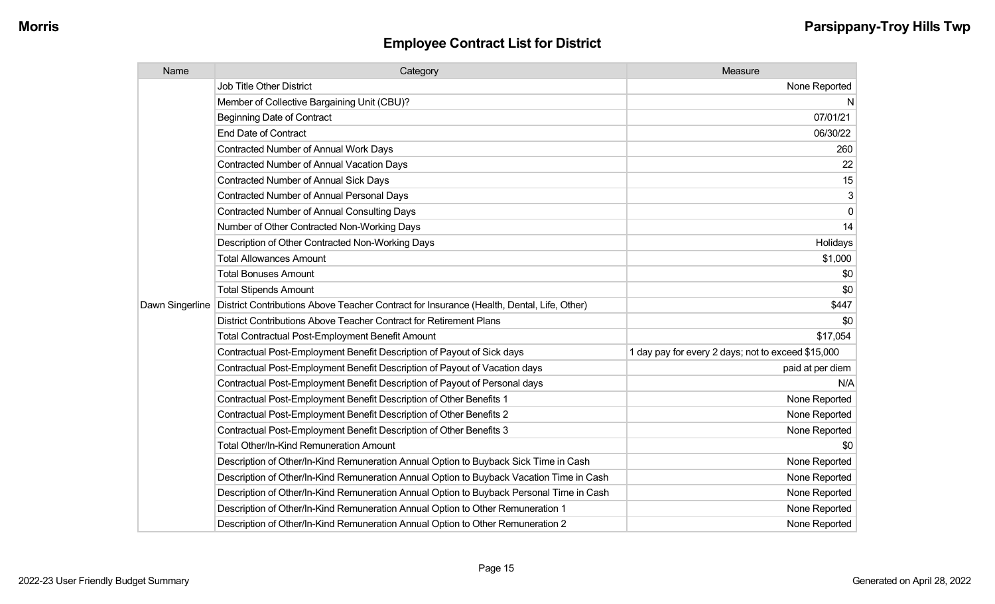| Name            | Category                                                                                  | Measure                                            |
|-----------------|-------------------------------------------------------------------------------------------|----------------------------------------------------|
|                 | <b>Job Title Other District</b>                                                           | None Reported                                      |
|                 | Member of Collective Bargaining Unit (CBU)?                                               | N                                                  |
|                 | <b>Beginning Date of Contract</b>                                                         | 07/01/21                                           |
|                 | <b>End Date of Contract</b>                                                               | 06/30/22                                           |
|                 | <b>Contracted Number of Annual Work Days</b>                                              | 260                                                |
|                 | <b>Contracted Number of Annual Vacation Days</b>                                          | 22                                                 |
|                 | <b>Contracted Number of Annual Sick Days</b>                                              | 15                                                 |
|                 | Contracted Number of Annual Personal Days                                                 | 3                                                  |
|                 | <b>Contracted Number of Annual Consulting Days</b>                                        | 0                                                  |
|                 | Number of Other Contracted Non-Working Days                                               | 14                                                 |
|                 | Description of Other Contracted Non-Working Days                                          | Holidays                                           |
|                 | <b>Total Allowances Amount</b>                                                            | \$1,000                                            |
|                 | <b>Total Bonuses Amount</b>                                                               | \$0                                                |
|                 | <b>Total Stipends Amount</b>                                                              | \$0                                                |
| Dawn Singerline | District Contributions Above Teacher Contract for Insurance (Health, Dental, Life, Other) | \$447                                              |
|                 | District Contributions Above Teacher Contract for Retirement Plans                        | \$0                                                |
|                 | <b>Total Contractual Post-Employment Benefit Amount</b>                                   | \$17,054                                           |
|                 | Contractual Post-Employment Benefit Description of Payout of Sick days                    | 1 day pay for every 2 days; not to exceed \$15,000 |
|                 | Contractual Post-Employment Benefit Description of Payout of Vacation days                | paid at per diem                                   |
|                 | Contractual Post-Employment Benefit Description of Payout of Personal days                | N/A                                                |
|                 | Contractual Post-Employment Benefit Description of Other Benefits 1                       | None Reported                                      |
|                 | Contractual Post-Employment Benefit Description of Other Benefits 2                       | None Reported                                      |
|                 | Contractual Post-Employment Benefit Description of Other Benefits 3                       | None Reported                                      |
|                 | Total Other/In-Kind Remuneration Amount                                                   | \$0                                                |
|                 | Description of Other/In-Kind Remuneration Annual Option to Buyback Sick Time in Cash      | None Reported                                      |
|                 | Description of Other/In-Kind Remuneration Annual Option to Buyback Vacation Time in Cash  | None Reported                                      |
|                 | Description of Other/In-Kind Remuneration Annual Option to Buyback Personal Time in Cash  | None Reported                                      |
|                 | Description of Other/In-Kind Remuneration Annual Option to Other Remuneration 1           | None Reported                                      |
|                 | Description of Other/In-Kind Remuneration Annual Option to Other Remuneration 2           | None Reported                                      |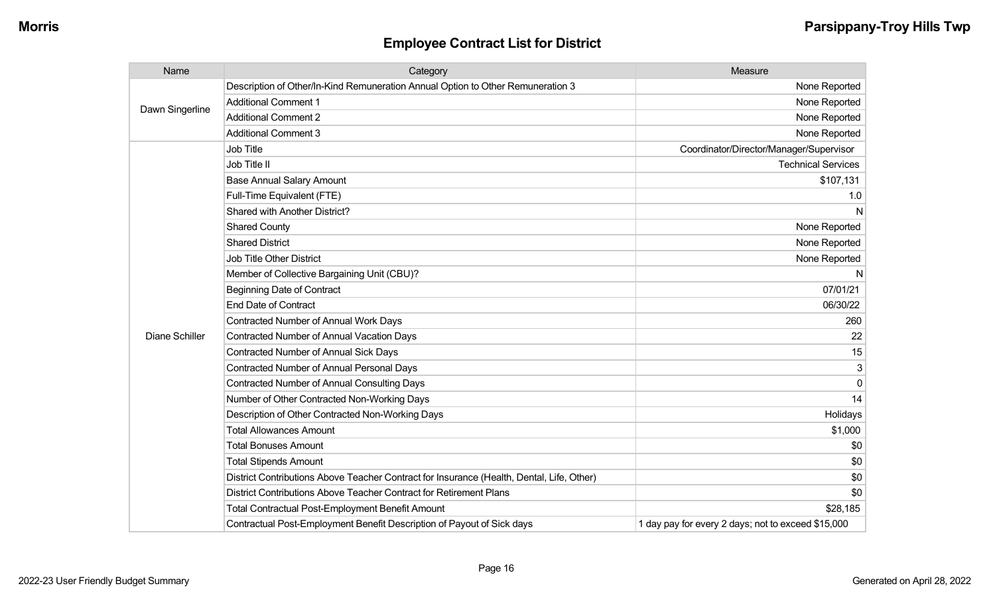| Name                  | Category                                                                                  | Measure                                            |
|-----------------------|-------------------------------------------------------------------------------------------|----------------------------------------------------|
| Dawn Singerline       | Description of Other/In-Kind Remuneration Annual Option to Other Remuneration 3           | None Reported                                      |
|                       | <b>Additional Comment 1</b>                                                               | None Reported                                      |
|                       | <b>Additional Comment 2</b>                                                               | None Reported                                      |
|                       | <b>Additional Comment 3</b>                                                               | None Reported                                      |
|                       | Job Title                                                                                 | Coordinator/Director/Manager/Supervisor            |
|                       | Job Title II                                                                              | <b>Technical Services</b>                          |
|                       | <b>Base Annual Salary Amount</b>                                                          | \$107,131                                          |
|                       | Full-Time Equivalent (FTE)                                                                | 1.0                                                |
|                       | Shared with Another District?                                                             | N                                                  |
|                       | <b>Shared County</b>                                                                      | None Reported                                      |
|                       | <b>Shared District</b>                                                                    | None Reported                                      |
|                       | <b>Job Title Other District</b>                                                           | None Reported                                      |
|                       | Member of Collective Bargaining Unit (CBU)?                                               | N                                                  |
|                       | <b>Beginning Date of Contract</b>                                                         | 07/01/21                                           |
|                       | <b>End Date of Contract</b>                                                               | 06/30/22                                           |
|                       | <b>Contracted Number of Annual Work Days</b>                                              | 260                                                |
| <b>Diane Schiller</b> | <b>Contracted Number of Annual Vacation Days</b>                                          | 22                                                 |
|                       | <b>Contracted Number of Annual Sick Days</b>                                              | 15                                                 |
|                       | <b>Contracted Number of Annual Personal Days</b>                                          | 3                                                  |
|                       | <b>Contracted Number of Annual Consulting Days</b>                                        | $\Omega$                                           |
|                       | Number of Other Contracted Non-Working Days                                               | 14                                                 |
|                       | Description of Other Contracted Non-Working Days                                          | Holidays                                           |
|                       | <b>Total Allowances Amount</b>                                                            | \$1,000                                            |
|                       | <b>Total Bonuses Amount</b>                                                               | \$0                                                |
|                       | <b>Total Stipends Amount</b>                                                              | \$0                                                |
|                       | District Contributions Above Teacher Contract for Insurance (Health, Dental, Life, Other) | \$0                                                |
|                       | District Contributions Above Teacher Contract for Retirement Plans                        | \$0                                                |
|                       | <b>Total Contractual Post-Employment Benefit Amount</b>                                   | \$28,185                                           |
|                       | Contractual Post-Employment Benefit Description of Payout of Sick days                    | 1 day pay for every 2 days; not to exceed \$15,000 |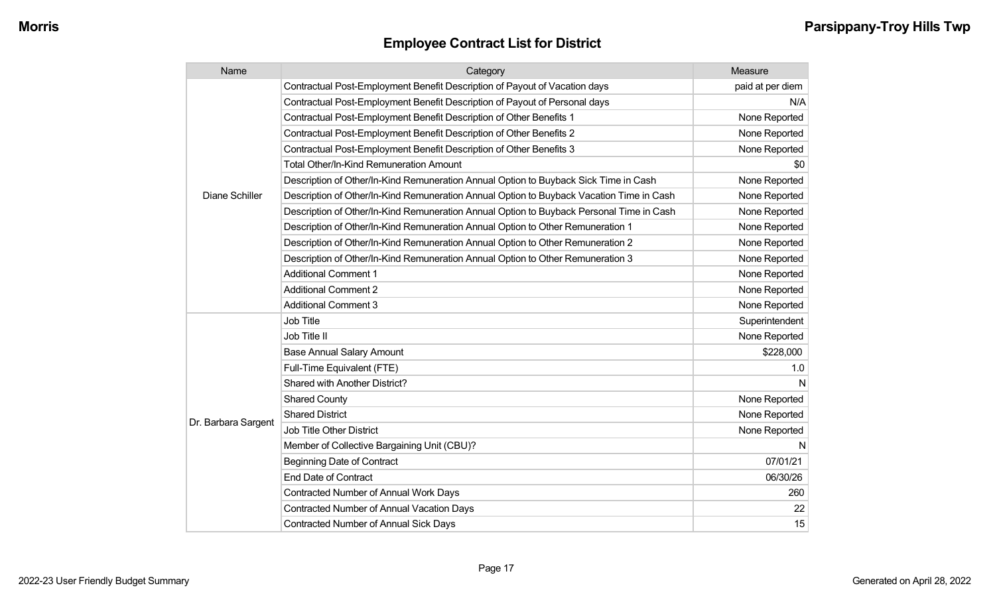| Name                | Category                                                                                 | Measure          |
|---------------------|------------------------------------------------------------------------------------------|------------------|
|                     | Contractual Post-Employment Benefit Description of Payout of Vacation days               | paid at per diem |
|                     | Contractual Post-Employment Benefit Description of Payout of Personal days               | N/A              |
|                     | Contractual Post-Employment Benefit Description of Other Benefits 1                      | None Reported    |
|                     | Contractual Post-Employment Benefit Description of Other Benefits 2                      | None Reported    |
|                     | Contractual Post-Employment Benefit Description of Other Benefits 3                      | None Reported    |
|                     | <b>Total Other/In-Kind Remuneration Amount</b>                                           | \$0              |
|                     | Description of Other/In-Kind Remuneration Annual Option to Buyback Sick Time in Cash     | None Reported    |
| Diane Schiller      | Description of Other/In-Kind Remuneration Annual Option to Buyback Vacation Time in Cash | None Reported    |
|                     | Description of Other/In-Kind Remuneration Annual Option to Buyback Personal Time in Cash | None Reported    |
|                     | Description of Other/In-Kind Remuneration Annual Option to Other Remuneration 1          | None Reported    |
|                     | Description of Other/In-Kind Remuneration Annual Option to Other Remuneration 2          | None Reported    |
|                     | Description of Other/In-Kind Remuneration Annual Option to Other Remuneration 3          | None Reported    |
|                     | <b>Additional Comment 1</b>                                                              | None Reported    |
|                     | <b>Additional Comment 2</b>                                                              | None Reported    |
|                     | <b>Additional Comment 3</b>                                                              | None Reported    |
|                     | Job Title                                                                                | Superintendent   |
|                     | Job Title II                                                                             | None Reported    |
|                     | <b>Base Annual Salary Amount</b>                                                         | \$228,000        |
|                     | Full-Time Equivalent (FTE)                                                               | 1.0              |
|                     | Shared with Another District?                                                            | N                |
|                     | <b>Shared County</b>                                                                     | None Reported    |
| Dr. Barbara Sargent | <b>Shared District</b>                                                                   | None Reported    |
|                     | Job Title Other District                                                                 | None Reported    |
|                     | Member of Collective Bargaining Unit (CBU)?                                              | N                |
|                     | <b>Beginning Date of Contract</b>                                                        | 07/01/21         |
|                     | <b>End Date of Contract</b>                                                              | 06/30/26         |
|                     | <b>Contracted Number of Annual Work Days</b>                                             | 260              |
|                     | <b>Contracted Number of Annual Vacation Days</b>                                         | 22               |
|                     | <b>Contracted Number of Annual Sick Days</b>                                             | 15               |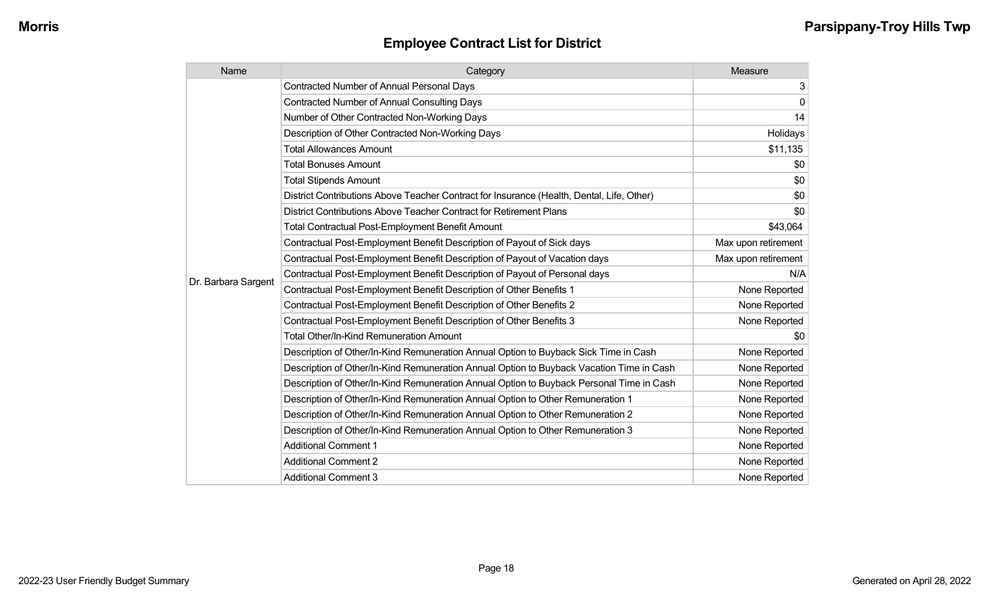| Name                | Category                                                                                  | Measure             |
|---------------------|-------------------------------------------------------------------------------------------|---------------------|
|                     | <b>Contracted Number of Annual Personal Days</b>                                          | 3                   |
|                     | <b>Contracted Number of Annual Consulting Days</b>                                        | $\mathbf 0$         |
|                     | Number of Other Contracted Non-Working Days                                               | 14                  |
|                     | Description of Other Contracted Non-Working Days                                          | Holidays            |
|                     | <b>Total Allowances Amount</b>                                                            | \$11,135            |
|                     | <b>Total Bonuses Amount</b>                                                               | \$0                 |
|                     | <b>Total Stipends Amount</b>                                                              | \$0                 |
|                     | District Contributions Above Teacher Contract for Insurance (Health, Dental, Life, Other) | \$0                 |
|                     | District Contributions Above Teacher Contract for Retirement Plans                        | \$0                 |
|                     | <b>Total Contractual Post-Employment Benefit Amount</b>                                   | \$43,064            |
|                     | Contractual Post-Employment Benefit Description of Payout of Sick days                    | Max upon retirement |
|                     | Contractual Post-Employment Benefit Description of Payout of Vacation days                | Max upon retirement |
| Dr. Barbara Sargent | Contractual Post-Employment Benefit Description of Payout of Personal days                | N/A                 |
|                     | Contractual Post-Employment Benefit Description of Other Benefits 1                       | None Reported       |
|                     | Contractual Post-Employment Benefit Description of Other Benefits 2                       | None Reported       |
|                     | Contractual Post-Employment Benefit Description of Other Benefits 3                       | None Reported       |
|                     | Total Other/In-Kind Remuneration Amount                                                   | \$0                 |
|                     | Description of Other/In-Kind Remuneration Annual Option to Buyback Sick Time in Cash      | None Reported       |
|                     | Description of Other/In-Kind Remuneration Annual Option to Buyback Vacation Time in Cash  | None Reported       |
|                     | Description of Other/In-Kind Remuneration Annual Option to Buyback Personal Time in Cash  | None Reported       |
|                     | Description of Other/In-Kind Remuneration Annual Option to Other Remuneration 1           | None Reported       |
|                     | Description of Other/In-Kind Remuneration Annual Option to Other Remuneration 2           | None Reported       |
|                     | Description of Other/In-Kind Remuneration Annual Option to Other Remuneration 3           | None Reported       |
|                     | <b>Additional Comment 1</b>                                                               | None Reported       |
|                     | <b>Additional Comment 2</b>                                                               | None Reported       |
|                     | <b>Additional Comment 3</b>                                                               | None Reported       |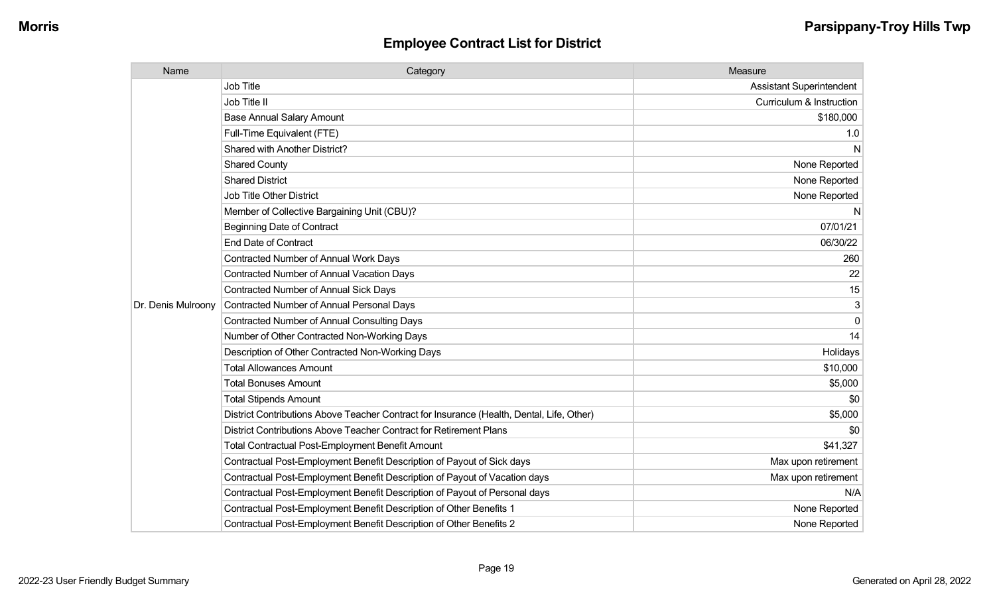| Name               | Category                                                                                  | Measure                         |
|--------------------|-------------------------------------------------------------------------------------------|---------------------------------|
|                    | Job Title                                                                                 | <b>Assistant Superintendent</b> |
|                    | Job Title II                                                                              | Curriculum & Instruction        |
|                    | <b>Base Annual Salary Amount</b>                                                          | \$180,000                       |
|                    | Full-Time Equivalent (FTE)                                                                | 1.0                             |
|                    | Shared with Another District?                                                             | N                               |
|                    | <b>Shared County</b>                                                                      | None Reported                   |
|                    | <b>Shared District</b>                                                                    | None Reported                   |
|                    | <b>Job Title Other District</b>                                                           | None Reported                   |
|                    | Member of Collective Bargaining Unit (CBU)?                                               | N.                              |
|                    | <b>Beginning Date of Contract</b>                                                         | 07/01/21                        |
|                    | <b>End Date of Contract</b>                                                               | 06/30/22                        |
|                    | Contracted Number of Annual Work Days                                                     | 260                             |
|                    | <b>Contracted Number of Annual Vacation Days</b>                                          | 22                              |
|                    | <b>Contracted Number of Annual Sick Days</b>                                              | 15                              |
| Dr. Denis Mulroony | <b>Contracted Number of Annual Personal Days</b>                                          | 3                               |
|                    | <b>Contracted Number of Annual Consulting Days</b>                                        | $\Omega$                        |
|                    | Number of Other Contracted Non-Working Days                                               | 14                              |
|                    | Description of Other Contracted Non-Working Days                                          | Holidays                        |
|                    | <b>Total Allowances Amount</b>                                                            | \$10,000                        |
|                    | <b>Total Bonuses Amount</b>                                                               | \$5,000                         |
|                    | <b>Total Stipends Amount</b>                                                              | \$0                             |
|                    | District Contributions Above Teacher Contract for Insurance (Health, Dental, Life, Other) | \$5,000                         |
|                    | District Contributions Above Teacher Contract for Retirement Plans                        | \$0                             |
|                    | <b>Total Contractual Post-Employment Benefit Amount</b>                                   | \$41,327                        |
|                    | Contractual Post-Employment Benefit Description of Payout of Sick days                    | Max upon retirement             |
|                    | Contractual Post-Employment Benefit Description of Payout of Vacation days                | Max upon retirement             |
|                    | Contractual Post-Employment Benefit Description of Payout of Personal days                | N/A                             |
|                    | Contractual Post-Employment Benefit Description of Other Benefits 1                       | None Reported                   |
|                    | Contractual Post-Employment Benefit Description of Other Benefits 2                       | None Reported                   |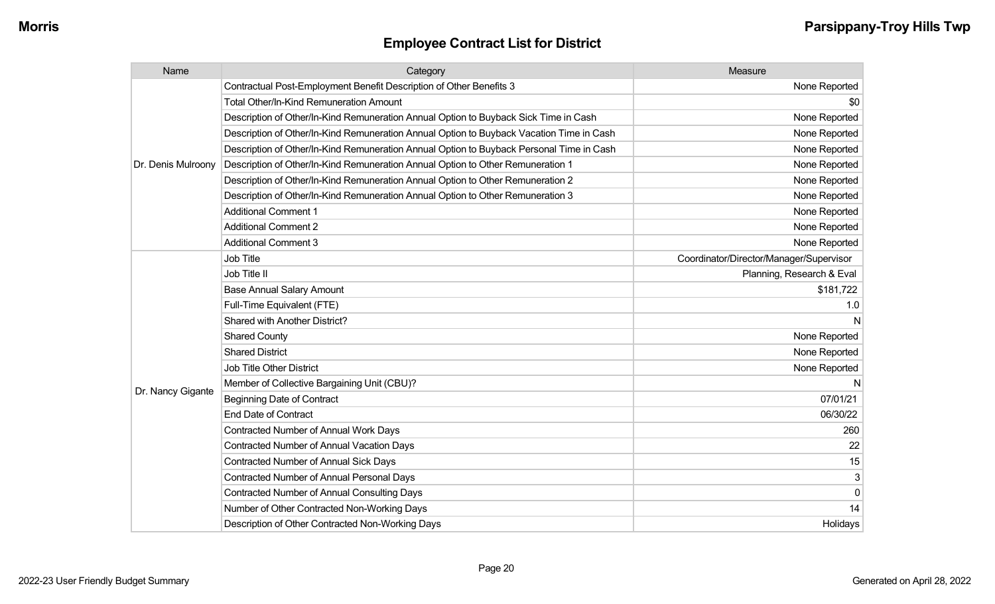| Name               | Category                                                                                 | Measure                                 |
|--------------------|------------------------------------------------------------------------------------------|-----------------------------------------|
|                    | Contractual Post-Employment Benefit Description of Other Benefits 3                      | None Reported                           |
|                    | <b>Total Other/In-Kind Remuneration Amount</b>                                           | \$0                                     |
|                    | Description of Other/In-Kind Remuneration Annual Option to Buyback Sick Time in Cash     | None Reported                           |
|                    | Description of Other/In-Kind Remuneration Annual Option to Buyback Vacation Time in Cash | None Reported                           |
|                    | Description of Other/In-Kind Remuneration Annual Option to Buyback Personal Time in Cash | None Reported                           |
| Dr. Denis Mulroony | Description of Other/In-Kind Remuneration Annual Option to Other Remuneration 1          | None Reported                           |
|                    | Description of Other/In-Kind Remuneration Annual Option to Other Remuneration 2          | None Reported                           |
|                    | Description of Other/In-Kind Remuneration Annual Option to Other Remuneration 3          | None Reported                           |
|                    | <b>Additional Comment 1</b>                                                              | None Reported                           |
|                    | <b>Additional Comment 2</b>                                                              | None Reported                           |
|                    | <b>Additional Comment 3</b>                                                              | None Reported                           |
|                    | Job Title                                                                                | Coordinator/Director/Manager/Supervisor |
|                    | Job Title II                                                                             | Planning, Research & Eval               |
|                    | <b>Base Annual Salary Amount</b>                                                         | \$181,722                               |
|                    | Full-Time Equivalent (FTE)                                                               | 1.0                                     |
|                    | Shared with Another District?                                                            | N                                       |
|                    | <b>Shared County</b>                                                                     | None Reported                           |
|                    | <b>Shared District</b>                                                                   | None Reported                           |
|                    | <b>Job Title Other District</b>                                                          | None Reported                           |
|                    | Member of Collective Bargaining Unit (CBU)?                                              | N                                       |
| Dr. Nancy Gigante  | <b>Beginning Date of Contract</b>                                                        | 07/01/21                                |
|                    | <b>End Date of Contract</b>                                                              | 06/30/22                                |
|                    | Contracted Number of Annual Work Days                                                    | 260                                     |
|                    | <b>Contracted Number of Annual Vacation Days</b>                                         | 22                                      |
|                    | Contracted Number of Annual Sick Days                                                    | 15                                      |
|                    | Contracted Number of Annual Personal Days                                                | 3                                       |
|                    | Contracted Number of Annual Consulting Days                                              | $\mathbf{0}$                            |
|                    | Number of Other Contracted Non-Working Days                                              | 14                                      |
|                    | Description of Other Contracted Non-Working Days                                         | Holidays                                |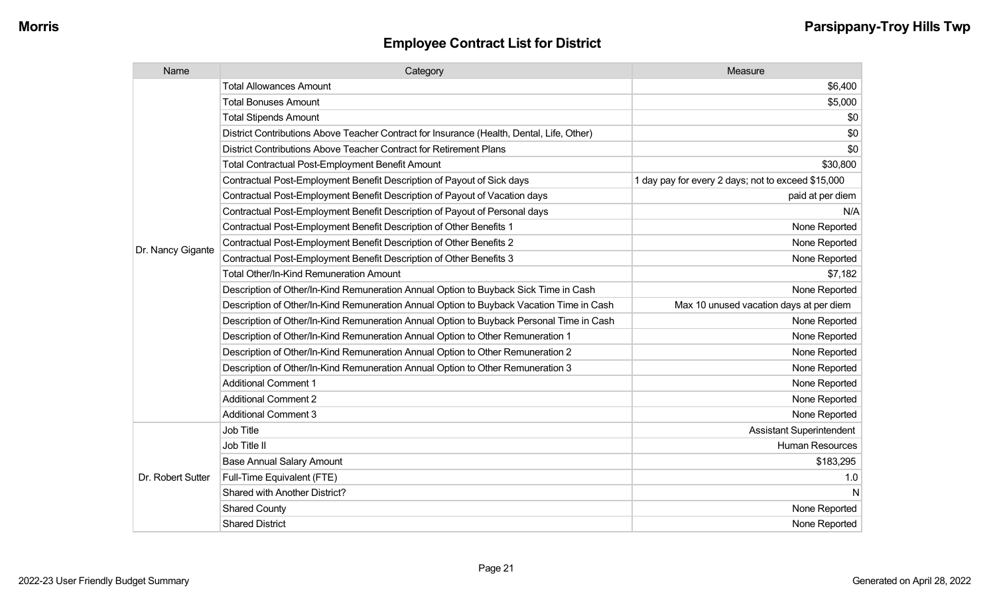| Name              | Category                                                                                  | Measure                                            |
|-------------------|-------------------------------------------------------------------------------------------|----------------------------------------------------|
|                   | <b>Total Allowances Amount</b>                                                            | \$6,400                                            |
|                   | <b>Total Bonuses Amount</b>                                                               | \$5,000                                            |
|                   | <b>Total Stipends Amount</b>                                                              | \$0                                                |
|                   | District Contributions Above Teacher Contract for Insurance (Health, Dental, Life, Other) | \$0                                                |
|                   | District Contributions Above Teacher Contract for Retirement Plans                        | \$0                                                |
|                   | <b>Total Contractual Post-Employment Benefit Amount</b>                                   | \$30,800                                           |
|                   | Contractual Post-Employment Benefit Description of Payout of Sick days                    | 1 day pay for every 2 days; not to exceed \$15,000 |
|                   | Contractual Post-Employment Benefit Description of Payout of Vacation days                | paid at per diem                                   |
|                   | Contractual Post-Employment Benefit Description of Payout of Personal days                | N/A                                                |
|                   | Contractual Post-Employment Benefit Description of Other Benefits 1                       | None Reported                                      |
| Dr. Nancy Gigante | Contractual Post-Employment Benefit Description of Other Benefits 2                       | None Reported                                      |
|                   | Contractual Post-Employment Benefit Description of Other Benefits 3                       | None Reported                                      |
|                   | Total Other/In-Kind Remuneration Amount                                                   | \$7,182                                            |
|                   | Description of Other/In-Kind Remuneration Annual Option to Buyback Sick Time in Cash      | None Reported                                      |
|                   | Description of Other/In-Kind Remuneration Annual Option to Buyback Vacation Time in Cash  | Max 10 unused vacation days at per diem            |
|                   | Description of Other/In-Kind Remuneration Annual Option to Buyback Personal Time in Cash  | None Reported                                      |
|                   | Description of Other/In-Kind Remuneration Annual Option to Other Remuneration 1           | None Reported                                      |
|                   | Description of Other/In-Kind Remuneration Annual Option to Other Remuneration 2           | None Reported                                      |
|                   | Description of Other/In-Kind Remuneration Annual Option to Other Remuneration 3           | None Reported                                      |
|                   | <b>Additional Comment 1</b>                                                               | None Reported                                      |
|                   | <b>Additional Comment 2</b>                                                               | None Reported                                      |
|                   | <b>Additional Comment 3</b>                                                               | None Reported                                      |
|                   | Job Title                                                                                 | <b>Assistant Superintendent</b>                    |
|                   | Job Title II                                                                              | Human Resources                                    |
|                   | <b>Base Annual Salary Amount</b>                                                          | \$183,295                                          |
| Dr. Robert Sutter | Full-Time Equivalent (FTE)                                                                | 1.0                                                |
|                   | Shared with Another District?                                                             | N                                                  |
|                   | <b>Shared County</b>                                                                      | None Reported                                      |
|                   | <b>Shared District</b>                                                                    | None Reported                                      |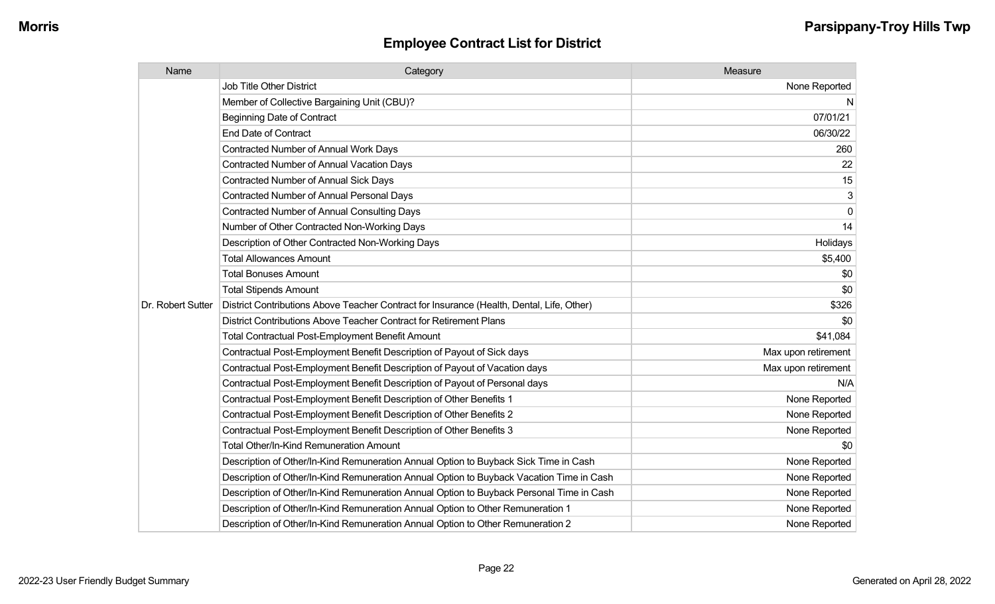| Name              | Category                                                                                  | Measure             |
|-------------------|-------------------------------------------------------------------------------------------|---------------------|
|                   | <b>Job Title Other District</b>                                                           | None Reported       |
|                   | Member of Collective Bargaining Unit (CBU)?                                               | N                   |
|                   | <b>Beginning Date of Contract</b>                                                         | 07/01/21            |
|                   | <b>End Date of Contract</b>                                                               | 06/30/22            |
|                   | Contracted Number of Annual Work Days                                                     | 260                 |
|                   | <b>Contracted Number of Annual Vacation Days</b>                                          | 22                  |
|                   | <b>Contracted Number of Annual Sick Days</b>                                              | 15                  |
|                   | Contracted Number of Annual Personal Days                                                 | 3                   |
|                   | <b>Contracted Number of Annual Consulting Days</b>                                        | $\mathbf{0}$        |
|                   | Number of Other Contracted Non-Working Days                                               | 14                  |
|                   | Description of Other Contracted Non-Working Days                                          | Holidays            |
|                   | <b>Total Allowances Amount</b>                                                            | \$5,400             |
|                   | <b>Total Bonuses Amount</b>                                                               | \$0                 |
|                   | <b>Total Stipends Amount</b>                                                              | \$0                 |
| Dr. Robert Sutter | District Contributions Above Teacher Contract for Insurance (Health, Dental, Life, Other) | \$326               |
|                   | District Contributions Above Teacher Contract for Retirement Plans                        | \$0                 |
|                   | <b>Total Contractual Post-Employment Benefit Amount</b>                                   | \$41,084            |
|                   | Contractual Post-Employment Benefit Description of Payout of Sick days                    | Max upon retirement |
|                   | Contractual Post-Employment Benefit Description of Payout of Vacation days                | Max upon retirement |
|                   | Contractual Post-Employment Benefit Description of Payout of Personal days                | N/A                 |
|                   | Contractual Post-Employment Benefit Description of Other Benefits 1                       | None Reported       |
|                   | Contractual Post-Employment Benefit Description of Other Benefits 2                       | None Reported       |
|                   | Contractual Post-Employment Benefit Description of Other Benefits 3                       | None Reported       |
|                   | Total Other/In-Kind Remuneration Amount                                                   | \$0                 |
|                   | Description of Other/In-Kind Remuneration Annual Option to Buyback Sick Time in Cash      | None Reported       |
|                   | Description of Other/In-Kind Remuneration Annual Option to Buyback Vacation Time in Cash  | None Reported       |
|                   | Description of Other/In-Kind Remuneration Annual Option to Buyback Personal Time in Cash  | None Reported       |
|                   | Description of Other/In-Kind Remuneration Annual Option to Other Remuneration 1           | None Reported       |
|                   | Description of Other/In-Kind Remuneration Annual Option to Other Remuneration 2           | None Reported       |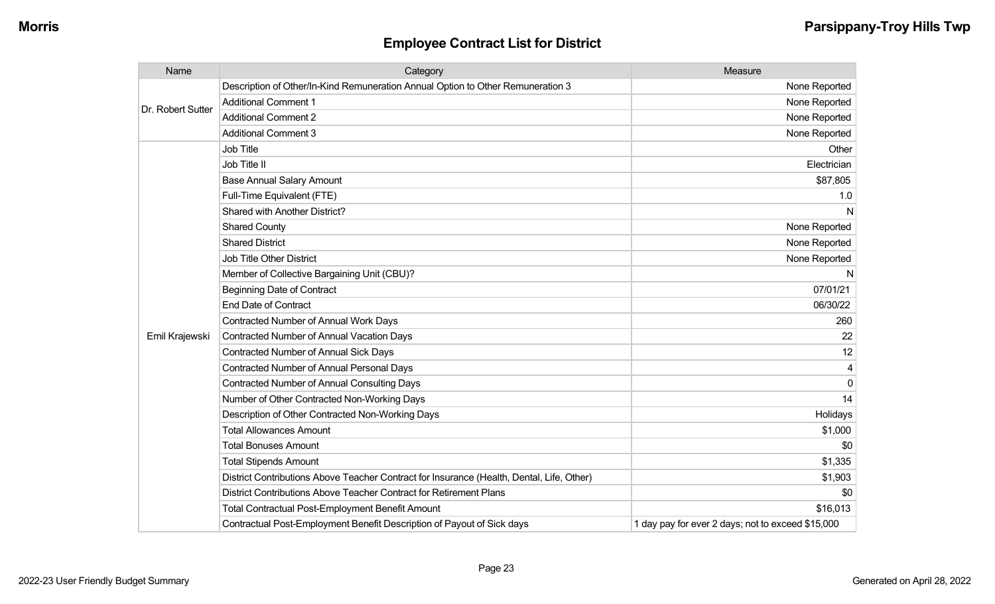| Name              | Category                                                                                  | Measure                                           |
|-------------------|-------------------------------------------------------------------------------------------|---------------------------------------------------|
| Dr. Robert Sutter | Description of Other/In-Kind Remuneration Annual Option to Other Remuneration 3           | None Reported                                     |
|                   | <b>Additional Comment 1</b>                                                               | None Reported                                     |
|                   | <b>Additional Comment 2</b>                                                               | None Reported                                     |
|                   | <b>Additional Comment 3</b>                                                               | None Reported                                     |
|                   | Job Title                                                                                 | Other                                             |
|                   | Job Title II                                                                              | Electrician                                       |
|                   | <b>Base Annual Salary Amount</b>                                                          | \$87,805                                          |
|                   | Full-Time Equivalent (FTE)                                                                | 1.0                                               |
|                   | Shared with Another District?                                                             | N                                                 |
|                   | <b>Shared County</b>                                                                      | None Reported                                     |
|                   | <b>Shared District</b>                                                                    | None Reported                                     |
|                   | <b>Job Title Other District</b>                                                           | None Reported                                     |
|                   | Member of Collective Bargaining Unit (CBU)?                                               | N                                                 |
|                   | <b>Beginning Date of Contract</b>                                                         | 07/01/21                                          |
|                   | <b>End Date of Contract</b>                                                               | 06/30/22                                          |
|                   | Contracted Number of Annual Work Days                                                     | 260                                               |
| Emil Krajewski    | Contracted Number of Annual Vacation Days                                                 | 22                                                |
|                   | <b>Contracted Number of Annual Sick Days</b>                                              | 12                                                |
|                   | Contracted Number of Annual Personal Days                                                 |                                                   |
|                   | <b>Contracted Number of Annual Consulting Days</b>                                        | $\Omega$                                          |
|                   | Number of Other Contracted Non-Working Days                                               | 14                                                |
|                   | Description of Other Contracted Non-Working Days                                          | Holidays                                          |
|                   | <b>Total Allowances Amount</b>                                                            | \$1,000                                           |
|                   | <b>Total Bonuses Amount</b>                                                               | \$0                                               |
|                   | <b>Total Stipends Amount</b>                                                              | \$1,335                                           |
|                   | District Contributions Above Teacher Contract for Insurance (Health, Dental, Life, Other) | \$1,903                                           |
|                   | District Contributions Above Teacher Contract for Retirement Plans                        | \$0                                               |
|                   | <b>Total Contractual Post-Employment Benefit Amount</b>                                   | \$16,013                                          |
|                   | Contractual Post-Employment Benefit Description of Payout of Sick days                    | 1 day pay for ever 2 days; not to exceed \$15,000 |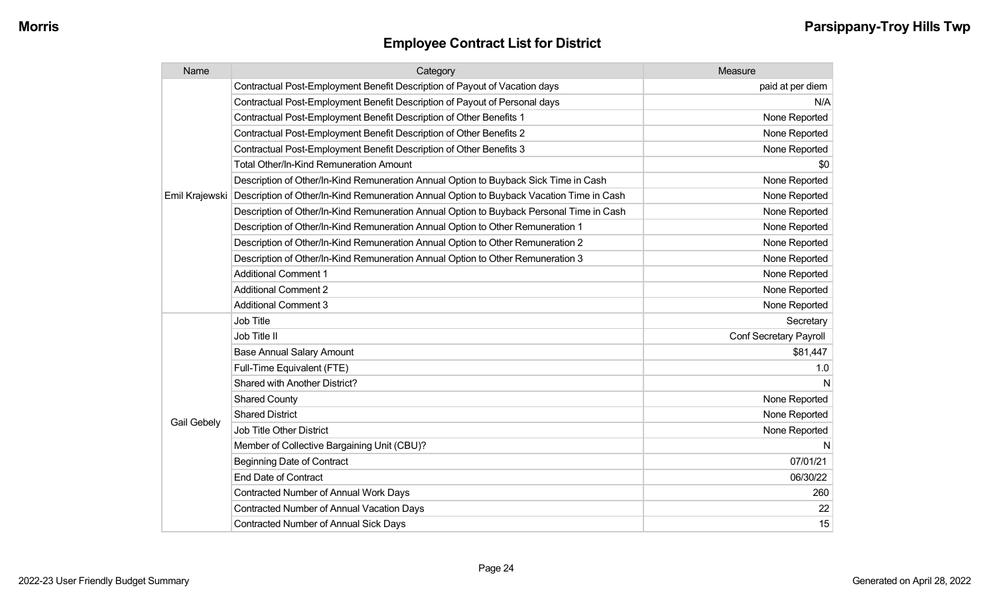| Name           | Category                                                                                 | Measure                |
|----------------|------------------------------------------------------------------------------------------|------------------------|
|                | Contractual Post-Employment Benefit Description of Payout of Vacation days               | paid at per diem       |
|                | Contractual Post-Employment Benefit Description of Payout of Personal days               | N/A                    |
|                | Contractual Post-Employment Benefit Description of Other Benefits 1                      | None Reported          |
|                | Contractual Post-Employment Benefit Description of Other Benefits 2                      | None Reported          |
|                | Contractual Post-Employment Benefit Description of Other Benefits 3                      | None Reported          |
|                | <b>Total Other/In-Kind Remuneration Amount</b>                                           | \$0                    |
|                | Description of Other/In-Kind Remuneration Annual Option to Buyback Sick Time in Cash     | None Reported          |
| Emil Krajewski | Description of Other/In-Kind Remuneration Annual Option to Buyback Vacation Time in Cash | None Reported          |
|                | Description of Other/In-Kind Remuneration Annual Option to Buyback Personal Time in Cash | None Reported          |
|                | Description of Other/In-Kind Remuneration Annual Option to Other Remuneration 1          | None Reported          |
|                | Description of Other/In-Kind Remuneration Annual Option to Other Remuneration 2          | None Reported          |
|                | Description of Other/In-Kind Remuneration Annual Option to Other Remuneration 3          | None Reported          |
|                | <b>Additional Comment 1</b>                                                              | None Reported          |
|                | <b>Additional Comment 2</b>                                                              | None Reported          |
|                | <b>Additional Comment 3</b>                                                              | None Reported          |
|                | Job Title                                                                                | Secretary              |
|                | Job Title II                                                                             | Conf Secretary Payroll |
|                | <b>Base Annual Salary Amount</b>                                                         | \$81,447               |
|                | Full-Time Equivalent (FTE)                                                               | 1.0                    |
|                | Shared with Another District?                                                            | N                      |
|                | <b>Shared County</b>                                                                     | None Reported          |
|                | <b>Shared District</b>                                                                   | None Reported          |
| Gail Gebely    | Job Title Other District                                                                 | None Reported          |
|                | Member of Collective Bargaining Unit (CBU)?                                              | N                      |
|                | <b>Beginning Date of Contract</b>                                                        | 07/01/21               |
|                | <b>End Date of Contract</b>                                                              | 06/30/22               |
|                | <b>Contracted Number of Annual Work Days</b>                                             | 260                    |
|                | Contracted Number of Annual Vacation Days                                                | 22                     |
|                | <b>Contracted Number of Annual Sick Days</b>                                             | 15                     |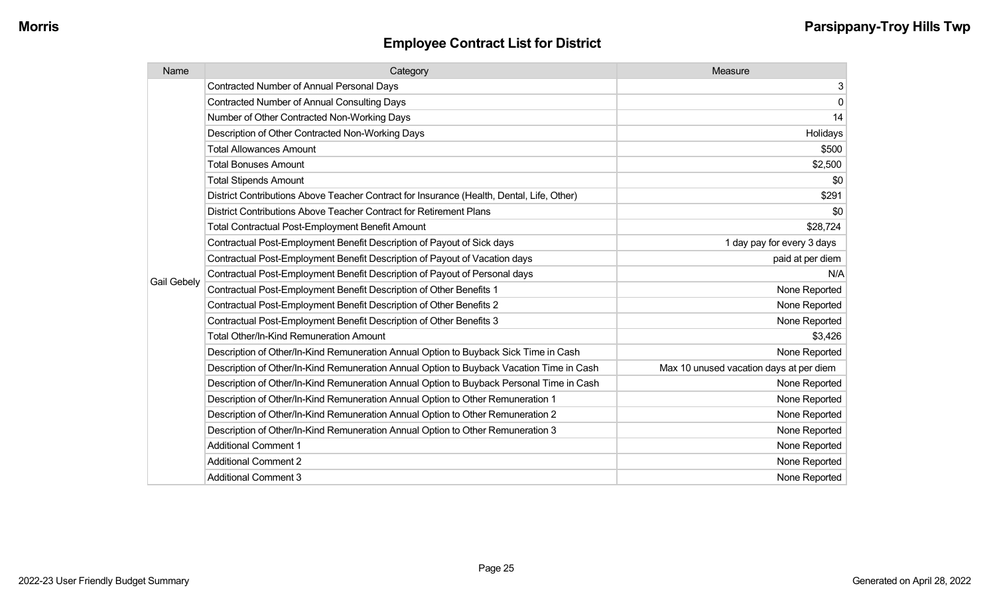| Name        | Category                                                                                  | Measure                                 |
|-------------|-------------------------------------------------------------------------------------------|-----------------------------------------|
|             | Contracted Number of Annual Personal Days                                                 | 3                                       |
|             | <b>Contracted Number of Annual Consulting Days</b>                                        | 0                                       |
|             | Number of Other Contracted Non-Working Days                                               | 14                                      |
|             | Description of Other Contracted Non-Working Days                                          | Holidays                                |
|             | <b>Total Allowances Amount</b>                                                            | \$500                                   |
|             | <b>Total Bonuses Amount</b>                                                               | \$2,500                                 |
|             | <b>Total Stipends Amount</b>                                                              | \$0                                     |
|             | District Contributions Above Teacher Contract for Insurance (Health, Dental, Life, Other) | \$291                                   |
|             | District Contributions Above Teacher Contract for Retirement Plans                        | \$0                                     |
|             | <b>Total Contractual Post-Employment Benefit Amount</b>                                   | \$28,724                                |
|             | Contractual Post-Employment Benefit Description of Payout of Sick days                    | 1 day pay for every 3 days              |
|             | Contractual Post-Employment Benefit Description of Payout of Vacation days                | paid at per diem                        |
|             | Contractual Post-Employment Benefit Description of Payout of Personal days                | N/A                                     |
| Gail Gebely | Contractual Post-Employment Benefit Description of Other Benefits 1                       | None Reported                           |
|             | Contractual Post-Employment Benefit Description of Other Benefits 2                       | None Reported                           |
|             | Contractual Post-Employment Benefit Description of Other Benefits 3                       | None Reported                           |
|             | <b>Total Other/In-Kind Remuneration Amount</b>                                            | \$3,426                                 |
|             | Description of Other/In-Kind Remuneration Annual Option to Buyback Sick Time in Cash      | None Reported                           |
|             | Description of Other/In-Kind Remuneration Annual Option to Buyback Vacation Time in Cash  | Max 10 unused vacation days at per diem |
|             | Description of Other/In-Kind Remuneration Annual Option to Buyback Personal Time in Cash  | None Reported                           |
|             | Description of Other/In-Kind Remuneration Annual Option to Other Remuneration 1           | None Reported                           |
|             | Description of Other/In-Kind Remuneration Annual Option to Other Remuneration 2           | None Reported                           |
|             | Description of Other/In-Kind Remuneration Annual Option to Other Remuneration 3           | None Reported                           |
|             | <b>Additional Comment 1</b>                                                               | None Reported                           |
|             | <b>Additional Comment 2</b>                                                               | None Reported                           |
|             | <b>Additional Comment 3</b>                                                               | None Reported                           |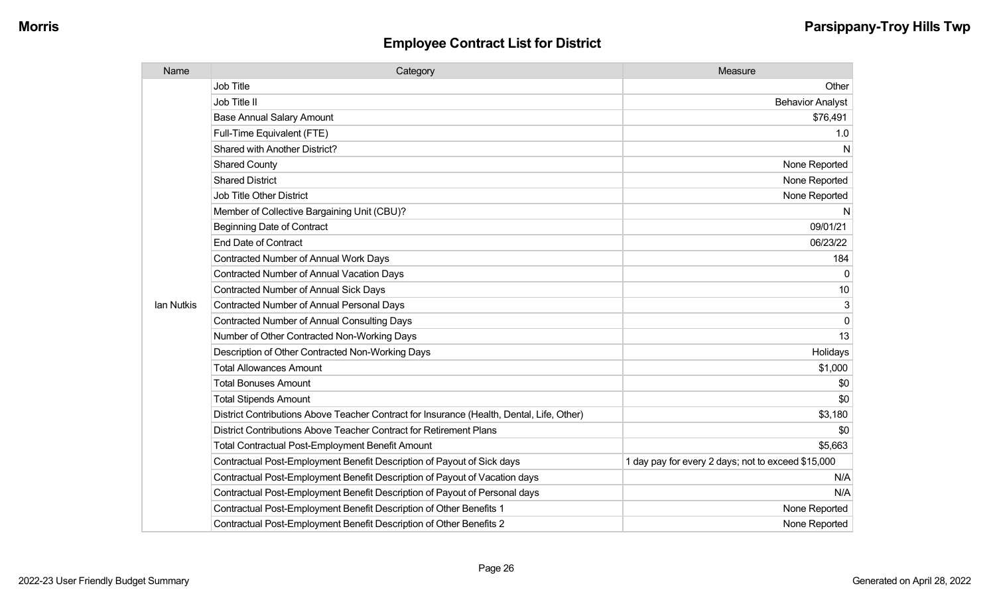| Name       | Category                                                                                  | Measure                                            |
|------------|-------------------------------------------------------------------------------------------|----------------------------------------------------|
|            | <b>Job Title</b>                                                                          | Other                                              |
|            | Job Title II                                                                              | <b>Behavior Analyst</b>                            |
|            | <b>Base Annual Salary Amount</b>                                                          | \$76,491                                           |
|            | Full-Time Equivalent (FTE)                                                                | 1.0                                                |
|            | Shared with Another District?                                                             | N                                                  |
|            | <b>Shared County</b>                                                                      | None Reported                                      |
|            | <b>Shared District</b>                                                                    | None Reported                                      |
|            | <b>Job Title Other District</b>                                                           | None Reported                                      |
|            | Member of Collective Bargaining Unit (CBU)?                                               | N                                                  |
|            | <b>Beginning Date of Contract</b>                                                         | 09/01/21                                           |
|            | <b>End Date of Contract</b>                                                               | 06/23/22                                           |
|            | Contracted Number of Annual Work Days                                                     | 184                                                |
|            | <b>Contracted Number of Annual Vacation Days</b>                                          |                                                    |
|            | Contracted Number of Annual Sick Days                                                     | 10                                                 |
| lan Nutkis | Contracted Number of Annual Personal Days                                                 | 3                                                  |
|            | <b>Contracted Number of Annual Consulting Days</b>                                        | $\Omega$                                           |
|            | Number of Other Contracted Non-Working Days                                               | 13                                                 |
|            | Description of Other Contracted Non-Working Days                                          | Holidays                                           |
|            | <b>Total Allowances Amount</b>                                                            | \$1,000                                            |
|            | <b>Total Bonuses Amount</b>                                                               | \$0                                                |
|            | <b>Total Stipends Amount</b>                                                              | \$0                                                |
|            | District Contributions Above Teacher Contract for Insurance (Health, Dental, Life, Other) | \$3,180                                            |
|            | District Contributions Above Teacher Contract for Retirement Plans                        | \$0                                                |
|            | <b>Total Contractual Post-Employment Benefit Amount</b>                                   | \$5,663                                            |
|            | Contractual Post-Employment Benefit Description of Payout of Sick days                    | 1 day pay for every 2 days; not to exceed \$15,000 |
|            | Contractual Post-Employment Benefit Description of Payout of Vacation days                | N/A                                                |
|            | Contractual Post-Employment Benefit Description of Payout of Personal days                | N/A                                                |
|            | Contractual Post-Employment Benefit Description of Other Benefits 1                       | None Reported                                      |
|            | Contractual Post-Employment Benefit Description of Other Benefits 2                       | None Reported                                      |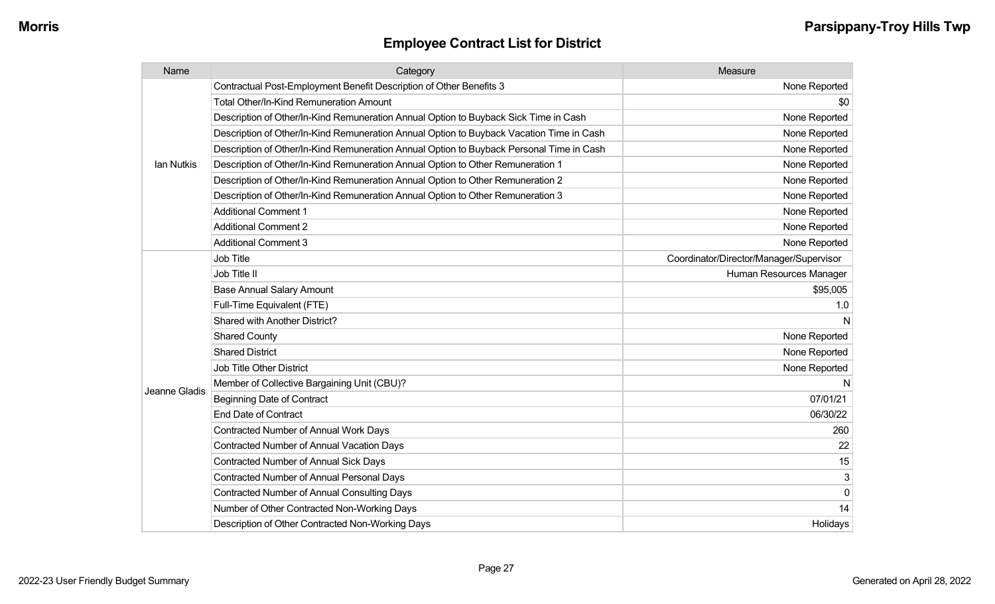| Name          | Category                                                                                 | Measure                                 |
|---------------|------------------------------------------------------------------------------------------|-----------------------------------------|
|               | Contractual Post-Employment Benefit Description of Other Benefits 3                      | None Reported                           |
|               | <b>Total Other/In-Kind Remuneration Amount</b>                                           | \$0                                     |
|               | Description of Other/In-Kind Remuneration Annual Option to Buyback Sick Time in Cash     | None Reported                           |
|               | Description of Other/In-Kind Remuneration Annual Option to Buyback Vacation Time in Cash | None Reported                           |
|               | Description of Other/In-Kind Remuneration Annual Option to Buyback Personal Time in Cash | None Reported                           |
| lan Nutkis    | Description of Other/In-Kind Remuneration Annual Option to Other Remuneration 1          | None Reported                           |
|               | Description of Other/In-Kind Remuneration Annual Option to Other Remuneration 2          | None Reported                           |
|               | Description of Other/In-Kind Remuneration Annual Option to Other Remuneration 3          | None Reported                           |
|               | <b>Additional Comment 1</b>                                                              | None Reported                           |
|               | <b>Additional Comment 2</b>                                                              | None Reported                           |
|               | <b>Additional Comment 3</b>                                                              | None Reported                           |
|               | Job Title                                                                                | Coordinator/Director/Manager/Supervisor |
|               | Job Title II                                                                             | Human Resources Manager                 |
|               | <b>Base Annual Salary Amount</b>                                                         | \$95,005                                |
|               | Full-Time Equivalent (FTE)                                                               | 1.0                                     |
|               | Shared with Another District?                                                            | N                                       |
|               | <b>Shared County</b>                                                                     | None Reported                           |
|               | <b>Shared District</b>                                                                   | None Reported                           |
|               | Job Title Other District                                                                 | None Reported                           |
| Jeanne Gladis | Member of Collective Bargaining Unit (CBU)?                                              | N                                       |
|               | <b>Beginning Date of Contract</b>                                                        | 07/01/21                                |
|               | <b>End Date of Contract</b>                                                              | 06/30/22                                |
|               | Contracted Number of Annual Work Days                                                    | 260                                     |
|               | <b>Contracted Number of Annual Vacation Days</b>                                         | 22                                      |
|               | Contracted Number of Annual Sick Days                                                    | 15                                      |
|               | Contracted Number of Annual Personal Days                                                | 3                                       |
|               | <b>Contracted Number of Annual Consulting Days</b>                                       | $\pmb{0}$                               |
|               | Number of Other Contracted Non-Working Days                                              | 14                                      |
|               | Description of Other Contracted Non-Working Days                                         | Holidays                                |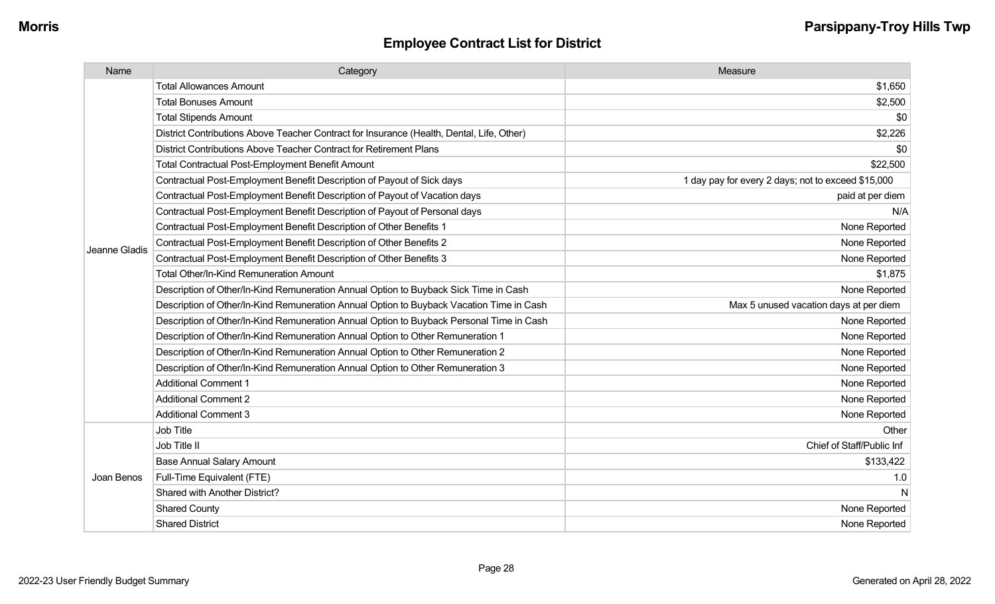| Name          | Category                                                                                  | Measure                                            |
|---------------|-------------------------------------------------------------------------------------------|----------------------------------------------------|
|               | <b>Total Allowances Amount</b>                                                            | \$1,650                                            |
|               | <b>Total Bonuses Amount</b>                                                               | \$2,500                                            |
|               | <b>Total Stipends Amount</b>                                                              | \$0                                                |
|               | District Contributions Above Teacher Contract for Insurance (Health, Dental, Life, Other) | \$2,226                                            |
|               | District Contributions Above Teacher Contract for Retirement Plans                        | \$0                                                |
|               | <b>Total Contractual Post-Employment Benefit Amount</b>                                   | \$22,500                                           |
|               | Contractual Post-Employment Benefit Description of Payout of Sick days                    | 1 day pay for every 2 days; not to exceed \$15,000 |
|               | Contractual Post-Employment Benefit Description of Payout of Vacation days                | paid at per diem                                   |
|               | Contractual Post-Employment Benefit Description of Payout of Personal days                | N/A                                                |
|               | Contractual Post-Employment Benefit Description of Other Benefits 1                       | None Reported                                      |
| Jeanne Gladis | Contractual Post-Employment Benefit Description of Other Benefits 2                       | None Reported                                      |
|               | Contractual Post-Employment Benefit Description of Other Benefits 3                       | None Reported                                      |
|               | <b>Total Other/In-Kind Remuneration Amount</b>                                            | \$1,875                                            |
|               | Description of Other/In-Kind Remuneration Annual Option to Buyback Sick Time in Cash      | None Reported                                      |
|               | Description of Other/In-Kind Remuneration Annual Option to Buyback Vacation Time in Cash  | Max 5 unused vacation days at per diem             |
|               | Description of Other/In-Kind Remuneration Annual Option to Buyback Personal Time in Cash  | None Reported                                      |
|               | Description of Other/In-Kind Remuneration Annual Option to Other Remuneration 1           | None Reported                                      |
|               | Description of Other/In-Kind Remuneration Annual Option to Other Remuneration 2           | None Reported                                      |
|               | Description of Other/In-Kind Remuneration Annual Option to Other Remuneration 3           | None Reported                                      |
|               | <b>Additional Comment 1</b>                                                               | None Reported                                      |
|               | <b>Additional Comment 2</b>                                                               | None Reported                                      |
|               | <b>Additional Comment 3</b>                                                               | None Reported                                      |
|               | <b>Job Title</b>                                                                          | Other                                              |
| Joan Benos    | Job Title II                                                                              | Chief of Staff/Public Inf                          |
|               | <b>Base Annual Salary Amount</b>                                                          | \$133,422                                          |
|               | Full-Time Equivalent (FTE)                                                                | 1.0                                                |
|               | Shared with Another District?                                                             | N                                                  |
|               | <b>Shared County</b>                                                                      | None Reported                                      |
|               | <b>Shared District</b>                                                                    | None Reported                                      |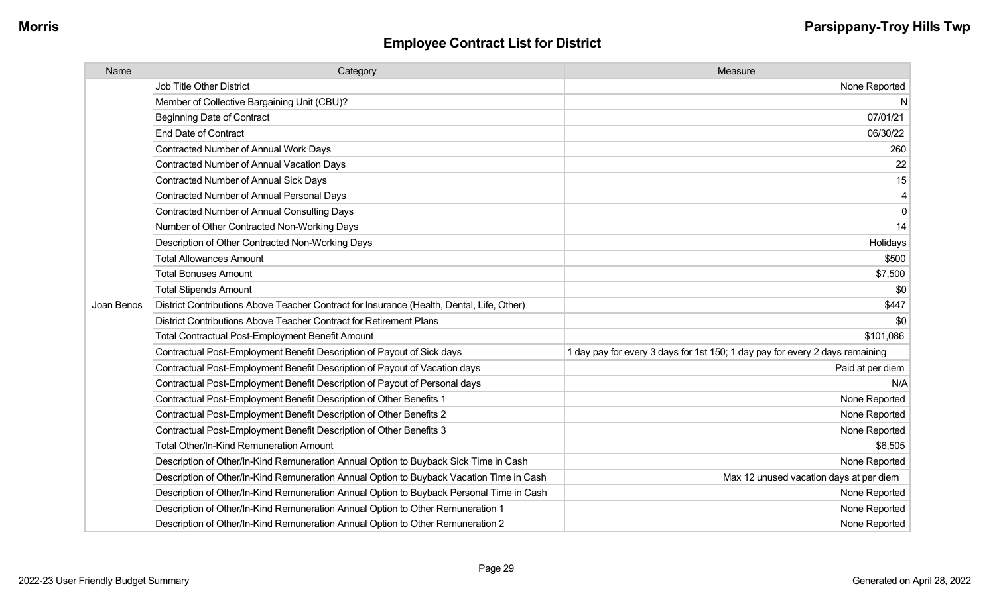| Name       | Category                                                                                  | Measure                                                                      |
|------------|-------------------------------------------------------------------------------------------|------------------------------------------------------------------------------|
|            | Job Title Other District                                                                  | None Reported                                                                |
|            | Member of Collective Bargaining Unit (CBU)?                                               | N                                                                            |
|            | <b>Beginning Date of Contract</b>                                                         | 07/01/21                                                                     |
|            | <b>End Date of Contract</b>                                                               | 06/30/22                                                                     |
|            | Contracted Number of Annual Work Days                                                     | 260                                                                          |
|            | <b>Contracted Number of Annual Vacation Days</b>                                          | 22                                                                           |
|            | <b>Contracted Number of Annual Sick Days</b>                                              | 15                                                                           |
|            | <b>Contracted Number of Annual Personal Days</b>                                          |                                                                              |
|            | <b>Contracted Number of Annual Consulting Days</b>                                        | $\Omega$                                                                     |
|            | Number of Other Contracted Non-Working Days                                               | 14                                                                           |
|            | Description of Other Contracted Non-Working Days                                          | Holidays                                                                     |
|            | <b>Total Allowances Amount</b>                                                            | \$500                                                                        |
|            | <b>Total Bonuses Amount</b>                                                               | \$7,500                                                                      |
|            | <b>Total Stipends Amount</b>                                                              | \$0                                                                          |
| Joan Benos | District Contributions Above Teacher Contract for Insurance (Health, Dental, Life, Other) | \$447                                                                        |
|            | District Contributions Above Teacher Contract for Retirement Plans                        | \$0                                                                          |
|            | <b>Total Contractual Post-Employment Benefit Amount</b>                                   | \$101,086                                                                    |
|            | Contractual Post-Employment Benefit Description of Payout of Sick days                    | 1 day pay for every 3 days for 1st 150; 1 day pay for every 2 days remaining |
|            | Contractual Post-Employment Benefit Description of Payout of Vacation days                | Paid at per diem                                                             |
|            | Contractual Post-Employment Benefit Description of Payout of Personal days                | N/A                                                                          |
|            | Contractual Post-Employment Benefit Description of Other Benefits 1                       | None Reported                                                                |
|            | Contractual Post-Employment Benefit Description of Other Benefits 2                       | None Reported                                                                |
|            | Contractual Post-Employment Benefit Description of Other Benefits 3                       | None Reported                                                                |
|            | Total Other/In-Kind Remuneration Amount                                                   | \$6,505                                                                      |
|            | Description of Other/In-Kind Remuneration Annual Option to Buyback Sick Time in Cash      | None Reported                                                                |
|            | Description of Other/In-Kind Remuneration Annual Option to Buyback Vacation Time in Cash  | Max 12 unused vacation days at per diem                                      |
|            | Description of Other/In-Kind Remuneration Annual Option to Buyback Personal Time in Cash  | None Reported                                                                |
|            | Description of Other/In-Kind Remuneration Annual Option to Other Remuneration 1           | None Reported                                                                |
|            | Description of Other/In-Kind Remuneration Annual Option to Other Remuneration 2           | None Reported                                                                |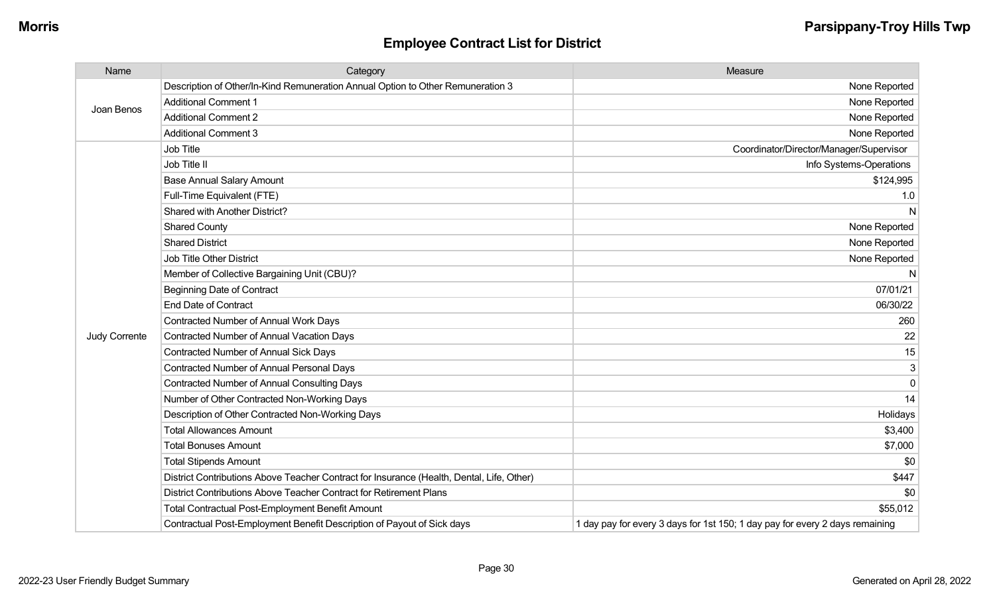| Name                 | Category                                                                                  | Measure                                                                      |
|----------------------|-------------------------------------------------------------------------------------------|------------------------------------------------------------------------------|
| Joan Benos           | Description of Other/In-Kind Remuneration Annual Option to Other Remuneration 3           | None Reported                                                                |
|                      | <b>Additional Comment 1</b>                                                               | None Reported                                                                |
|                      | <b>Additional Comment 2</b>                                                               | None Reported                                                                |
|                      | <b>Additional Comment 3</b>                                                               | None Reported                                                                |
|                      | Job Title                                                                                 | Coordinator/Director/Manager/Supervisor                                      |
|                      | Job Title II                                                                              | Info Systems-Operations                                                      |
|                      | <b>Base Annual Salary Amount</b>                                                          | \$124,995                                                                    |
|                      | Full-Time Equivalent (FTE)                                                                | 1.0                                                                          |
|                      | Shared with Another District?                                                             | N                                                                            |
|                      | <b>Shared County</b>                                                                      | None Reported                                                                |
|                      | <b>Shared District</b>                                                                    | None Reported                                                                |
|                      | <b>Job Title Other District</b>                                                           | None Reported                                                                |
|                      | Member of Collective Bargaining Unit (CBU)?                                               | N                                                                            |
|                      | <b>Beginning Date of Contract</b>                                                         | 07/01/21                                                                     |
|                      | <b>End Date of Contract</b>                                                               | 06/30/22                                                                     |
|                      | <b>Contracted Number of Annual Work Days</b>                                              | 260                                                                          |
| <b>Judy Corrente</b> | <b>Contracted Number of Annual Vacation Days</b>                                          | 22                                                                           |
|                      | <b>Contracted Number of Annual Sick Days</b>                                              | 15                                                                           |
|                      | <b>Contracted Number of Annual Personal Days</b>                                          | 3                                                                            |
|                      | <b>Contracted Number of Annual Consulting Days</b>                                        | $\Omega$                                                                     |
|                      | Number of Other Contracted Non-Working Days                                               | 14                                                                           |
|                      | Description of Other Contracted Non-Working Days                                          | Holidays                                                                     |
|                      | <b>Total Allowances Amount</b>                                                            | \$3,400                                                                      |
|                      | <b>Total Bonuses Amount</b>                                                               | \$7,000                                                                      |
|                      | <b>Total Stipends Amount</b>                                                              | \$0                                                                          |
|                      | District Contributions Above Teacher Contract for Insurance (Health, Dental, Life, Other) | \$447                                                                        |
|                      | District Contributions Above Teacher Contract for Retirement Plans                        | \$0                                                                          |
|                      | <b>Total Contractual Post-Employment Benefit Amount</b>                                   | \$55,012                                                                     |
|                      | Contractual Post-Employment Benefit Description of Payout of Sick days                    | 1 day pay for every 3 days for 1st 150; 1 day pay for every 2 days remaining |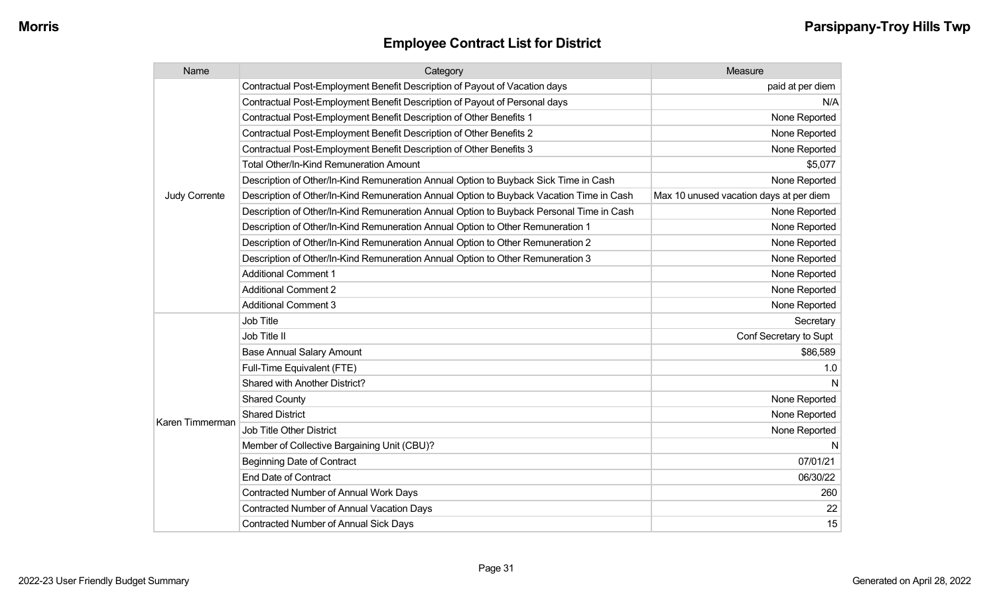| Name            | Category                                                                                 | Measure                                 |
|-----------------|------------------------------------------------------------------------------------------|-----------------------------------------|
|                 | Contractual Post-Employment Benefit Description of Payout of Vacation days               | paid at per diem                        |
|                 | Contractual Post-Employment Benefit Description of Payout of Personal days               | N/A                                     |
|                 | Contractual Post-Employment Benefit Description of Other Benefits 1                      | None Reported                           |
|                 | Contractual Post-Employment Benefit Description of Other Benefits 2                      | None Reported                           |
|                 | Contractual Post-Employment Benefit Description of Other Benefits 3                      | None Reported                           |
|                 | Total Other/In-Kind Remuneration Amount                                                  | \$5,077                                 |
|                 | Description of Other/In-Kind Remuneration Annual Option to Buyback Sick Time in Cash     | None Reported                           |
| Judy Corrente   | Description of Other/In-Kind Remuneration Annual Option to Buyback Vacation Time in Cash | Max 10 unused vacation days at per diem |
|                 | Description of Other/In-Kind Remuneration Annual Option to Buyback Personal Time in Cash | None Reported                           |
|                 | Description of Other/In-Kind Remuneration Annual Option to Other Remuneration 1          | None Reported                           |
|                 | Description of Other/In-Kind Remuneration Annual Option to Other Remuneration 2          | None Reported                           |
|                 | Description of Other/In-Kind Remuneration Annual Option to Other Remuneration 3          | None Reported                           |
|                 | <b>Additional Comment 1</b>                                                              | None Reported                           |
|                 | <b>Additional Comment 2</b>                                                              | None Reported                           |
|                 | <b>Additional Comment 3</b>                                                              | None Reported                           |
|                 | Job Title                                                                                | Secretary                               |
|                 | Job Title II                                                                             | Conf Secretary to Supt                  |
|                 | <b>Base Annual Salary Amount</b>                                                         | \$86,589                                |
|                 | Full-Time Equivalent (FTE)                                                               | 1.0                                     |
|                 | Shared with Another District?                                                            |                                         |
|                 | <b>Shared County</b>                                                                     | None Reported                           |
|                 | <b>Shared District</b>                                                                   | None Reported                           |
| Karen Timmerman | <b>Job Title Other District</b>                                                          | None Reported                           |
|                 | Member of Collective Bargaining Unit (CBU)?                                              |                                         |
|                 | <b>Beginning Date of Contract</b>                                                        | 07/01/21                                |
|                 | <b>End Date of Contract</b>                                                              | 06/30/22                                |
|                 | Contracted Number of Annual Work Days                                                    | 260                                     |
|                 | <b>Contracted Number of Annual Vacation Days</b>                                         | 22                                      |
|                 | <b>Contracted Number of Annual Sick Days</b>                                             | 15                                      |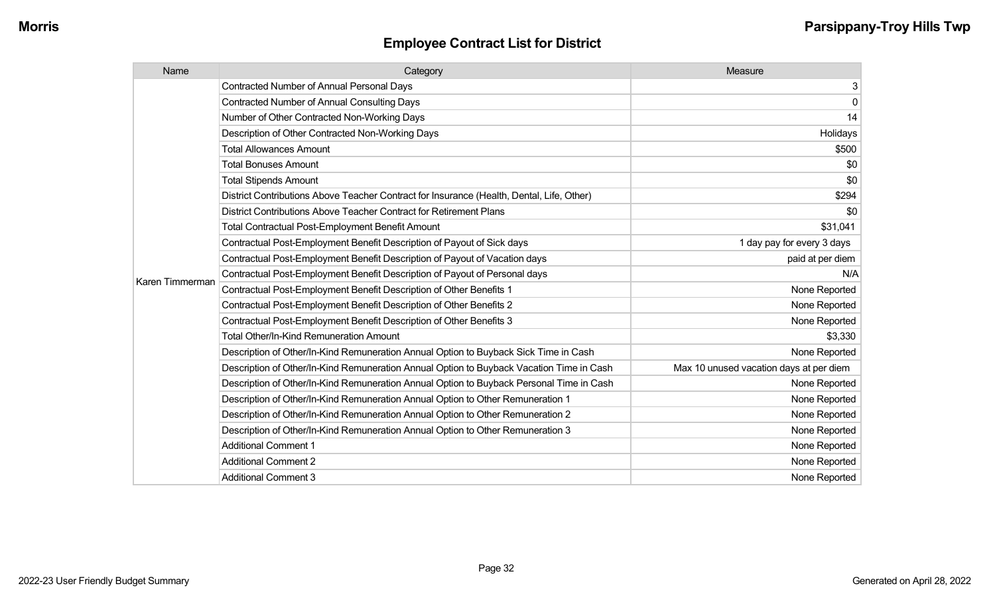| Name            | Category                                                                                  | Measure                                 |
|-----------------|-------------------------------------------------------------------------------------------|-----------------------------------------|
|                 | <b>Contracted Number of Annual Personal Days</b>                                          | 3                                       |
|                 | <b>Contracted Number of Annual Consulting Days</b>                                        | $\mathbf 0$                             |
|                 | Number of Other Contracted Non-Working Days                                               | 14                                      |
|                 | Description of Other Contracted Non-Working Days                                          | Holidays                                |
|                 | <b>Total Allowances Amount</b>                                                            | \$500                                   |
|                 | <b>Total Bonuses Amount</b>                                                               | \$0                                     |
|                 | <b>Total Stipends Amount</b>                                                              | \$0                                     |
|                 | District Contributions Above Teacher Contract for Insurance (Health, Dental, Life, Other) | \$294                                   |
|                 | District Contributions Above Teacher Contract for Retirement Plans                        | \$0                                     |
|                 | <b>Total Contractual Post-Employment Benefit Amount</b>                                   | \$31,041                                |
|                 | Contractual Post-Employment Benefit Description of Payout of Sick days                    | 1 day pay for every 3 days              |
|                 | Contractual Post-Employment Benefit Description of Payout of Vacation days                | paid at per diem                        |
| Karen Timmerman | Contractual Post-Employment Benefit Description of Payout of Personal days                | N/A                                     |
|                 | Contractual Post-Employment Benefit Description of Other Benefits 1                       | None Reported                           |
|                 | Contractual Post-Employment Benefit Description of Other Benefits 2                       | None Reported                           |
|                 | Contractual Post-Employment Benefit Description of Other Benefits 3                       | None Reported                           |
|                 | <b>Total Other/In-Kind Remuneration Amount</b>                                            | \$3,330                                 |
|                 | Description of Other/In-Kind Remuneration Annual Option to Buyback Sick Time in Cash      | None Reported                           |
|                 | Description of Other/In-Kind Remuneration Annual Option to Buyback Vacation Time in Cash  | Max 10 unused vacation days at per diem |
|                 | Description of Other/In-Kind Remuneration Annual Option to Buyback Personal Time in Cash  | None Reported                           |
|                 | Description of Other/In-Kind Remuneration Annual Option to Other Remuneration 1           | None Reported                           |
|                 | Description of Other/In-Kind Remuneration Annual Option to Other Remuneration 2           | None Reported                           |
|                 | Description of Other/In-Kind Remuneration Annual Option to Other Remuneration 3           | None Reported                           |
|                 | <b>Additional Comment 1</b>                                                               | None Reported                           |
|                 | <b>Additional Comment 2</b>                                                               | None Reported                           |
|                 | <b>Additional Comment 3</b>                                                               | None Reported                           |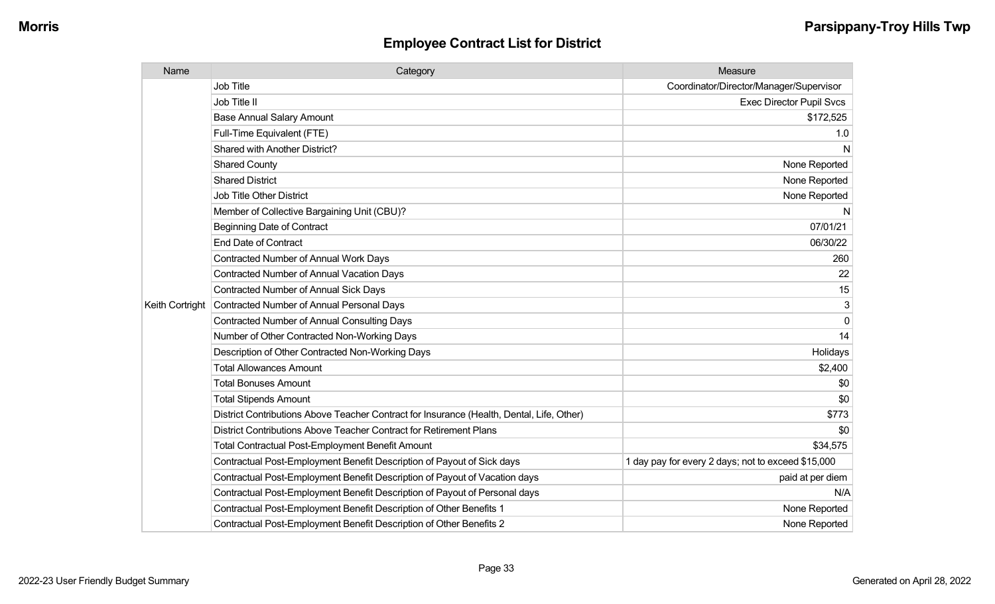| Name            | Category                                                                                  | Measure                                            |
|-----------------|-------------------------------------------------------------------------------------------|----------------------------------------------------|
|                 | Job Title                                                                                 | Coordinator/Director/Manager/Supervisor            |
|                 | Job Title II                                                                              | <b>Exec Director Pupil Svcs</b>                    |
|                 | <b>Base Annual Salary Amount</b>                                                          | \$172,525                                          |
|                 | Full-Time Equivalent (FTE)                                                                | 1.0                                                |
|                 | Shared with Another District?                                                             | N                                                  |
|                 | <b>Shared County</b>                                                                      | None Reported                                      |
|                 | <b>Shared District</b>                                                                    | None Reported                                      |
|                 | <b>Job Title Other District</b>                                                           | None Reported                                      |
|                 | Member of Collective Bargaining Unit (CBU)?                                               | N                                                  |
|                 | <b>Beginning Date of Contract</b>                                                         | 07/01/21                                           |
|                 | <b>End Date of Contract</b>                                                               | 06/30/22                                           |
|                 | <b>Contracted Number of Annual Work Days</b>                                              | 260                                                |
|                 | Contracted Number of Annual Vacation Days                                                 | 22                                                 |
|                 | <b>Contracted Number of Annual Sick Days</b>                                              | 15                                                 |
| Keith Cortright | Contracted Number of Annual Personal Days                                                 | 3                                                  |
|                 | <b>Contracted Number of Annual Consulting Days</b>                                        | $\Omega$                                           |
|                 | Number of Other Contracted Non-Working Days                                               | 14                                                 |
|                 | Description of Other Contracted Non-Working Days                                          | Holidays                                           |
|                 | <b>Total Allowances Amount</b>                                                            | \$2,400                                            |
|                 | <b>Total Bonuses Amount</b>                                                               | \$0                                                |
|                 | <b>Total Stipends Amount</b>                                                              | \$0                                                |
|                 | District Contributions Above Teacher Contract for Insurance (Health, Dental, Life, Other) | \$773                                              |
|                 | District Contributions Above Teacher Contract for Retirement Plans                        | \$0                                                |
|                 | <b>Total Contractual Post-Employment Benefit Amount</b>                                   | \$34,575                                           |
|                 | Contractual Post-Employment Benefit Description of Payout of Sick days                    | 1 day pay for every 2 days; not to exceed \$15,000 |
|                 | Contractual Post-Employment Benefit Description of Payout of Vacation days                | paid at per diem                                   |
|                 | Contractual Post-Employment Benefit Description of Payout of Personal days                | N/A                                                |
|                 | Contractual Post-Employment Benefit Description of Other Benefits 1                       | None Reported                                      |
|                 | Contractual Post-Employment Benefit Description of Other Benefits 2                       | None Reported                                      |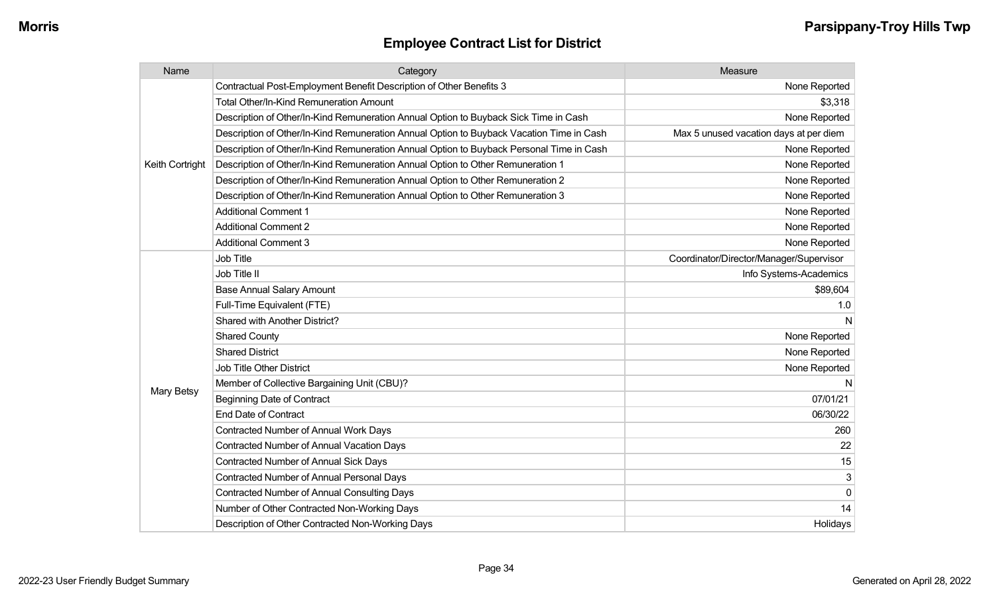| Name            | Category                                                                                 | Measure                                 |
|-----------------|------------------------------------------------------------------------------------------|-----------------------------------------|
|                 | Contractual Post-Employment Benefit Description of Other Benefits 3                      | None Reported                           |
|                 | <b>Total Other/In-Kind Remuneration Amount</b>                                           | \$3,318                                 |
|                 | Description of Other/In-Kind Remuneration Annual Option to Buyback Sick Time in Cash     | None Reported                           |
|                 | Description of Other/In-Kind Remuneration Annual Option to Buyback Vacation Time in Cash | Max 5 unused vacation days at per diem  |
|                 | Description of Other/In-Kind Remuneration Annual Option to Buyback Personal Time in Cash | None Reported                           |
| Keith Cortright | Description of Other/In-Kind Remuneration Annual Option to Other Remuneration 1          | None Reported                           |
|                 | Description of Other/In-Kind Remuneration Annual Option to Other Remuneration 2          | None Reported                           |
|                 | Description of Other/In-Kind Remuneration Annual Option to Other Remuneration 3          | None Reported                           |
|                 | <b>Additional Comment 1</b>                                                              | None Reported                           |
|                 | <b>Additional Comment 2</b>                                                              | None Reported                           |
|                 | <b>Additional Comment 3</b>                                                              | None Reported                           |
|                 | <b>Job Title</b>                                                                         | Coordinator/Director/Manager/Supervisor |
|                 | Job Title II                                                                             | Info Systems-Academics                  |
|                 | <b>Base Annual Salary Amount</b>                                                         | \$89,604                                |
|                 | Full-Time Equivalent (FTE)                                                               | 1.0                                     |
|                 | Shared with Another District?                                                            |                                         |
|                 | <b>Shared County</b>                                                                     | None Reported                           |
|                 | <b>Shared District</b>                                                                   | None Reported                           |
|                 | <b>Job Title Other District</b>                                                          | None Reported                           |
|                 | Member of Collective Bargaining Unit (CBU)?                                              | N                                       |
| Mary Betsy      | <b>Beginning Date of Contract</b>                                                        | 07/01/21                                |
|                 | <b>End Date of Contract</b>                                                              | 06/30/22                                |
|                 | <b>Contracted Number of Annual Work Days</b>                                             | 260                                     |
|                 | <b>Contracted Number of Annual Vacation Days</b>                                         | 22                                      |
|                 | <b>Contracted Number of Annual Sick Days</b>                                             | 15                                      |
|                 | Contracted Number of Annual Personal Days                                                | 3                                       |
|                 | <b>Contracted Number of Annual Consulting Days</b>                                       | $\mathbf 0$                             |
|                 | Number of Other Contracted Non-Working Days                                              | 14                                      |
|                 | Description of Other Contracted Non-Working Days                                         | Holidays                                |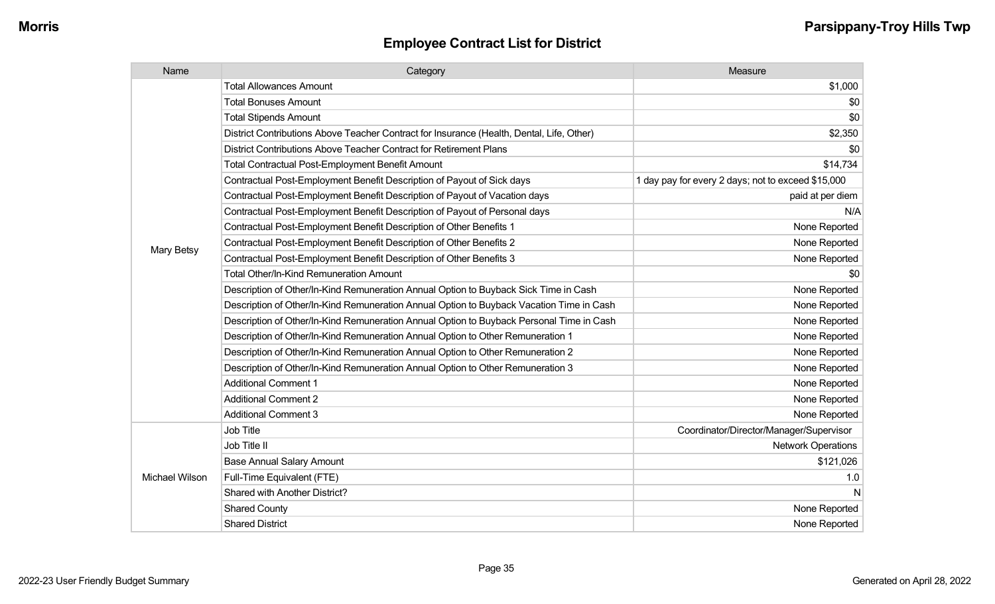| Name           | Category                                                                                  | Measure                                            |
|----------------|-------------------------------------------------------------------------------------------|----------------------------------------------------|
|                | <b>Total Allowances Amount</b>                                                            | \$1,000                                            |
|                | <b>Total Bonuses Amount</b>                                                               | \$0                                                |
|                | <b>Total Stipends Amount</b>                                                              | \$0                                                |
|                | District Contributions Above Teacher Contract for Insurance (Health, Dental, Life, Other) | \$2,350                                            |
|                | District Contributions Above Teacher Contract for Retirement Plans                        | \$0                                                |
|                | <b>Total Contractual Post-Employment Benefit Amount</b>                                   | \$14,734                                           |
|                | Contractual Post-Employment Benefit Description of Payout of Sick days                    | 1 day pay for every 2 days; not to exceed \$15,000 |
|                | Contractual Post-Employment Benefit Description of Payout of Vacation days                | paid at per diem                                   |
|                | Contractual Post-Employment Benefit Description of Payout of Personal days                | N/A                                                |
|                | Contractual Post-Employment Benefit Description of Other Benefits 1                       | None Reported                                      |
| Mary Betsy     | Contractual Post-Employment Benefit Description of Other Benefits 2                       | None Reported                                      |
|                | Contractual Post-Employment Benefit Description of Other Benefits 3                       | None Reported                                      |
|                | <b>Total Other/In-Kind Remuneration Amount</b>                                            | \$0                                                |
|                | Description of Other/In-Kind Remuneration Annual Option to Buyback Sick Time in Cash      | None Reported                                      |
|                | Description of Other/In-Kind Remuneration Annual Option to Buyback Vacation Time in Cash  | None Reported                                      |
|                | Description of Other/In-Kind Remuneration Annual Option to Buyback Personal Time in Cash  | None Reported                                      |
|                | Description of Other/In-Kind Remuneration Annual Option to Other Remuneration 1           | None Reported                                      |
|                | Description of Other/In-Kind Remuneration Annual Option to Other Remuneration 2           | None Reported                                      |
|                | Description of Other/In-Kind Remuneration Annual Option to Other Remuneration 3           | None Reported                                      |
|                | <b>Additional Comment 1</b>                                                               | None Reported                                      |
|                | <b>Additional Comment 2</b>                                                               | None Reported                                      |
|                | <b>Additional Comment 3</b>                                                               | None Reported                                      |
|                | <b>Job Title</b>                                                                          | Coordinator/Director/Manager/Supervisor            |
|                | Job Title II                                                                              | <b>Network Operations</b>                          |
|                | <b>Base Annual Salary Amount</b>                                                          | \$121,026                                          |
| Michael Wilson | Full-Time Equivalent (FTE)                                                                | 1.0                                                |
|                | Shared with Another District?                                                             | N                                                  |
|                | <b>Shared County</b>                                                                      | None Reported                                      |
|                | <b>Shared District</b>                                                                    | None Reported                                      |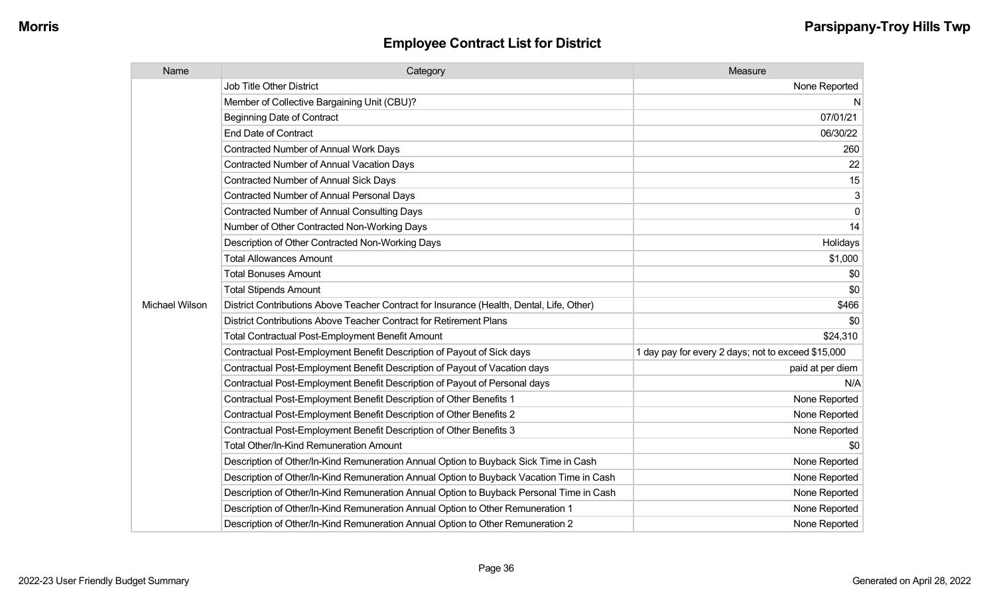| Name           | Category                                                                                  | Measure                                            |
|----------------|-------------------------------------------------------------------------------------------|----------------------------------------------------|
|                | <b>Job Title Other District</b>                                                           | None Reported                                      |
|                | Member of Collective Bargaining Unit (CBU)?                                               | N                                                  |
|                | <b>Beginning Date of Contract</b>                                                         | 07/01/21                                           |
|                | <b>End Date of Contract</b>                                                               | 06/30/22                                           |
|                | Contracted Number of Annual Work Days                                                     | 260                                                |
|                | Contracted Number of Annual Vacation Days                                                 | 22                                                 |
|                | Contracted Number of Annual Sick Days                                                     | 15                                                 |
|                | <b>Contracted Number of Annual Personal Days</b>                                          | 3                                                  |
|                | <b>Contracted Number of Annual Consulting Days</b>                                        | $\Omega$                                           |
|                | Number of Other Contracted Non-Working Days                                               | 14                                                 |
|                | Description of Other Contracted Non-Working Days                                          | Holidays                                           |
|                | <b>Total Allowances Amount</b>                                                            | \$1,000                                            |
|                | <b>Total Bonuses Amount</b>                                                               | \$0                                                |
|                | <b>Total Stipends Amount</b>                                                              | \$0                                                |
| Michael Wilson | District Contributions Above Teacher Contract for Insurance (Health, Dental, Life, Other) | \$466                                              |
|                | District Contributions Above Teacher Contract for Retirement Plans                        | \$0                                                |
|                | <b>Total Contractual Post-Employment Benefit Amount</b>                                   | \$24,310                                           |
|                | Contractual Post-Employment Benefit Description of Payout of Sick days                    | 1 day pay for every 2 days; not to exceed \$15,000 |
|                | Contractual Post-Employment Benefit Description of Payout of Vacation days                | paid at per diem                                   |
|                | Contractual Post-Employment Benefit Description of Payout of Personal days                | N/A                                                |
|                | Contractual Post-Employment Benefit Description of Other Benefits 1                       | None Reported                                      |
|                | Contractual Post-Employment Benefit Description of Other Benefits 2                       | None Reported                                      |
|                | Contractual Post-Employment Benefit Description of Other Benefits 3                       | None Reported                                      |
|                | Total Other/In-Kind Remuneration Amount                                                   | \$0                                                |
|                | Description of Other/In-Kind Remuneration Annual Option to Buyback Sick Time in Cash      | None Reported                                      |
|                | Description of Other/In-Kind Remuneration Annual Option to Buyback Vacation Time in Cash  | None Reported                                      |
|                | Description of Other/In-Kind Remuneration Annual Option to Buyback Personal Time in Cash  | None Reported                                      |
|                | Description of Other/In-Kind Remuneration Annual Option to Other Remuneration 1           | None Reported                                      |
|                | Description of Other/In-Kind Remuneration Annual Option to Other Remuneration 2           | None Reported                                      |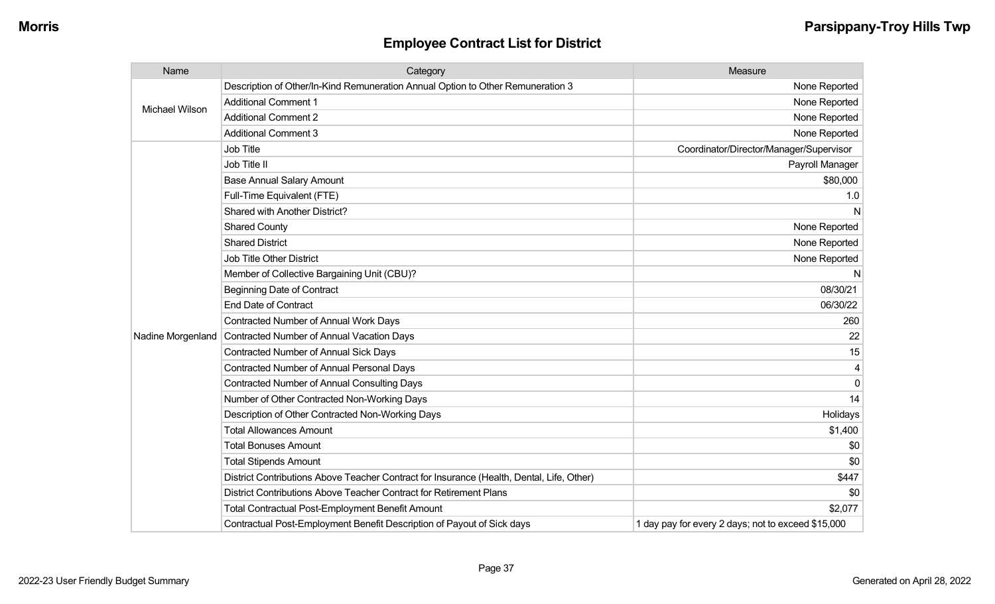| Name              | Category                                                                                  | Measure                                            |
|-------------------|-------------------------------------------------------------------------------------------|----------------------------------------------------|
|                   | Description of Other/In-Kind Remuneration Annual Option to Other Remuneration 3           | None Reported                                      |
| Michael Wilson    | <b>Additional Comment 1</b>                                                               | None Reported                                      |
|                   | <b>Additional Comment 2</b>                                                               | None Reported                                      |
|                   | <b>Additional Comment 3</b>                                                               | None Reported                                      |
|                   | Job Title                                                                                 | Coordinator/Director/Manager/Supervisor            |
|                   | Job Title II                                                                              | Payroll Manager                                    |
|                   | <b>Base Annual Salary Amount</b>                                                          | \$80,000                                           |
|                   | Full-Time Equivalent (FTE)                                                                | 1.0                                                |
|                   | Shared with Another District?                                                             | N                                                  |
|                   | <b>Shared County</b>                                                                      | None Reported                                      |
|                   | <b>Shared District</b>                                                                    | None Reported                                      |
|                   | <b>Job Title Other District</b>                                                           | None Reported                                      |
|                   | Member of Collective Bargaining Unit (CBU)?                                               | N                                                  |
|                   | <b>Beginning Date of Contract</b>                                                         | 08/30/21                                           |
|                   | <b>End Date of Contract</b>                                                               | 06/30/22                                           |
|                   | Contracted Number of Annual Work Days                                                     | 260                                                |
| Nadine Morgenland | Contracted Number of Annual Vacation Days                                                 | 22                                                 |
|                   | Contracted Number of Annual Sick Days                                                     | 15                                                 |
|                   | <b>Contracted Number of Annual Personal Days</b>                                          | 4                                                  |
|                   | <b>Contracted Number of Annual Consulting Days</b>                                        | $\Omega$                                           |
|                   | Number of Other Contracted Non-Working Days                                               | 14                                                 |
|                   | Description of Other Contracted Non-Working Days                                          | Holidays                                           |
|                   | <b>Total Allowances Amount</b>                                                            | \$1,400                                            |
|                   | <b>Total Bonuses Amount</b>                                                               | \$0                                                |
|                   | <b>Total Stipends Amount</b>                                                              | \$0                                                |
|                   | District Contributions Above Teacher Contract for Insurance (Health, Dental, Life, Other) | \$447                                              |
|                   | District Contributions Above Teacher Contract for Retirement Plans                        | \$0                                                |
|                   | <b>Total Contractual Post-Employment Benefit Amount</b>                                   | \$2,077                                            |
|                   | Contractual Post-Employment Benefit Description of Payout of Sick days                    | 1 day pay for every 2 days; not to exceed \$15,000 |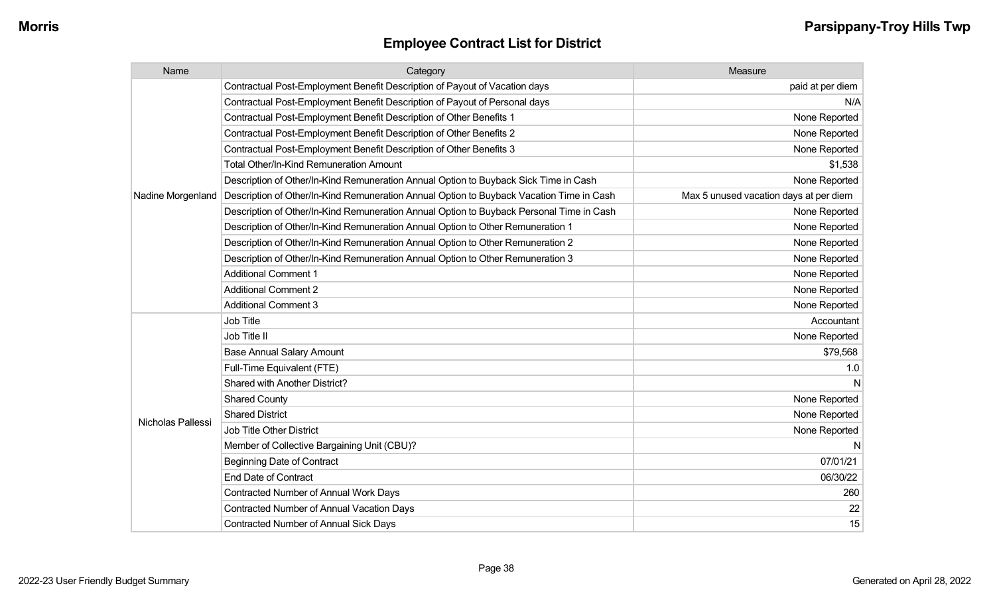| Name              | Category                                                                                 | Measure                                |
|-------------------|------------------------------------------------------------------------------------------|----------------------------------------|
|                   | Contractual Post-Employment Benefit Description of Payout of Vacation days               | paid at per diem                       |
|                   | Contractual Post-Employment Benefit Description of Payout of Personal days               | N/A                                    |
|                   | Contractual Post-Employment Benefit Description of Other Benefits 1                      | None Reported                          |
|                   | Contractual Post-Employment Benefit Description of Other Benefits 2                      | None Reported                          |
|                   | Contractual Post-Employment Benefit Description of Other Benefits 3                      | None Reported                          |
|                   | Total Other/In-Kind Remuneration Amount                                                  | \$1,538                                |
|                   | Description of Other/In-Kind Remuneration Annual Option to Buyback Sick Time in Cash     | None Reported                          |
| Nadine Morgenland | Description of Other/In-Kind Remuneration Annual Option to Buyback Vacation Time in Cash | Max 5 unused vacation days at per diem |
|                   | Description of Other/In-Kind Remuneration Annual Option to Buyback Personal Time in Cash | None Reported                          |
|                   | Description of Other/In-Kind Remuneration Annual Option to Other Remuneration 1          | None Reported                          |
|                   | Description of Other/In-Kind Remuneration Annual Option to Other Remuneration 2          | None Reported                          |
|                   | Description of Other/In-Kind Remuneration Annual Option to Other Remuneration 3          | None Reported                          |
|                   | <b>Additional Comment 1</b>                                                              | None Reported                          |
|                   | <b>Additional Comment 2</b>                                                              | None Reported                          |
|                   | <b>Additional Comment 3</b>                                                              | None Reported                          |
|                   | <b>Job Title</b>                                                                         | Accountant                             |
|                   | Job Title II                                                                             | None Reported                          |
|                   | <b>Base Annual Salary Amount</b>                                                         | \$79,568                               |
|                   | Full-Time Equivalent (FTE)                                                               | 1.0                                    |
|                   | Shared with Another District?                                                            |                                        |
|                   | <b>Shared County</b>                                                                     | None Reported                          |
| Nicholas Pallessi | <b>Shared District</b>                                                                   | None Reported                          |
|                   | <b>Job Title Other District</b>                                                          | None Reported                          |
|                   | Member of Collective Bargaining Unit (CBU)?                                              | N                                      |
|                   | <b>Beginning Date of Contract</b>                                                        | 07/01/21                               |
|                   | <b>End Date of Contract</b>                                                              | 06/30/22                               |
|                   | <b>Contracted Number of Annual Work Days</b>                                             | 260                                    |
|                   | <b>Contracted Number of Annual Vacation Days</b>                                         | 22                                     |
|                   | <b>Contracted Number of Annual Sick Days</b>                                             | 15                                     |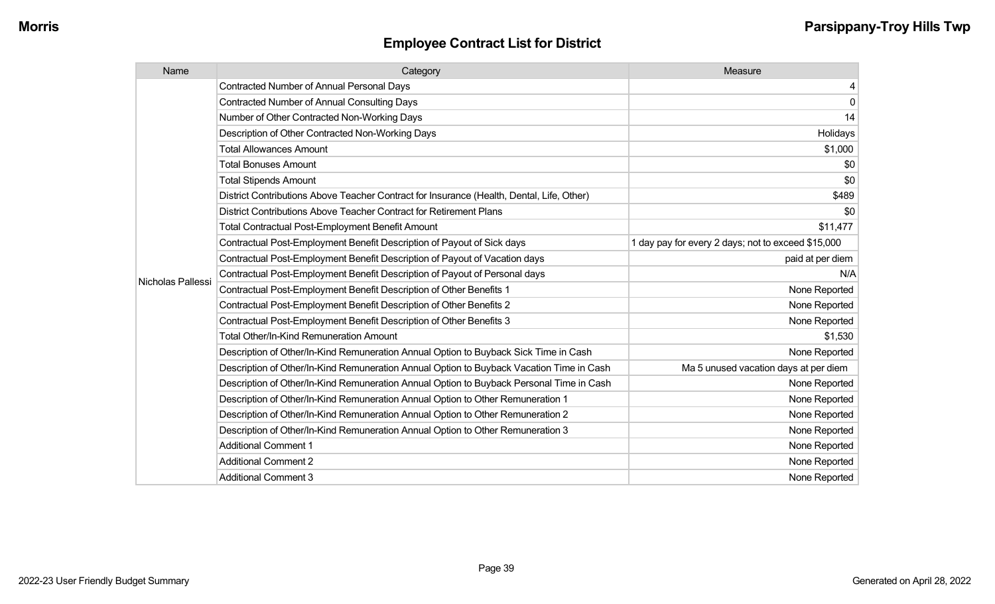| Name              | Category                                                                                  | Measure                                            |
|-------------------|-------------------------------------------------------------------------------------------|----------------------------------------------------|
|                   | <b>Contracted Number of Annual Personal Days</b>                                          | 4                                                  |
|                   | <b>Contracted Number of Annual Consulting Days</b>                                        | $\mathbf 0$                                        |
|                   | Number of Other Contracted Non-Working Days                                               | 14                                                 |
|                   | Description of Other Contracted Non-Working Days                                          | Holidays                                           |
|                   | <b>Total Allowances Amount</b>                                                            | \$1,000                                            |
|                   | <b>Total Bonuses Amount</b>                                                               | \$0                                                |
|                   | <b>Total Stipends Amount</b>                                                              | \$0                                                |
|                   | District Contributions Above Teacher Contract for Insurance (Health, Dental, Life, Other) | \$489                                              |
|                   | District Contributions Above Teacher Contract for Retirement Plans                        | \$0                                                |
|                   | <b>Total Contractual Post-Employment Benefit Amount</b>                                   | \$11,477                                           |
|                   | Contractual Post-Employment Benefit Description of Payout of Sick days                    | 1 day pay for every 2 days; not to exceed \$15,000 |
|                   | Contractual Post-Employment Benefit Description of Payout of Vacation days                | paid at per diem                                   |
| Nicholas Pallessi | Contractual Post-Employment Benefit Description of Payout of Personal days                | N/A                                                |
|                   | Contractual Post-Employment Benefit Description of Other Benefits 1                       | None Reported                                      |
|                   | Contractual Post-Employment Benefit Description of Other Benefits 2                       | None Reported                                      |
|                   | Contractual Post-Employment Benefit Description of Other Benefits 3                       | None Reported                                      |
|                   | <b>Total Other/In-Kind Remuneration Amount</b>                                            | \$1,530                                            |
|                   | Description of Other/In-Kind Remuneration Annual Option to Buyback Sick Time in Cash      | None Reported                                      |
|                   | Description of Other/In-Kind Remuneration Annual Option to Buyback Vacation Time in Cash  | Ma 5 unused vacation days at per diem              |
|                   | Description of Other/In-Kind Remuneration Annual Option to Buyback Personal Time in Cash  | None Reported                                      |
|                   | Description of Other/In-Kind Remuneration Annual Option to Other Remuneration 1           | None Reported                                      |
|                   | Description of Other/In-Kind Remuneration Annual Option to Other Remuneration 2           | None Reported                                      |
|                   | Description of Other/In-Kind Remuneration Annual Option to Other Remuneration 3           | None Reported                                      |
|                   | <b>Additional Comment 1</b>                                                               | None Reported                                      |
|                   | <b>Additional Comment 2</b>                                                               | None Reported                                      |
|                   | <b>Additional Comment 3</b>                                                               | None Reported                                      |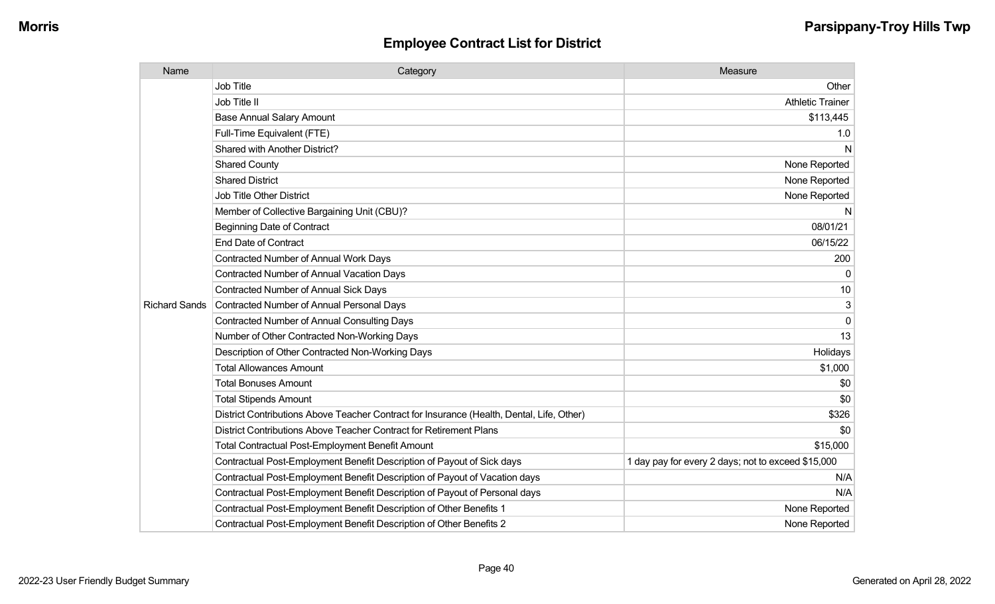| Name                 | Category                                                                                  | Measure                                            |
|----------------------|-------------------------------------------------------------------------------------------|----------------------------------------------------|
|                      | <b>Job Title</b>                                                                          | Other                                              |
|                      | Job Title II                                                                              | <b>Athletic Trainer</b>                            |
|                      | <b>Base Annual Salary Amount</b>                                                          | \$113,445                                          |
|                      | Full-Time Equivalent (FTE)                                                                | 1.0                                                |
|                      | Shared with Another District?                                                             | N                                                  |
|                      | <b>Shared County</b>                                                                      | None Reported                                      |
|                      | <b>Shared District</b>                                                                    | None Reported                                      |
|                      | <b>Job Title Other District</b>                                                           | None Reported                                      |
|                      | Member of Collective Bargaining Unit (CBU)?                                               | N.                                                 |
|                      | <b>Beginning Date of Contract</b>                                                         | 08/01/21                                           |
|                      | <b>End Date of Contract</b>                                                               | 06/15/22                                           |
|                      | Contracted Number of Annual Work Days                                                     | 200                                                |
|                      | <b>Contracted Number of Annual Vacation Days</b>                                          | $\Omega$                                           |
|                      | <b>Contracted Number of Annual Sick Days</b>                                              | 10                                                 |
| <b>Richard Sands</b> | Contracted Number of Annual Personal Days                                                 | 3                                                  |
|                      | <b>Contracted Number of Annual Consulting Days</b>                                        | $\mathbf 0$                                        |
|                      | Number of Other Contracted Non-Working Days                                               | 13                                                 |
|                      | Description of Other Contracted Non-Working Days                                          | Holidays                                           |
|                      | <b>Total Allowances Amount</b>                                                            | \$1,000                                            |
|                      | <b>Total Bonuses Amount</b>                                                               | \$0                                                |
|                      | <b>Total Stipends Amount</b>                                                              | \$0                                                |
|                      | District Contributions Above Teacher Contract for Insurance (Health, Dental, Life, Other) | \$326                                              |
|                      | District Contributions Above Teacher Contract for Retirement Plans                        | \$0                                                |
|                      | <b>Total Contractual Post-Employment Benefit Amount</b>                                   | \$15,000                                           |
|                      | Contractual Post-Employment Benefit Description of Payout of Sick days                    | 1 day pay for every 2 days; not to exceed \$15,000 |
|                      | Contractual Post-Employment Benefit Description of Payout of Vacation days                | N/A                                                |
|                      | Contractual Post-Employment Benefit Description of Payout of Personal days                | N/A                                                |
|                      | Contractual Post-Employment Benefit Description of Other Benefits 1                       | None Reported                                      |
|                      | Contractual Post-Employment Benefit Description of Other Benefits 2                       | None Reported                                      |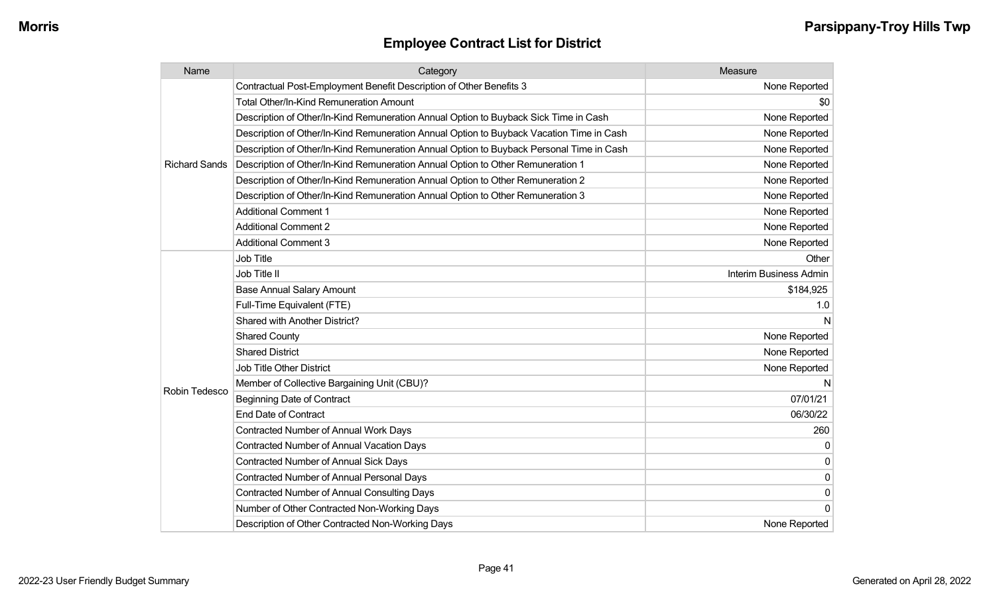| Name                 | Category                                                                                 | Measure                |
|----------------------|------------------------------------------------------------------------------------------|------------------------|
|                      | Contractual Post-Employment Benefit Description of Other Benefits 3                      | None Reported          |
|                      | Total Other/In-Kind Remuneration Amount                                                  | \$0                    |
|                      | Description of Other/In-Kind Remuneration Annual Option to Buyback Sick Time in Cash     | None Reported          |
|                      | Description of Other/In-Kind Remuneration Annual Option to Buyback Vacation Time in Cash | None Reported          |
|                      | Description of Other/In-Kind Remuneration Annual Option to Buyback Personal Time in Cash | None Reported          |
| <b>Richard Sands</b> | Description of Other/In-Kind Remuneration Annual Option to Other Remuneration 1          | None Reported          |
|                      | Description of Other/In-Kind Remuneration Annual Option to Other Remuneration 2          | None Reported          |
|                      | Description of Other/In-Kind Remuneration Annual Option to Other Remuneration 3          | None Reported          |
|                      | <b>Additional Comment 1</b>                                                              | None Reported          |
|                      | <b>Additional Comment 2</b>                                                              | None Reported          |
|                      | <b>Additional Comment 3</b>                                                              | None Reported          |
|                      | <b>Job Title</b>                                                                         | Other                  |
|                      | Job Title II                                                                             | Interim Business Admin |
|                      | <b>Base Annual Salary Amount</b>                                                         | \$184,925              |
|                      | Full-Time Equivalent (FTE)                                                               | 1.0                    |
|                      | Shared with Another District?                                                            | N                      |
|                      | <b>Shared County</b>                                                                     | None Reported          |
|                      | <b>Shared District</b>                                                                   | None Reported          |
|                      | <b>Job Title Other District</b>                                                          | None Reported          |
|                      | Member of Collective Bargaining Unit (CBU)?                                              | N                      |
| Robin Tedesco        | <b>Beginning Date of Contract</b>                                                        | 07/01/21               |
|                      | <b>End Date of Contract</b>                                                              | 06/30/22               |
|                      | <b>Contracted Number of Annual Work Days</b>                                             | 260                    |
|                      | <b>Contracted Number of Annual Vacation Days</b>                                         | $\Omega$               |
|                      | Contracted Number of Annual Sick Days                                                    | $\Omega$               |
|                      | Contracted Number of Annual Personal Days                                                | $\mathbf{0}$           |
|                      | <b>Contracted Number of Annual Consulting Days</b>                                       | 0                      |
|                      | Number of Other Contracted Non-Working Days                                              | $\Omega$               |
|                      | Description of Other Contracted Non-Working Days                                         | None Reported          |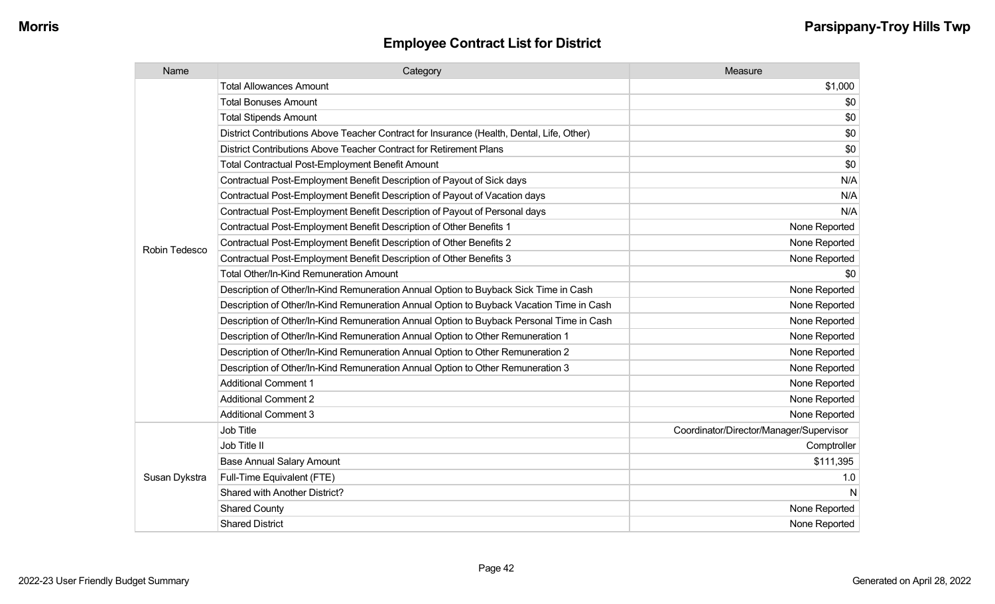| Name          | Category                                                                                  | Measure                                 |
|---------------|-------------------------------------------------------------------------------------------|-----------------------------------------|
|               | <b>Total Allowances Amount</b>                                                            | \$1,000                                 |
|               | <b>Total Bonuses Amount</b>                                                               | \$0                                     |
|               | <b>Total Stipends Amount</b>                                                              | \$0                                     |
|               | District Contributions Above Teacher Contract for Insurance (Health, Dental, Life, Other) | \$0                                     |
|               | District Contributions Above Teacher Contract for Retirement Plans                        | \$0                                     |
|               | <b>Total Contractual Post-Employment Benefit Amount</b>                                   | \$0                                     |
|               | Contractual Post-Employment Benefit Description of Payout of Sick days                    | N/A                                     |
|               | Contractual Post-Employment Benefit Description of Payout of Vacation days                | N/A                                     |
|               | Contractual Post-Employment Benefit Description of Payout of Personal days                | N/A                                     |
|               | Contractual Post-Employment Benefit Description of Other Benefits 1                       | None Reported                           |
| Robin Tedesco | Contractual Post-Employment Benefit Description of Other Benefits 2                       | None Reported                           |
|               | Contractual Post-Employment Benefit Description of Other Benefits 3                       | None Reported                           |
|               | Total Other/In-Kind Remuneration Amount                                                   | \$0                                     |
|               | Description of Other/In-Kind Remuneration Annual Option to Buyback Sick Time in Cash      | None Reported                           |
|               | Description of Other/In-Kind Remuneration Annual Option to Buyback Vacation Time in Cash  | None Reported                           |
|               | Description of Other/In-Kind Remuneration Annual Option to Buyback Personal Time in Cash  | None Reported                           |
|               | Description of Other/In-Kind Remuneration Annual Option to Other Remuneration 1           | None Reported                           |
|               | Description of Other/In-Kind Remuneration Annual Option to Other Remuneration 2           | None Reported                           |
|               | Description of Other/In-Kind Remuneration Annual Option to Other Remuneration 3           | None Reported                           |
|               | <b>Additional Comment 1</b>                                                               | None Reported                           |
|               | <b>Additional Comment 2</b>                                                               | None Reported                           |
|               | <b>Additional Comment 3</b>                                                               | None Reported                           |
|               | <b>Job Title</b>                                                                          | Coordinator/Director/Manager/Supervisor |
| Susan Dykstra | Job Title II                                                                              | Comptroller                             |
|               | <b>Base Annual Salary Amount</b>                                                          | \$111,395                               |
|               | Full-Time Equivalent (FTE)                                                                | 1.0                                     |
|               | Shared with Another District?                                                             | N                                       |
|               | <b>Shared County</b>                                                                      | None Reported                           |
|               | <b>Shared District</b>                                                                    | None Reported                           |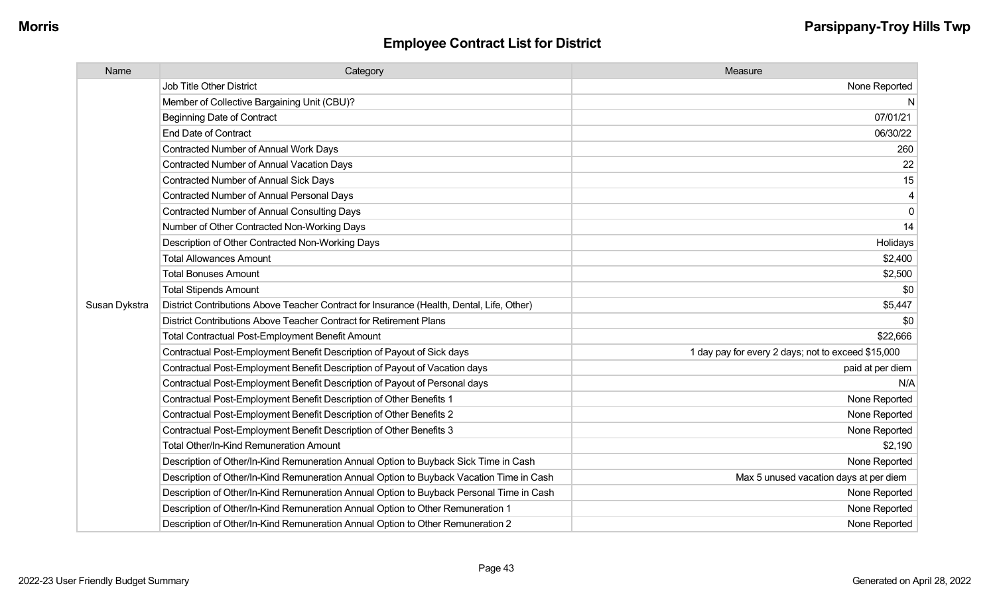| Name          | Category                                                                                  | Measure                                            |
|---------------|-------------------------------------------------------------------------------------------|----------------------------------------------------|
|               | <b>Job Title Other District</b>                                                           | None Reported                                      |
|               | Member of Collective Bargaining Unit (CBU)?                                               | N                                                  |
|               | <b>Beginning Date of Contract</b>                                                         | 07/01/21                                           |
|               | <b>End Date of Contract</b>                                                               | 06/30/22                                           |
|               | Contracted Number of Annual Work Days                                                     | 260                                                |
|               | <b>Contracted Number of Annual Vacation Days</b>                                          | 22                                                 |
|               | <b>Contracted Number of Annual Sick Days</b>                                              | 15                                                 |
|               | <b>Contracted Number of Annual Personal Days</b>                                          |                                                    |
|               | <b>Contracted Number of Annual Consulting Days</b>                                        | $\mathbf 0$                                        |
|               | Number of Other Contracted Non-Working Days                                               | 14                                                 |
|               | Description of Other Contracted Non-Working Days                                          | Holidays                                           |
|               | <b>Total Allowances Amount</b>                                                            | \$2,400                                            |
|               | <b>Total Bonuses Amount</b>                                                               | \$2,500                                            |
|               | <b>Total Stipends Amount</b>                                                              | \$0                                                |
| Susan Dykstra | District Contributions Above Teacher Contract for Insurance (Health, Dental, Life, Other) | \$5,447                                            |
|               | District Contributions Above Teacher Contract for Retirement Plans                        | \$0                                                |
|               | <b>Total Contractual Post-Employment Benefit Amount</b>                                   | \$22,666                                           |
|               | Contractual Post-Employment Benefit Description of Payout of Sick days                    | 1 day pay for every 2 days; not to exceed \$15,000 |
|               | Contractual Post-Employment Benefit Description of Payout of Vacation days                | paid at per diem                                   |
|               | Contractual Post-Employment Benefit Description of Payout of Personal days                | N/A                                                |
|               | Contractual Post-Employment Benefit Description of Other Benefits 1                       | None Reported                                      |
|               | Contractual Post-Employment Benefit Description of Other Benefits 2                       | None Reported                                      |
|               | Contractual Post-Employment Benefit Description of Other Benefits 3                       | None Reported                                      |
|               | Total Other/In-Kind Remuneration Amount                                                   | \$2,190                                            |
|               | Description of Other/In-Kind Remuneration Annual Option to Buyback Sick Time in Cash      | None Reported                                      |
|               | Description of Other/In-Kind Remuneration Annual Option to Buyback Vacation Time in Cash  | Max 5 unused vacation days at per diem             |
|               | Description of Other/In-Kind Remuneration Annual Option to Buyback Personal Time in Cash  | None Reported                                      |
|               | Description of Other/In-Kind Remuneration Annual Option to Other Remuneration 1           | None Reported                                      |
|               | Description of Other/In-Kind Remuneration Annual Option to Other Remuneration 2           | None Reported                                      |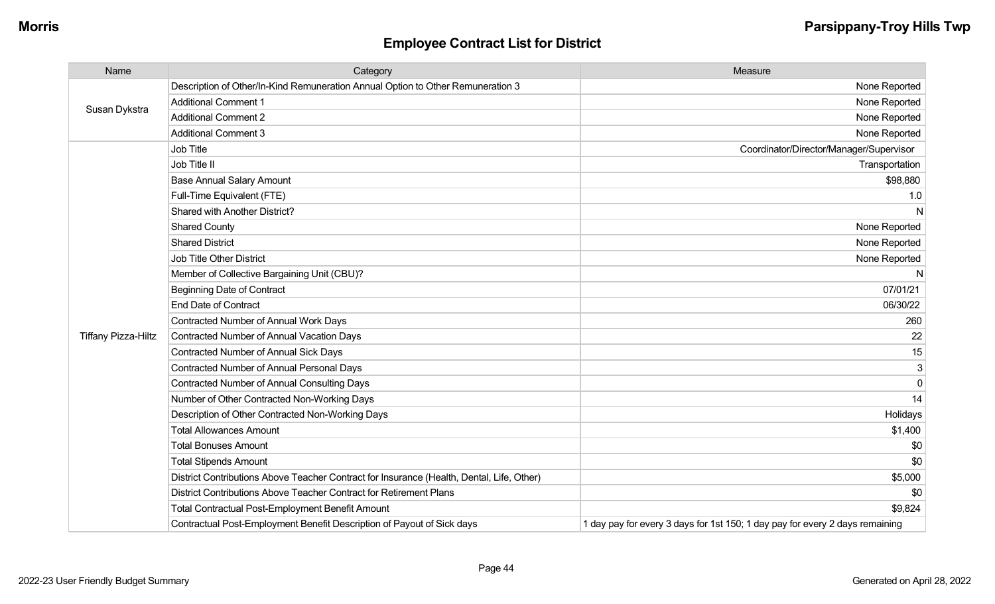| Name                       | Category                                                                                  | Measure                                                                      |
|----------------------------|-------------------------------------------------------------------------------------------|------------------------------------------------------------------------------|
| Susan Dykstra              | Description of Other/In-Kind Remuneration Annual Option to Other Remuneration 3           | None Reported                                                                |
|                            | <b>Additional Comment 1</b>                                                               | None Reported                                                                |
|                            | <b>Additional Comment 2</b>                                                               | None Reported                                                                |
|                            | <b>Additional Comment 3</b>                                                               | None Reported                                                                |
|                            | Job Title                                                                                 | Coordinator/Director/Manager/Supervisor                                      |
|                            | Job Title II                                                                              | Transportation                                                               |
|                            | <b>Base Annual Salary Amount</b>                                                          | \$98,880                                                                     |
|                            | Full-Time Equivalent (FTE)                                                                | 1.0                                                                          |
|                            | Shared with Another District?                                                             | N                                                                            |
|                            | <b>Shared County</b>                                                                      | None Reported                                                                |
|                            | <b>Shared District</b>                                                                    | None Reported                                                                |
|                            | <b>Job Title Other District</b>                                                           | None Reported                                                                |
|                            | Member of Collective Bargaining Unit (CBU)?                                               | N.                                                                           |
|                            | <b>Beginning Date of Contract</b>                                                         | 07/01/21                                                                     |
|                            | <b>End Date of Contract</b>                                                               | 06/30/22                                                                     |
|                            | Contracted Number of Annual Work Days                                                     | 260                                                                          |
| <b>Tiffany Pizza-Hiltz</b> | <b>Contracted Number of Annual Vacation Days</b>                                          | 22                                                                           |
|                            | Contracted Number of Annual Sick Days                                                     | 15                                                                           |
|                            | <b>Contracted Number of Annual Personal Days</b>                                          | 3                                                                            |
|                            | <b>Contracted Number of Annual Consulting Days</b>                                        | $\mathbf 0$                                                                  |
|                            | Number of Other Contracted Non-Working Days                                               | 14                                                                           |
|                            | Description of Other Contracted Non-Working Days                                          | Holidays                                                                     |
|                            | <b>Total Allowances Amount</b>                                                            | \$1,400                                                                      |
|                            | <b>Total Bonuses Amount</b>                                                               | \$0                                                                          |
|                            | <b>Total Stipends Amount</b>                                                              | \$0                                                                          |
|                            | District Contributions Above Teacher Contract for Insurance (Health, Dental, Life, Other) | \$5,000                                                                      |
|                            | District Contributions Above Teacher Contract for Retirement Plans                        | \$0                                                                          |
|                            | <b>Total Contractual Post-Employment Benefit Amount</b>                                   | \$9,824                                                                      |
|                            | Contractual Post-Employment Benefit Description of Payout of Sick days                    | 1 day pay for every 3 days for 1st 150; 1 day pay for every 2 days remaining |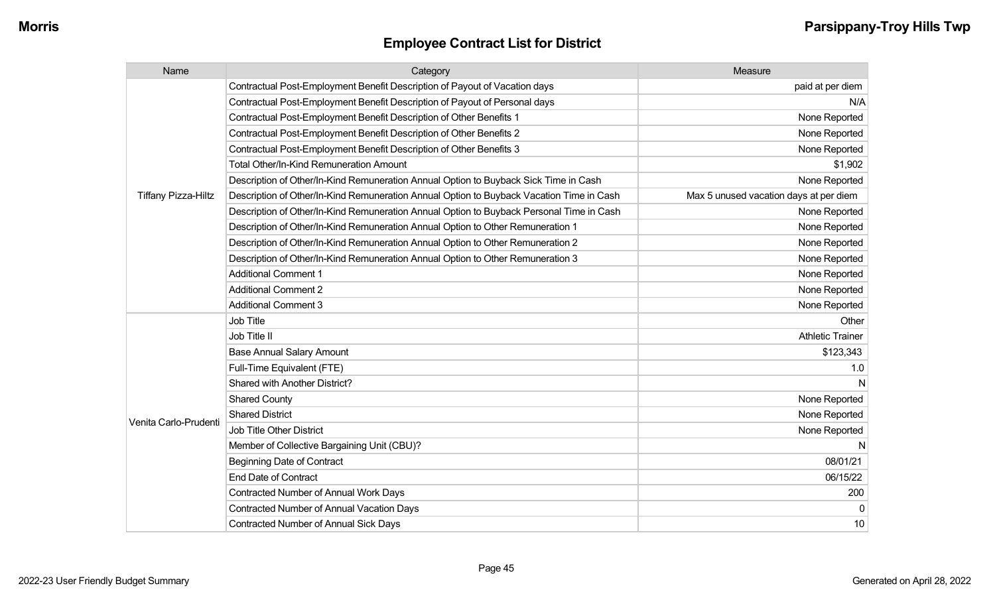| Name                       | Category                                                                                 | Measure                                |
|----------------------------|------------------------------------------------------------------------------------------|----------------------------------------|
|                            | Contractual Post-Employment Benefit Description of Payout of Vacation days               | paid at per diem                       |
|                            | Contractual Post-Employment Benefit Description of Payout of Personal days               | N/A                                    |
|                            | Contractual Post-Employment Benefit Description of Other Benefits 1                      | None Reported                          |
|                            | Contractual Post-Employment Benefit Description of Other Benefits 2                      | None Reported                          |
|                            | Contractual Post-Employment Benefit Description of Other Benefits 3                      | None Reported                          |
|                            | <b>Total Other/In-Kind Remuneration Amount</b>                                           | \$1,902                                |
|                            | Description of Other/In-Kind Remuneration Annual Option to Buyback Sick Time in Cash     | None Reported                          |
| <b>Tiffany Pizza-Hiltz</b> | Description of Other/In-Kind Remuneration Annual Option to Buyback Vacation Time in Cash | Max 5 unused vacation days at per diem |
|                            | Description of Other/In-Kind Remuneration Annual Option to Buyback Personal Time in Cash | None Reported                          |
|                            | Description of Other/In-Kind Remuneration Annual Option to Other Remuneration 1          | None Reported                          |
|                            | Description of Other/In-Kind Remuneration Annual Option to Other Remuneration 2          | None Reported                          |
|                            | Description of Other/In-Kind Remuneration Annual Option to Other Remuneration 3          | None Reported                          |
|                            | <b>Additional Comment 1</b>                                                              | None Reported                          |
|                            | <b>Additional Comment 2</b>                                                              | None Reported                          |
|                            | <b>Additional Comment 3</b>                                                              | None Reported                          |
|                            | Job Title                                                                                | Other                                  |
|                            | Job Title II                                                                             | <b>Athletic Trainer</b>                |
|                            | <b>Base Annual Salary Amount</b>                                                         | \$123,343                              |
|                            | Full-Time Equivalent (FTE)                                                               | 1.0                                    |
|                            | Shared with Another District?                                                            | N                                      |
|                            | <b>Shared County</b>                                                                     | None Reported                          |
| Venita Carlo-Prudenti      | <b>Shared District</b>                                                                   | None Reported                          |
|                            | <b>Job Title Other District</b>                                                          | None Reported                          |
|                            | Member of Collective Bargaining Unit (CBU)?                                              | N                                      |
|                            | <b>Beginning Date of Contract</b>                                                        | 08/01/21                               |
|                            | <b>End Date of Contract</b>                                                              | 06/15/22                               |
|                            | Contracted Number of Annual Work Days                                                    | 200                                    |
|                            | <b>Contracted Number of Annual Vacation Days</b>                                         | $\mathbf{0}$                           |
|                            | <b>Contracted Number of Annual Sick Days</b>                                             | 10                                     |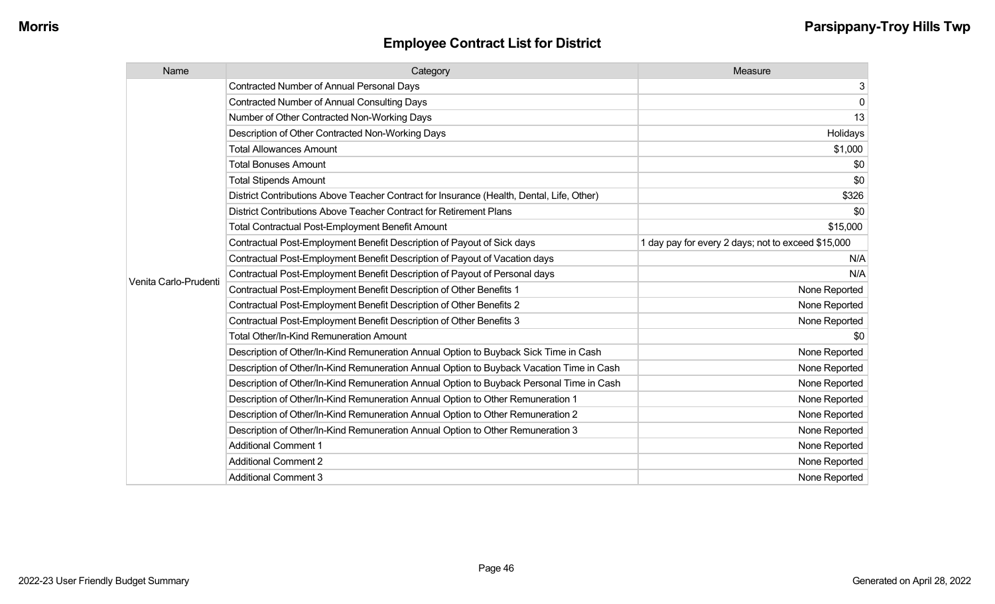| Name                  | Category                                                                                  | Measure                                            |
|-----------------------|-------------------------------------------------------------------------------------------|----------------------------------------------------|
|                       | <b>Contracted Number of Annual Personal Days</b>                                          | 3                                                  |
|                       | Contracted Number of Annual Consulting Days                                               | $\mathbf 0$                                        |
|                       | Number of Other Contracted Non-Working Days                                               | 13                                                 |
|                       | Description of Other Contracted Non-Working Days                                          | Holidays                                           |
|                       | <b>Total Allowances Amount</b>                                                            | \$1,000                                            |
|                       | <b>Total Bonuses Amount</b>                                                               | \$0                                                |
|                       | <b>Total Stipends Amount</b>                                                              | \$0                                                |
|                       | District Contributions Above Teacher Contract for Insurance (Health, Dental, Life, Other) | \$326                                              |
|                       | District Contributions Above Teacher Contract for Retirement Plans                        | \$0                                                |
|                       | <b>Total Contractual Post-Employment Benefit Amount</b>                                   | \$15,000                                           |
|                       | Contractual Post-Employment Benefit Description of Payout of Sick days                    | 1 day pay for every 2 days; not to exceed \$15,000 |
|                       | Contractual Post-Employment Benefit Description of Payout of Vacation days                | N/A                                                |
| Venita Carlo-Prudenti | Contractual Post-Employment Benefit Description of Payout of Personal days                | N/A                                                |
|                       | Contractual Post-Employment Benefit Description of Other Benefits 1                       | None Reported                                      |
|                       | Contractual Post-Employment Benefit Description of Other Benefits 2                       | None Reported                                      |
|                       | Contractual Post-Employment Benefit Description of Other Benefits 3                       | None Reported                                      |
|                       | <b>Total Other/In-Kind Remuneration Amount</b>                                            | \$0                                                |
|                       | Description of Other/In-Kind Remuneration Annual Option to Buyback Sick Time in Cash      | None Reported                                      |
|                       | Description of Other/In-Kind Remuneration Annual Option to Buyback Vacation Time in Cash  | None Reported                                      |
|                       | Description of Other/In-Kind Remuneration Annual Option to Buyback Personal Time in Cash  | None Reported                                      |
|                       | Description of Other/In-Kind Remuneration Annual Option to Other Remuneration 1           | None Reported                                      |
|                       | Description of Other/In-Kind Remuneration Annual Option to Other Remuneration 2           | None Reported                                      |
|                       | Description of Other/In-Kind Remuneration Annual Option to Other Remuneration 3           | None Reported                                      |
|                       | <b>Additional Comment 1</b>                                                               | None Reported                                      |
|                       | <b>Additional Comment 2</b>                                                               | None Reported                                      |
|                       | <b>Additional Comment 3</b>                                                               | None Reported                                      |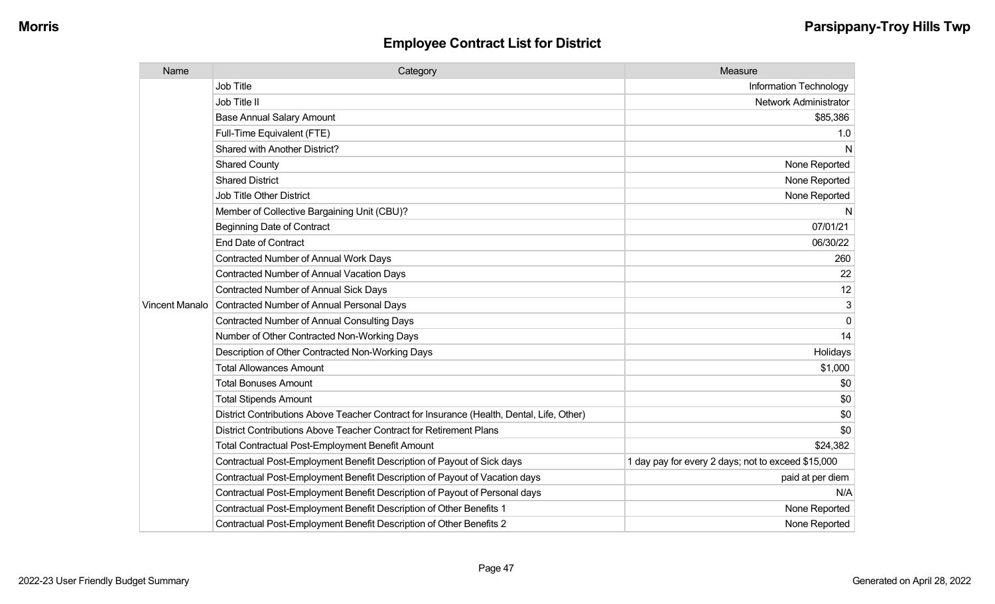| Name                  | Category                                                                                  | Measure                                            |
|-----------------------|-------------------------------------------------------------------------------------------|----------------------------------------------------|
|                       | <b>Job Title</b>                                                                          | Information Technology                             |
|                       | Job Title II                                                                              | <b>Network Administrator</b>                       |
|                       | <b>Base Annual Salary Amount</b>                                                          | \$85,386                                           |
|                       | Full-Time Equivalent (FTE)                                                                | 1.0                                                |
|                       | Shared with Another District?                                                             | N                                                  |
|                       | <b>Shared County</b>                                                                      | None Reported                                      |
|                       | <b>Shared District</b>                                                                    | None Reported                                      |
|                       | <b>Job Title Other District</b>                                                           | None Reported                                      |
|                       | Member of Collective Bargaining Unit (CBU)?                                               | N                                                  |
|                       | <b>Beginning Date of Contract</b>                                                         | 07/01/21                                           |
|                       | <b>End Date of Contract</b>                                                               | 06/30/22                                           |
|                       | <b>Contracted Number of Annual Work Days</b>                                              | 260                                                |
|                       | <b>Contracted Number of Annual Vacation Days</b>                                          | 22                                                 |
|                       | <b>Contracted Number of Annual Sick Days</b>                                              | 12                                                 |
| <b>Vincent Manalo</b> | Contracted Number of Annual Personal Days                                                 | 3                                                  |
|                       | <b>Contracted Number of Annual Consulting Days</b>                                        | $\Omega$                                           |
|                       | Number of Other Contracted Non-Working Days                                               | 14                                                 |
|                       | Description of Other Contracted Non-Working Days                                          | Holidays                                           |
|                       | <b>Total Allowances Amount</b>                                                            | \$1,000                                            |
|                       | <b>Total Bonuses Amount</b>                                                               | \$0                                                |
|                       | <b>Total Stipends Amount</b>                                                              | \$0                                                |
|                       | District Contributions Above Teacher Contract for Insurance (Health, Dental, Life, Other) | \$0                                                |
|                       | District Contributions Above Teacher Contract for Retirement Plans                        | \$0                                                |
|                       | <b>Total Contractual Post-Employment Benefit Amount</b>                                   | \$24,382                                           |
|                       | Contractual Post-Employment Benefit Description of Payout of Sick days                    | 1 day pay for every 2 days; not to exceed \$15,000 |
|                       | Contractual Post-Employment Benefit Description of Payout of Vacation days                | paid at per diem                                   |
|                       | Contractual Post-Employment Benefit Description of Payout of Personal days                | N/A                                                |
|                       | Contractual Post-Employment Benefit Description of Other Benefits 1                       | None Reported                                      |
|                       | Contractual Post-Employment Benefit Description of Other Benefits 2                       | None Reported                                      |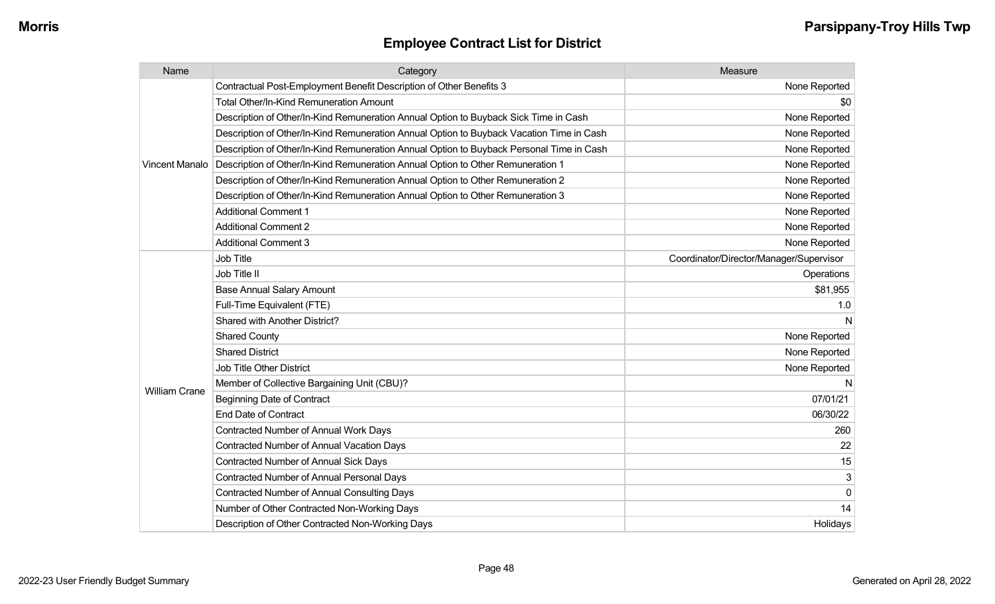| Name                  | Category                                                                                 | Measure                                 |
|-----------------------|------------------------------------------------------------------------------------------|-----------------------------------------|
| <b>Vincent Manalo</b> | Contractual Post-Employment Benefit Description of Other Benefits 3                      | None Reported                           |
|                       | <b>Total Other/In-Kind Remuneration Amount</b>                                           | \$0                                     |
|                       | Description of Other/In-Kind Remuneration Annual Option to Buyback Sick Time in Cash     | None Reported                           |
|                       | Description of Other/In-Kind Remuneration Annual Option to Buyback Vacation Time in Cash | None Reported                           |
|                       | Description of Other/In-Kind Remuneration Annual Option to Buyback Personal Time in Cash | None Reported                           |
|                       | Description of Other/In-Kind Remuneration Annual Option to Other Remuneration 1          | None Reported                           |
|                       | Description of Other/In-Kind Remuneration Annual Option to Other Remuneration 2          | None Reported                           |
|                       | Description of Other/In-Kind Remuneration Annual Option to Other Remuneration 3          | None Reported                           |
|                       | <b>Additional Comment 1</b>                                                              | None Reported                           |
|                       | <b>Additional Comment 2</b>                                                              | None Reported                           |
|                       | <b>Additional Comment 3</b>                                                              | None Reported                           |
| <b>William Crane</b>  | Job Title                                                                                | Coordinator/Director/Manager/Supervisor |
|                       | Job Title II                                                                             | Operations                              |
|                       | <b>Base Annual Salary Amount</b>                                                         | \$81,955                                |
|                       | Full-Time Equivalent (FTE)                                                               | 1.0                                     |
|                       | Shared with Another District?                                                            |                                         |
|                       | <b>Shared County</b>                                                                     | None Reported                           |
|                       | <b>Shared District</b>                                                                   | None Reported                           |
|                       | <b>Job Title Other District</b>                                                          | None Reported                           |
|                       | Member of Collective Bargaining Unit (CBU)?                                              | N                                       |
|                       | <b>Beginning Date of Contract</b>                                                        | 07/01/21                                |
|                       | <b>End Date of Contract</b>                                                              | 06/30/22                                |
|                       | Contracted Number of Annual Work Days                                                    | 260                                     |
|                       | <b>Contracted Number of Annual Vacation Days</b>                                         | 22                                      |
|                       | Contracted Number of Annual Sick Days                                                    | 15                                      |
|                       | Contracted Number of Annual Personal Days                                                | 3                                       |
|                       | <b>Contracted Number of Annual Consulting Days</b>                                       | $\mathbf 0$                             |
|                       | Number of Other Contracted Non-Working Days                                              | 14                                      |
|                       | Description of Other Contracted Non-Working Days                                         | Holidays                                |